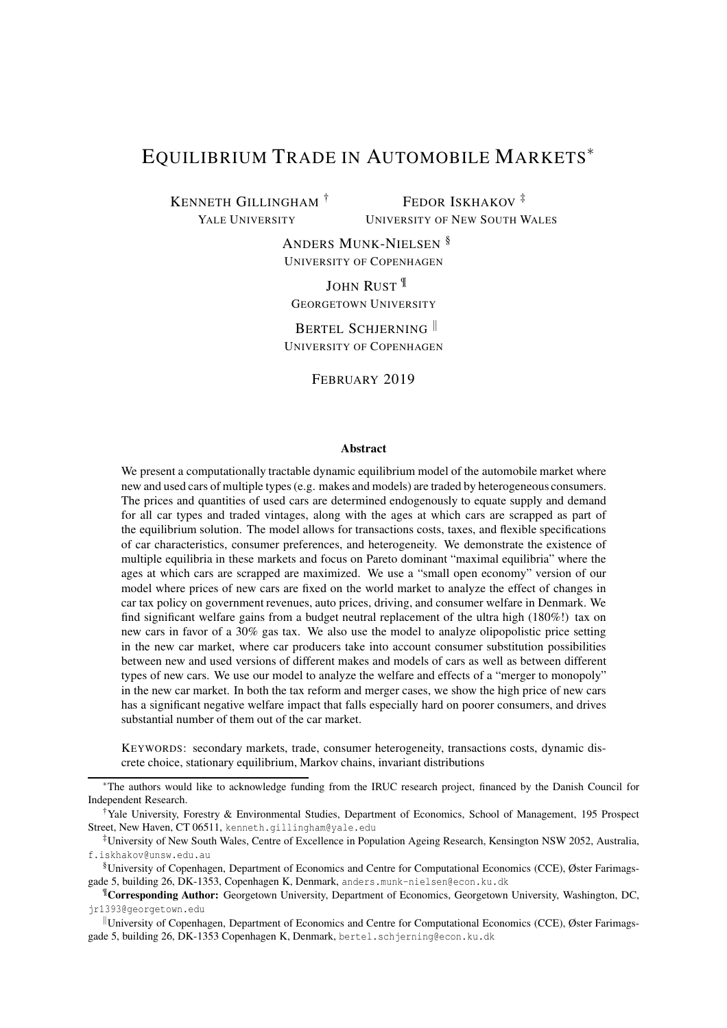# EQUILIBRIUM TRADE IN AUTOMOBILE MARKETS<sup>∗</sup>

KENNETH GILLINGHAM † YALE UNIVERSITY

FEDOR ISKHAKOV<sup>‡</sup> UNIVERSITY OF NEW SOUTH WALES

ANDERS MUNK-NIELSEN § UNIVERSITY OF COPENHAGEN

JOHN RUST<sup>II</sup> GEORGETOWN UNIVERSITY

BERTEL SCHJERNING UNIVERSITY OF COPENHAGEN

FEBRUARY 2019

#### Abstract

We present a computationally tractable dynamic equilibrium model of the automobile market where new and used cars of multiple types (e.g. makes and models) are traded by heterogeneous consumers. The prices and quantities of used cars are determined endogenously to equate supply and demand for all car types and traded vintages, along with the ages at which cars are scrapped as part of the equilibrium solution. The model allows for transactions costs, taxes, and flexible specifications of car characteristics, consumer preferences, and heterogeneity. We demonstrate the existence of multiple equilibria in these markets and focus on Pareto dominant "maximal equilibria" where the ages at which cars are scrapped are maximized. We use a "small open economy" version of our model where prices of new cars are fixed on the world market to analyze the effect of changes in car tax policy on government revenues, auto prices, driving, and consumer welfare in Denmark. We find significant welfare gains from a budget neutral replacement of the ultra high (180%!) tax on new cars in favor of a 30% gas tax. We also use the model to analyze olipopolistic price setting in the new car market, where car producers take into account consumer substitution possibilities between new and used versions of different makes and models of cars as well as between different types of new cars. We use our model to analyze the welfare and effects of a "merger to monopoly" in the new car market. In both the tax reform and merger cases, we show the high price of new cars has a significant negative welfare impact that falls especially hard on poorer consumers, and drives substantial number of them out of the car market.

KEYWORDS: secondary markets, trade, consumer heterogeneity, transactions costs, dynamic discrete choice, stationary equilibrium, Markov chains, invariant distributions

<sup>∗</sup>The authors would like to acknowledge funding from the IRUC research project, financed by the Danish Council for Independent Research.

<sup>†</sup>Yale University, Forestry & Environmental Studies, Department of Economics, School of Management, 195 Prospect Street, New Haven, CT 06511, kenneth.gillingham@yale.edu

<sup>‡</sup>University of New South Wales, Centre of Excellence in Population Ageing Research, Kensington NSW 2052, Australia, f.iskhakov@unsw.edu.au

<sup>§</sup>University of Copenhagen, Department of Economics and Centre for Computational Economics (CCE), Øster Farimagsgade 5, building 26, DK-1353, Copenhagen K, Denmark, anders.munk-nielsen@econ.ku.dk

<sup>¶</sup>Corresponding Author: Georgetown University, Department of Economics, Georgetown University, Washington, DC, jr1393@georgetown.edu

University of Copenhagen, Department of Economics and Centre for Computational Economics (CCE), Øster Farimagsgade 5, building 26, DK-1353 Copenhagen K, Denmark, bertel.schjerning@econ.ku.dk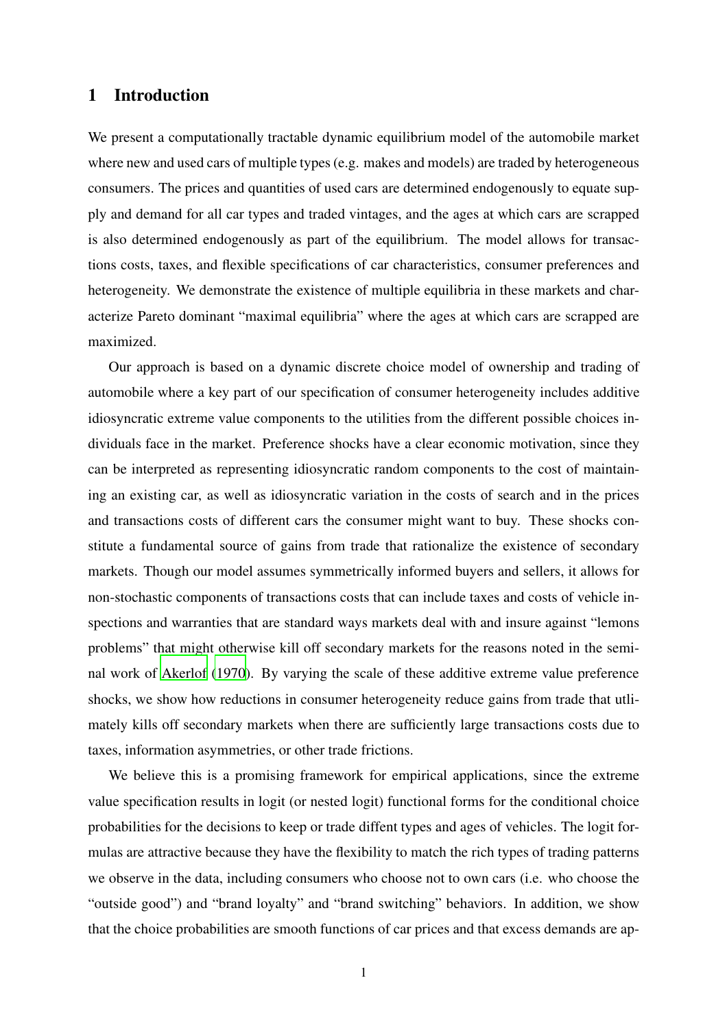## 1 Introduction

We present a computationally tractable dynamic equilibrium model of the automobile market where new and used cars of multiple types (e.g. makes and models) are traded by heterogeneous consumers. The prices and quantities of used cars are determined endogenously to equate supply and demand for all car types and traded vintages, and the ages at which cars are scrapped is also determined endogenously as part of the equilibrium. The model allows for transactions costs, taxes, and flexible specifications of car characteristics, consumer preferences and heterogeneity. We demonstrate the existence of multiple equilibria in these markets and characterize Pareto dominant "maximal equilibria" where the ages at which cars are scrapped are maximized.

Our approach is based on a dynamic discrete choice model of ownership and trading of automobile where a key part of our specification of consumer heterogeneity includes additive idiosyncratic extreme value components to the utilities from the different possible choices individuals face in the market. Preference shocks have a clear economic motivation, since they can be interpreted as representing idiosyncratic random components to the cost of maintaining an existing car, as well as idiosyncratic variation in the costs of search and in the prices and transactions costs of different cars the consumer might want to buy. These shocks constitute a fundamental source of gains from trade that rationalize the existence of secondary markets. Though our model assumes symmetrically informed buyers and sellers, it allows for non-stochastic components of transactions costs that can include taxes and costs of vehicle inspections and warranties that are standard ways markets deal with and insure against "lemons problems" that might otherwise kill off secondary markets for the reasons noted in the seminal work of [Akerlof \(1970](#page-81-0)). By varying the scale of these additive extreme value preference shocks, we show how reductions in consumer heterogeneity reduce gains from trade that utlimately kills off secondary markets when there are sufficiently large transactions costs due to taxes, information asymmetries, or other trade frictions.

We believe this is a promising framework for empirical applications, since the extreme value specification results in logit (or nested logit) functional forms for the conditional choice probabilities for the decisions to keep or trade diffent types and ages of vehicles. The logit formulas are attractive because they have the flexibility to match the rich types of trading patterns we observe in the data, including consumers who choose not to own cars (i.e. who choose the "outside good") and "brand loyalty" and "brand switching" behaviors. In addition, we show that the choice probabilities are smooth functions of car prices and that excess demands are ap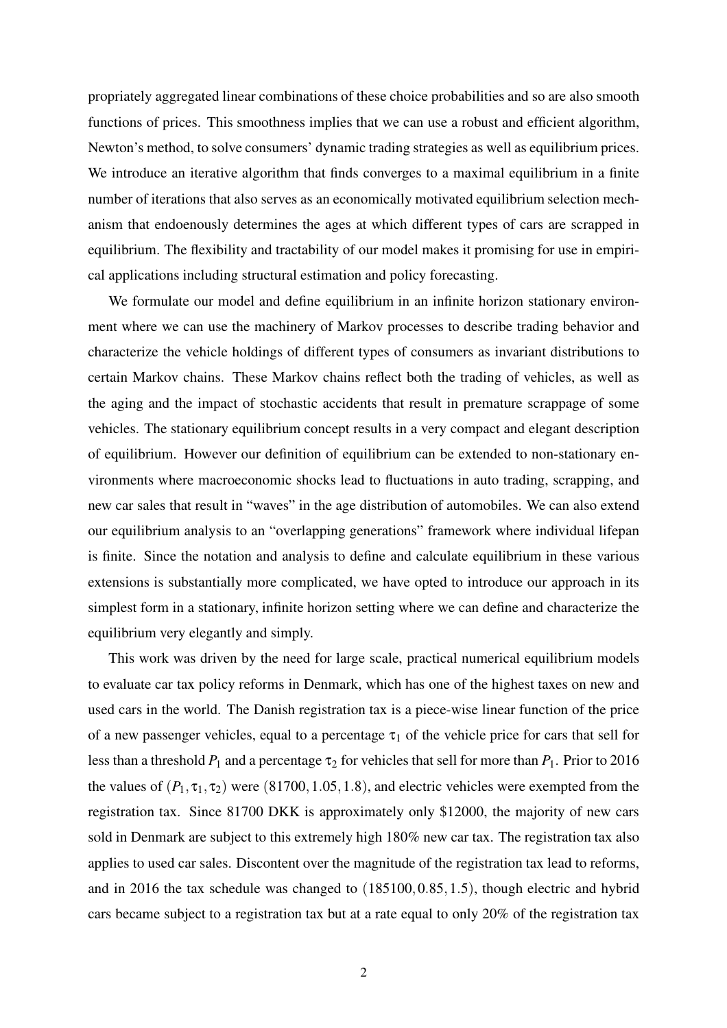propriately aggregated linear combinations of these choice probabilities and so are also smooth functions of prices. This smoothness implies that we can use a robust and efficient algorithm, Newton's method, to solve consumers' dynamic trading strategies as well as equilibrium prices. We introduce an iterative algorithm that finds converges to a maximal equilibrium in a finite number of iterations that also serves as an economically motivated equilibrium selection mechanism that endoenously determines the ages at which different types of cars are scrapped in equilibrium. The flexibility and tractability of our model makes it promising for use in empirical applications including structural estimation and policy forecasting.

We formulate our model and define equilibrium in an infinite horizon stationary environment where we can use the machinery of Markov processes to describe trading behavior and characterize the vehicle holdings of different types of consumers as invariant distributions to certain Markov chains. These Markov chains reflect both the trading of vehicles, as well as the aging and the impact of stochastic accidents that result in premature scrappage of some vehicles. The stationary equilibrium concept results in a very compact and elegant description of equilibrium. However our definition of equilibrium can be extended to non-stationary environments where macroeconomic shocks lead to fluctuations in auto trading, scrapping, and new car sales that result in "waves" in the age distribution of automobiles. We can also extend our equilibrium analysis to an "overlapping generations" framework where individual lifepan is finite. Since the notation and analysis to define and calculate equilibrium in these various extensions is substantially more complicated, we have opted to introduce our approach in its simplest form in a stationary, infinite horizon setting where we can define and characterize the equilibrium very elegantly and simply.

This work was driven by the need for large scale, practical numerical equilibrium models to evaluate car tax policy reforms in Denmark, which has one of the highest taxes on new and used cars in the world. The Danish registration tax is a piece-wise linear function of the price of a new passenger vehicles, equal to a percentage  $\tau_1$  of the vehicle price for cars that sell for less than a threshold  $P_1$  and a percentage  $\tau_2$  for vehicles that sell for more than  $P_1$ . Prior to 2016 the values of  $(P_1, \tau_1, \tau_2)$  were  $(81700, 1.05, 1.8)$ , and electric vehicles were exempted from the registration tax. Since 81700 DKK is approximately only \$12000, the majority of new cars sold in Denmark are subject to this extremely high 180% new car tax. The registration tax also applies to used car sales. Discontent over the magnitude of the registration tax lead to reforms, and in 2016 the tax schedule was changed to (185100,0.85,1.5), though electric and hybrid cars became subject to a registration tax but at a rate equal to only 20% of the registration tax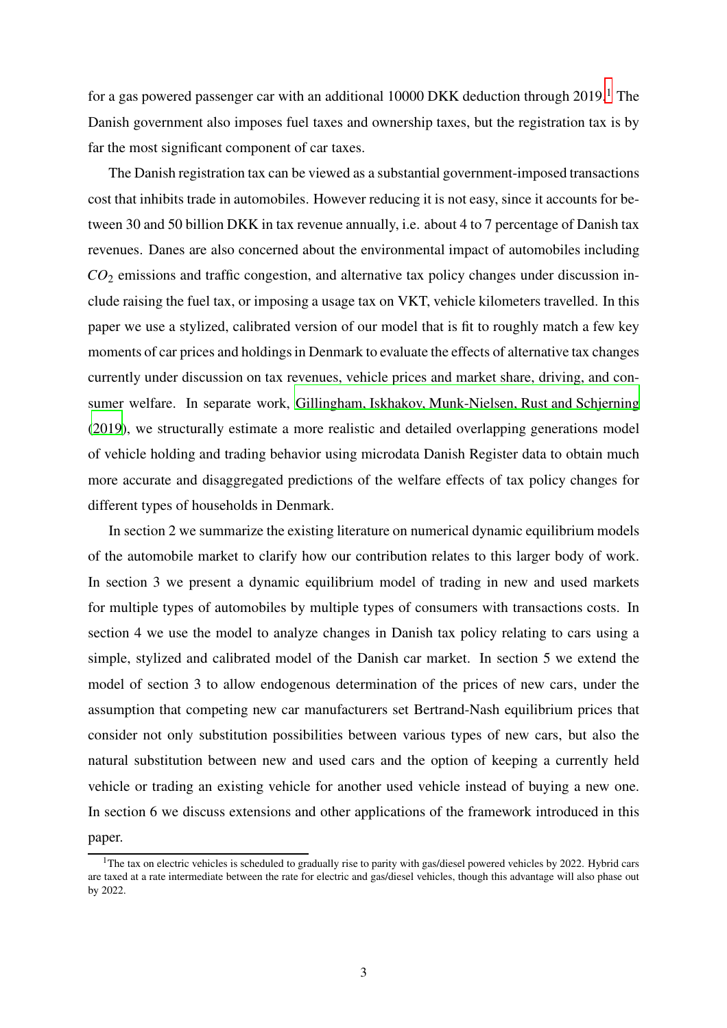for a gas powered passenger car with an additional 10000 DKK deduction through  $2019$ .<sup>1</sup> The Danish government also imposes fuel taxes and ownership taxes, but the registration tax is by far the most significant component of car taxes.

The Danish registration tax can be viewed as a substantial government-imposed transactions cost that inhibits trade in automobiles. However reducing it is not easy, since it accounts for between 30 and 50 billion DKK in tax revenue annually, i.e. about 4 to 7 percentage of Danish tax revenues. Danes are also concerned about the environmental impact of automobiles including *CO*<sup>2</sup> emissions and traffic congestion, and alternative tax policy changes under discussion include raising the fuel tax, or imposing a usage tax on VKT, vehicle kilometers travelled. In this paper we use a stylized, calibrated version of our model that is fit to roughly match a few key moments of car prices and holdings in Denmark to evaluate the effects of alternative tax changes currently under discussion on tax revenues, vehicle prices and market share, driving, and consumer welfare. In separate work, [Gillingham, Iskhakov, Munk-Nielsen, Rust and Schjerning](#page-81-1) [\(2019\)](#page-81-1), we structurally estimate a more realistic and detailed overlapping generations model of vehicle holding and trading behavior using microdata Danish Register data to obtain much more accurate and disaggregated predictions of the welfare effects of tax policy changes for different types of households in Denmark.

In section 2 we summarize the existing literature on numerical dynamic equilibrium models of the automobile market to clarify how our contribution relates to this larger body of work. In section 3 we present a dynamic equilibrium model of trading in new and used markets for multiple types of automobiles by multiple types of consumers with transactions costs. In section 4 we use the model to analyze changes in Danish tax policy relating to cars using a simple, stylized and calibrated model of the Danish car market. In section 5 we extend the model of section 3 to allow endogenous determination of the prices of new cars, under the assumption that competing new car manufacturers set Bertrand-Nash equilibrium prices that consider not only substitution possibilities between various types of new cars, but also the natural substitution between new and used cars and the option of keeping a currently held vehicle or trading an existing vehicle for another used vehicle instead of buying a new one. In section 6 we discuss extensions and other applications of the framework introduced in this paper.

 $1$ <sup>1</sup>The tax on electric vehicles is scheduled to gradually rise to parity with gas/diesel powered vehicles by 2022. Hybrid cars are taxed at a rate intermediate between the rate for electric and gas/diesel vehicles, though this advantage will also phase out by 2022.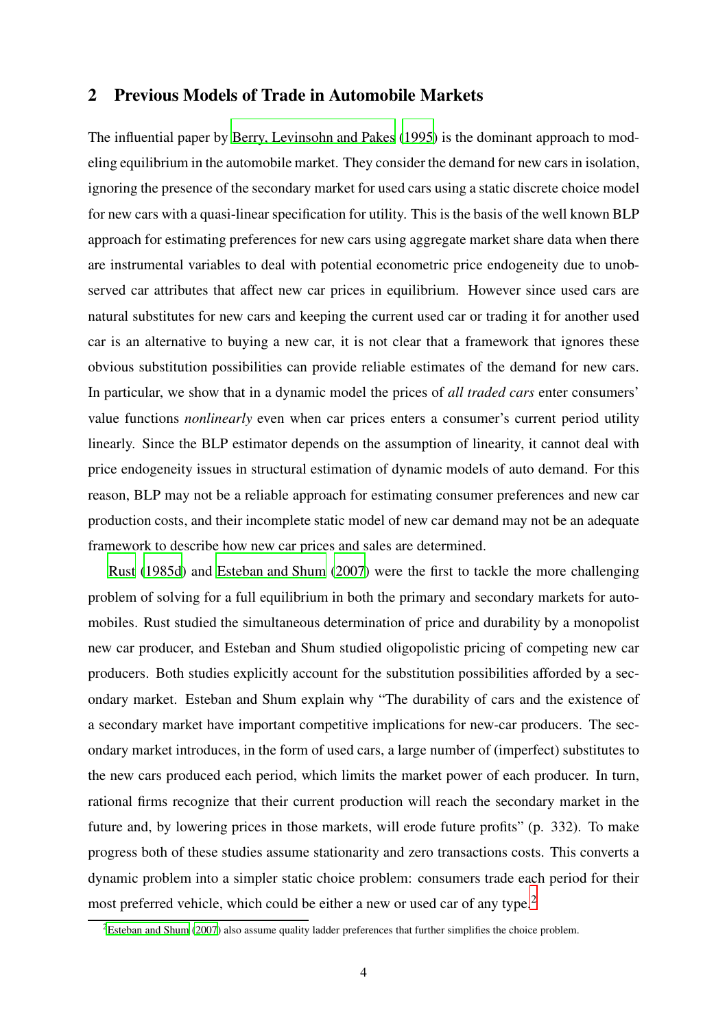### 2 Previous Models of Trade in Automobile Markets

The influential paper by [Berry, Levinsohn and Pakes](#page-81-2) [\(1995\)](#page-81-2) is the dominant approach to modeling equilibrium in the automobile market. They consider the demand for new cars in isolation, ignoring the presence of the secondary market for used cars using a static discrete choice model for new cars with a quasi-linear specification for utility. This is the basis of the well known BLP approach for estimating preferences for new cars using aggregate market share data when there are instrumental variables to deal with potential econometric price endogeneity due to unobserved car attributes that affect new car prices in equilibrium. However since used cars are natural substitutes for new cars and keeping the current used car or trading it for another used car is an alternative to buying a new car, it is not clear that a framework that ignores these obvious substitution possibilities can provide reliable estimates of the demand for new cars. In particular, we show that in a dynamic model the prices of *all traded cars* enter consumers' value functions *nonlinearly* even when car prices enters a consumer's current period utility linearly. Since the BLP estimator depends on the assumption of linearity, it cannot deal with price endogeneity issues in structural estimation of dynamic models of auto demand. For this reason, BLP may not be a reliable approach for estimating consumer preferences and new car production costs, and their incomplete static model of new car demand may not be an adequate framework to describe how new car prices and sales are determined.

[Rust](#page-82-0) [\(1985d\)](#page-82-0) and [Esteban and Shum](#page-81-3) [\(2007\)](#page-81-3) were the first to tackle the more challenging problem of solving for a full equilibrium in both the primary and secondary markets for automobiles. Rust studied the simultaneous determination of price and durability by a monopolist new car producer, and Esteban and Shum studied oligopolistic pricing of competing new car producers. Both studies explicitly account for the substitution possibilities afforded by a secondary market. Esteban and Shum explain why "The durability of cars and the existence of a secondary market have important competitive implications for new-car producers. The secondary market introduces, in the form of used cars, a large number of (imperfect) substitutes to the new cars produced each period, which limits the market power of each producer. In turn, rational firms recognize that their current production will reach the secondary market in the future and, by lowering prices in those markets, will erode future profits" (p. 332). To make progress both of these studies assume stationarity and zero transactions costs. This converts a dynamic problem into a simpler static choice problem: consumers trade each period for their most preferred vehicle, which could be either a new or used car of any type.<sup>2</sup>

 ${}^{2}$ [Esteban and Shum \(2007](#page-81-3)) also assume quality ladder preferences that further simplifies the choice problem.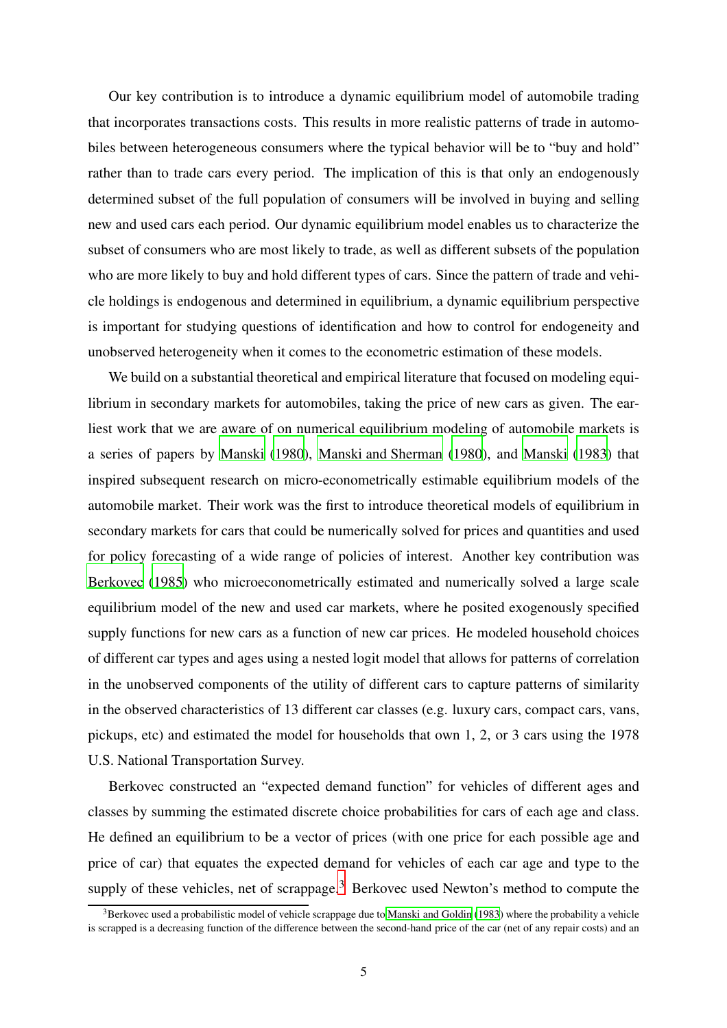Our key contribution is to introduce a dynamic equilibrium model of automobile trading that incorporates transactions costs. This results in more realistic patterns of trade in automobiles between heterogeneous consumers where the typical behavior will be to "buy and hold" rather than to trade cars every period. The implication of this is that only an endogenously determined subset of the full population of consumers will be involved in buying and selling new and used cars each period. Our dynamic equilibrium model enables us to characterize the subset of consumers who are most likely to trade, as well as different subsets of the population who are more likely to buy and hold different types of cars. Since the pattern of trade and vehicle holdings is endogenous and determined in equilibrium, a dynamic equilibrium perspective is important for studying questions of identification and how to control for endogeneity and unobserved heterogeneity when it comes to the econometric estimation of these models.

We build on a substantial theoretical and empirical literature that focused on modeling equilibrium in secondary markets for automobiles, taking the price of new cars as given. The earliest work that we are aware of on numerical equilibrium modeling of automobile markets is a series of papers by [Manski](#page-82-1) [\(1980\)](#page-82-1), [Manski and Sherman](#page-82-2) [\(1980\)](#page-82-2), and [Manski](#page-82-3) [\(1983\)](#page-82-3) that inspired subsequent research on micro-econometrically estimable equilibrium models of the automobile market. Their work was the first to introduce theoretical models of equilibrium in secondary markets for cars that could be numerically solved for prices and quantities and used for policy forecasting of a wide range of policies of interest. Another key contribution was [Berkovec](#page-81-4) [\(1985\)](#page-81-4) who microeconometrically estimated and numerically solved a large scale equilibrium model of the new and used car markets, where he posited exogenously specified supply functions for new cars as a function of new car prices. He modeled household choices of different car types and ages using a nested logit model that allows for patterns of correlation in the unobserved components of the utility of different cars to capture patterns of similarity in the observed characteristics of 13 different car classes (e.g. luxury cars, compact cars, vans, pickups, etc) and estimated the model for households that own 1, 2, or 3 cars using the 1978 U.S. National Transportation Survey.

Berkovec constructed an "expected demand function" for vehicles of different ages and classes by summing the estimated discrete choice probabilities for cars of each age and class. He defined an equilibrium to be a vector of prices (with one price for each possible age and price of car) that equates the expected demand for vehicles of each car age and type to the supply of these vehicles, net of scrappage.<sup>3</sup> Berkovec used Newton's method to compute the

<sup>&</sup>lt;sup>3</sup>Berkovec used a probabilistic model of vehicle scrappage due to [Manski and Goldin \(1983](#page-82-4)) where the probability a vehicle is scrapped is a decreasing function of the difference between the second-hand price of the car (net of any repair costs) and an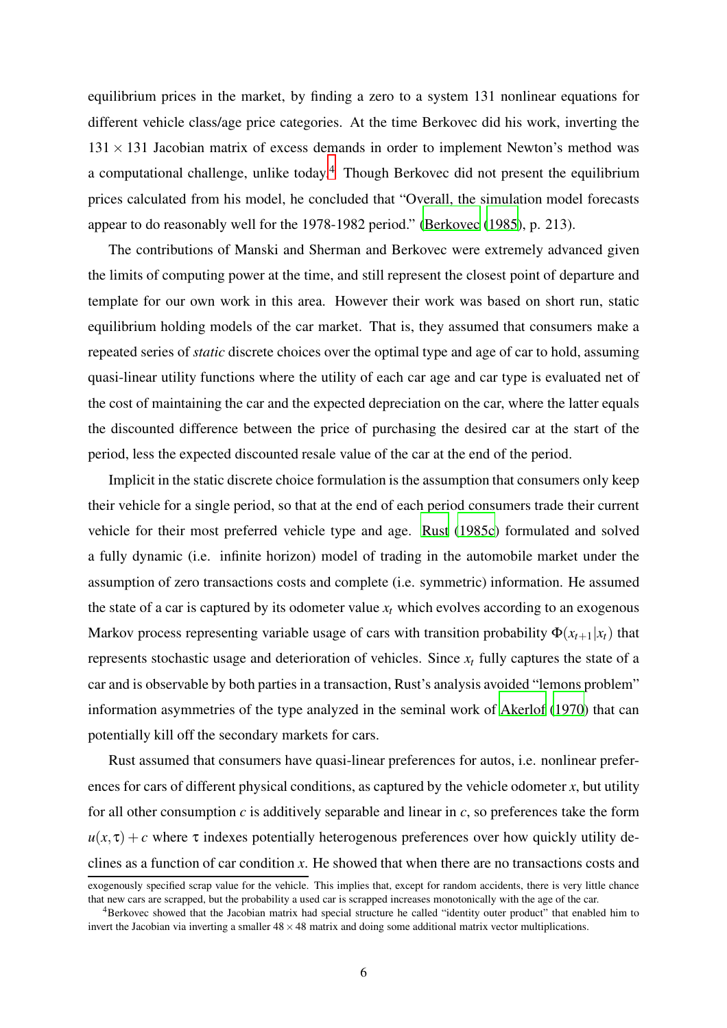equilibrium prices in the market, by finding a zero to a system 131 nonlinear equations for different vehicle class/age price categories. At the time Berkovec did his work, inverting the  $131 \times 131$  Jacobian matrix of excess demands in order to implement Newton's method was a computational challenge, unlike today.<sup>4</sup> Though Berkovec did not present the equilibrium prices calculated from his model, he concluded that "Overall, the simulation model forecasts appear to do reasonably well for the 1978-1982 period." [\(Berkovec](#page-81-4) [\(1985\)](#page-81-4), p. 213).

The contributions of Manski and Sherman and Berkovec were extremely advanced given the limits of computing power at the time, and still represent the closest point of departure and template for our own work in this area. However their work was based on short run, static equilibrium holding models of the car market. That is, they assumed that consumers make a repeated series of *static* discrete choices over the optimal type and age of car to hold, assuming quasi-linear utility functions where the utility of each car age and car type is evaluated net of the cost of maintaining the car and the expected depreciation on the car, where the latter equals the discounted difference between the price of purchasing the desired car at the start of the period, less the expected discounted resale value of the car at the end of the period.

Implicit in the static discrete choice formulation is the assumption that consumers only keep their vehicle for a single period, so that at the end of each period consumers trade their current vehicle for their most preferred vehicle type and age. [Rust](#page-82-5) [\(1985c\)](#page-82-5) formulated and solved a fully dynamic (i.e. infinite horizon) model of trading in the automobile market under the assumption of zero transactions costs and complete (i.e. symmetric) information. He assumed the state of a car is captured by its odometer value  $x_t$  which evolves according to an exogenous Markov process representing variable usage of cars with transition probability  $\Phi(x_{t+1}|x_t)$  that represents stochastic usage and deterioration of vehicles. Since *x<sup>t</sup>* fully captures the state of a car and is observable by both parties in a transaction, Rust's analysis avoided "lemons problem" information asymmetries of the type analyzed in the seminal work of [Akerlof](#page-81-0) [\(1970\)](#page-81-0) that can potentially kill off the secondary markets for cars.

Rust assumed that consumers have quasi-linear preferences for autos, i.e. nonlinear preferences for cars of different physical conditions, as captured by the vehicle odometer *x*, but utility for all other consumption *c* is additively separable and linear in *c*, so preferences take the form  $u(x, \tau) + c$  where  $\tau$  indexes potentially heterogenous preferences over how quickly utility declines as a function of car condition *x*. He showed that when there are no transactions costs and

exogenously specified scrap value for the vehicle. This implies that, except for random accidents, there is very little chance that new cars are scrapped, but the probability a used car is scrapped increases monotonically with the age of the car.

<sup>&</sup>lt;sup>4</sup>Berkovec showed that the Jacobian matrix had special structure he called "identity outer product" that enabled him to invert the Jacobian via inverting a smaller  $48 \times 48$  matrix and doing some additional matrix vector multiplications.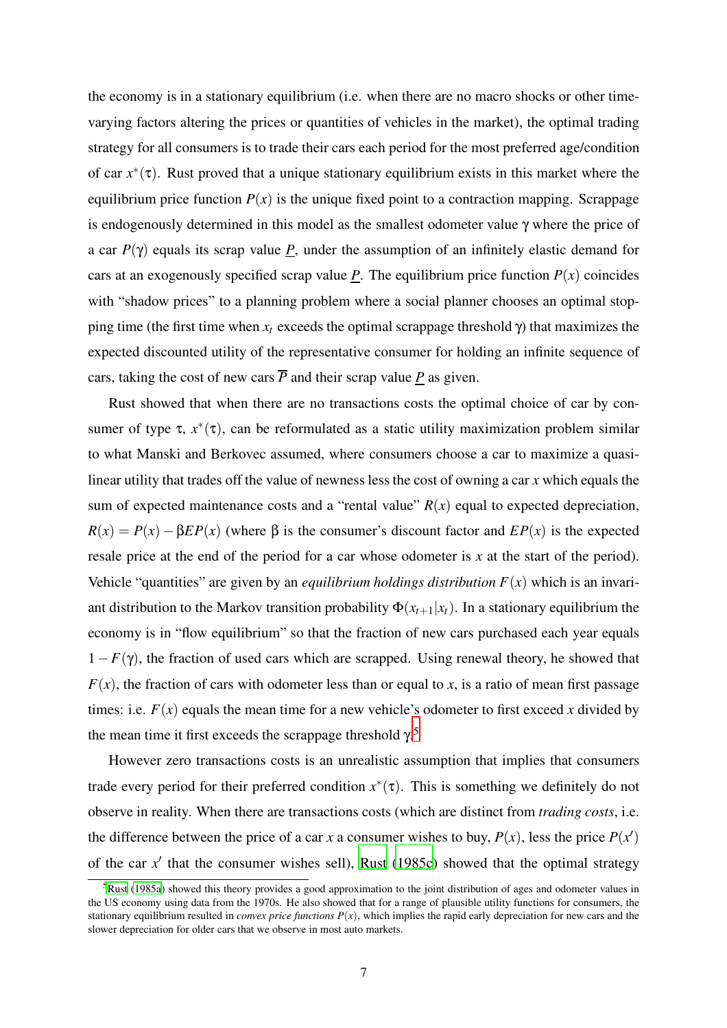the economy is in a stationary equilibrium (i.e. when there are no macro shocks or other timevarying factors altering the prices or quantities of vehicles in the market), the optimal trading strategy for all consumers is to trade their cars each period for the most preferred age/condition of car  $x^*(\tau)$ . Rust proved that a unique stationary equilibrium exists in this market where the equilibrium price function  $P(x)$  is the unique fixed point to a contraction mapping. Scrappage is endogenously determined in this model as the smallest odometer value γ where the price of a car  $P(\gamma)$  equals its scrap value *P*, under the assumption of an infinitely elastic demand for cars at an exogenously specified scrap value  $\underline{P}$ . The equilibrium price function  $P(x)$  coincides with "shadow prices" to a planning problem where a social planner chooses an optimal stopping time (the first time when  $x_t$  exceeds the optimal scrappage threshold  $\gamma$ ) that maximizes the expected discounted utility of the representative consumer for holding an infinite sequence of cars, taking the cost of new cars  $\overline{P}$  and their scrap value  $P$  as given.

Rust showed that when there are no transactions costs the optimal choice of car by consumer of type  $\tau$ ,  $x^*(\tau)$ , can be reformulated as a static utility maximization problem similar to what Manski and Berkovec assumed, where consumers choose a car to maximize a quasilinear utility that trades off the value of newness less the cost of owning a car *x* which equals the sum of expected maintenance costs and a "rental value"  $R(x)$  equal to expected depreciation,  $R(x) = P(x) - \beta E P(x)$  (where  $\beta$  is the consumer's discount factor and  $E P(x)$  is the expected resale price at the end of the period for a car whose odometer is *x* at the start of the period). Vehicle "quantities" are given by an *equilibrium holdings distribution*  $F(x)$  which is an invariant distribution to the Markov transition probability  $\Phi(x_{t+1}|x_t)$ . In a stationary equilibrium the economy is in "flow equilibrium" so that the fraction of new cars purchased each year equals  $1-F(\gamma)$ , the fraction of used cars which are scrapped. Using renewal theory, he showed that  $F(x)$ , the fraction of cars with odometer less than or equal to *x*, is a ratio of mean first passage times: i.e.  $F(x)$  equals the mean time for a new vehicle's odometer to first exceed x divided by the mean time it first exceeds the scrappage threshold  $\gamma$ <sup>5</sup>

However zero transactions costs is an unrealistic assumption that implies that consumers trade every period for their preferred condition  $x^*(\tau)$ . This is something we definitely do not observe in reality. When there are transactions costs (which are distinct from *trading costs*, i.e. the difference between the price of a car *x* a consumer wishes to buy,  $P(x)$ , less the price  $P(x')$ of the car x' that the consumer wishes sell), [Rust](#page-82-5) [\(1985c](#page-82-5)) showed that the optimal strategy

 $5$ [Rust \(1985a](#page-82-6)) showed this theory provides a good approximation to the joint distribution of ages and odometer values in the US economy using data from the 1970s. He also showed that for a range of plausible utility functions for consumers, the stationary equilibrium resulted in *convex price functions*  $P(x)$ , which implies the rapid early depreciation for new cars and the slower depreciation for older cars that we observe in most auto markets.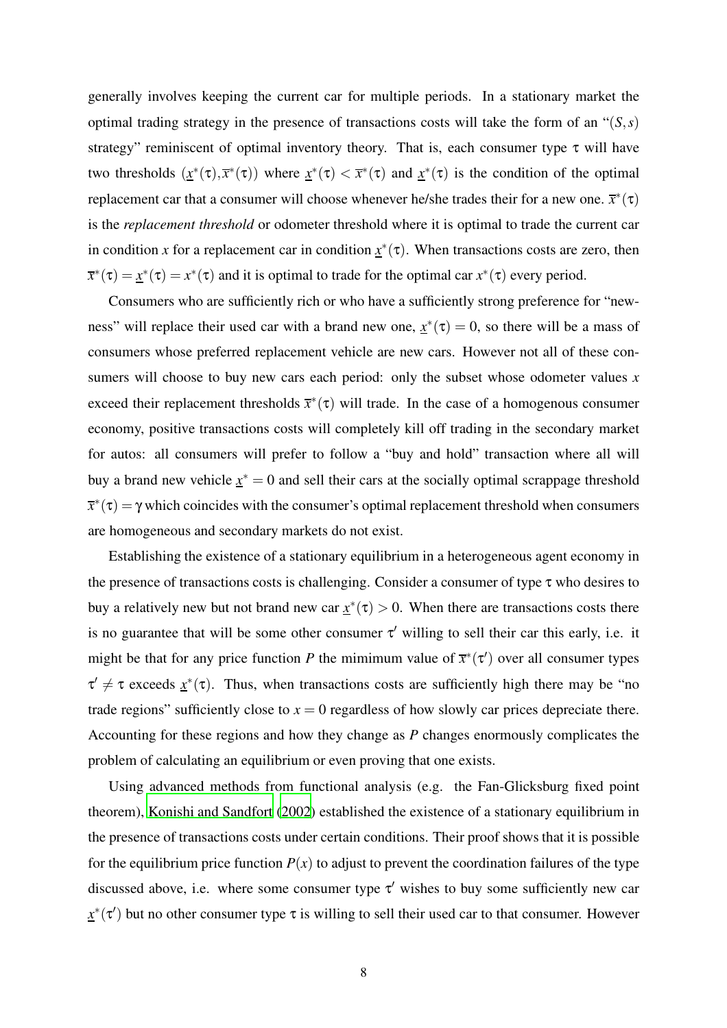generally involves keeping the current car for multiple periods. In a stationary market the optimal trading strategy in the presence of transactions costs will take the form of an "(*S*,*s*) strategy" reminiscent of optimal inventory theory. That is, each consumer type  $\tau$  will have two thresholds  $(x^*(\tau), \overline{x}^*(\tau))$  where  $x^*(\tau) < \overline{x}^*(\tau)$  and  $x^*(\tau)$  is the condition of the optimal replacement car that a consumer will choose whenever he/she trades their for a new one.  $\bar{x}^*(\tau)$ is the *replacement threshold* or odometer threshold where it is optimal to trade the current car in condition *x* for a replacement car in condition  $x^*(\tau)$ . When transactions costs are zero, then  $\overline{x}^*(\tau) = \underline{x}^*(\tau) = x^*(\tau)$  and it is optimal to trade for the optimal car  $x^*(\tau)$  every period.

Consumers who are sufficiently rich or who have a sufficiently strong preference for "newness" will replace their used car with a brand new one,  $x^*(\tau) = 0$ , so there will be a mass of consumers whose preferred replacement vehicle are new cars. However not all of these consumers will choose to buy new cars each period: only the subset whose odometer values *x* exceed their replacement thresholds  $\bar{x}^*(\tau)$  will trade. In the case of a homogenous consumer economy, positive transactions costs will completely kill off trading in the secondary market for autos: all consumers will prefer to follow a "buy and hold" transaction where all will buy a brand new vehicle  $x^* = 0$  and sell their cars at the socially optimal scrappage threshold  $\overline{x}^*(\tau) = \gamma$  which coincides with the consumer's optimal replacement threshold when consumers are homogeneous and secondary markets do not exist.

Establishing the existence of a stationary equilibrium in a heterogeneous agent economy in the presence of transactions costs is challenging. Consider a consumer of type  $\tau$  who desires to buy a relatively new but not brand new car  $x^*(\tau) > 0$ . When there are transactions costs there is no guarantee that will be some other consumer  $\tau'$  willing to sell their car this early, i.e. it might be that for any price function *P* the mimimum value of  $\bar{x}^*(\tau')$  over all consumer types  $\tau' \neq \tau$  exceeds  $x^*(\tau)$ . Thus, when transactions costs are sufficiently high there may be "no trade regions" sufficiently close to  $x = 0$  regardless of how slowly car prices depreciate there. Accounting for these regions and how they change as *P* changes enormously complicates the problem of calculating an equilibrium or even proving that one exists.

Using advanced methods from functional analysis (e.g. the Fan-Glicksburg fixed point theorem), [Konishi and Sandfort \(2002](#page-81-5)) established the existence of a stationary equilibrium in the presence of transactions costs under certain conditions. Their proof shows that it is possible for the equilibrium price function  $P(x)$  to adjust to prevent the coordination failures of the type discussed above, i.e. where some consumer type  $\tau'$  wishes to buy some sufficiently new car  $x^*(\tau')$  but no other consumer type  $\tau$  is willing to sell their used car to that consumer. However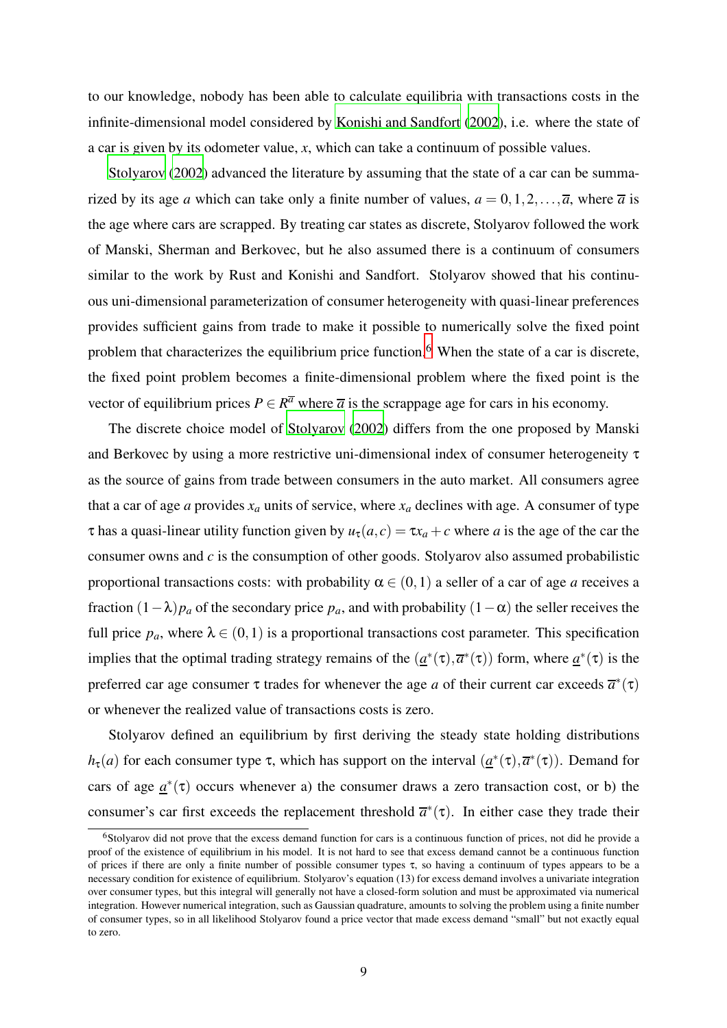to our knowledge, nobody has been able to calculate equilibria with transactions costs in the infinite-dimensional model considered by [Konishi and Sandfort \(2002](#page-81-5)), i.e. where the state of a car is given by its odometer value, *x*, which can take a continuum of possible values.

[Stolyarov \(2002](#page-82-7)) advanced the literature by assuming that the state of a car can be summarized by its age *a* which can take only a finite number of values,  $a = 0, 1, 2, \ldots, \overline{a}$ , where  $\overline{a}$  is the age where cars are scrapped. By treating car states as discrete, Stolyarov followed the work of Manski, Sherman and Berkovec, but he also assumed there is a continuum of consumers similar to the work by Rust and Konishi and Sandfort. Stolyarov showed that his continuous uni-dimensional parameterization of consumer heterogeneity with quasi-linear preferences provides sufficient gains from trade to make it possible to numerically solve the fixed point problem that characterizes the equilibrium price function.<sup>6</sup> When the state of a car is discrete, the fixed point problem becomes a finite-dimensional problem where the fixed point is the vector of equilibrium prices  $P \in \mathbb{R}^{\overline{a}}$  where  $\overline{a}$  is the scrappage age for cars in his economy.

The discrete choice model of [Stolyarov](#page-82-7) [\(2002\)](#page-82-7) differs from the one proposed by Manski and Berkovec by using a more restrictive uni-dimensional index of consumer heterogeneity τ as the source of gains from trade between consumers in the auto market. All consumers agree that a car of age *a* provides  $x_a$  units of service, where  $x_a$  declines with age. A consumer of type  $\tau$  has a quasi-linear utility function given by  $u_{\tau}(a, c) = \tau x_a + c$  where *a* is the age of the car the consumer owns and *c* is the consumption of other goods. Stolyarov also assumed probabilistic proportional transactions costs: with probability  $\alpha \in (0,1)$  a seller of a car of age *a* receives a fraction  $(1-\lambda)p_a$  of the secondary price  $p_a$ , and with probability  $(1-\alpha)$  the seller receives the full price  $p_a$ , where  $\lambda \in (0,1)$  is a proportional transactions cost parameter. This specification implies that the optimal trading strategy remains of the  $(a^*(\tau), \overline{a}^*(\tau))$  form, where  $a^*(\tau)$  is the preferred car age consumer  $\tau$  trades for whenever the age *a* of their current car exceeds  $\overline{a}^*(\tau)$ or whenever the realized value of transactions costs is zero.

Stolyarov defined an equilibrium by first deriving the steady state holding distributions *h*<sub>τ</sub>(*a*) for each consumer type τ, which has support on the interval  $(a^*(τ), \overline{a}^*(τ))$ . Demand for cars of age  $\underline{a}^*(\tau)$  occurs whenever a) the consumer draws a zero transaction cost, or b) the consumer's car first exceeds the replacement threshold  $\bar{a}^*(\tau)$ . In either case they trade their

<sup>&</sup>lt;sup>6</sup>Stolyarov did not prove that the excess demand function for cars is a continuous function of prices, not did he provide a proof of the existence of equilibrium in his model. It is not hard to see that excess demand cannot be a continuous function of prices if there are only a finite number of possible consumer types τ, so having a continuum of types appears to be a necessary condition for existence of equilibrium. Stolyarov's equation (13) for excess demand involves a univariate integration over consumer types, but this integral will generally not have a closed-form solution and must be approximated via numerical integration. However numerical integration, such as Gaussian quadrature, amounts to solving the problem using a finite number of consumer types, so in all likelihood Stolyarov found a price vector that made excess demand "small" but not exactly equal to zero.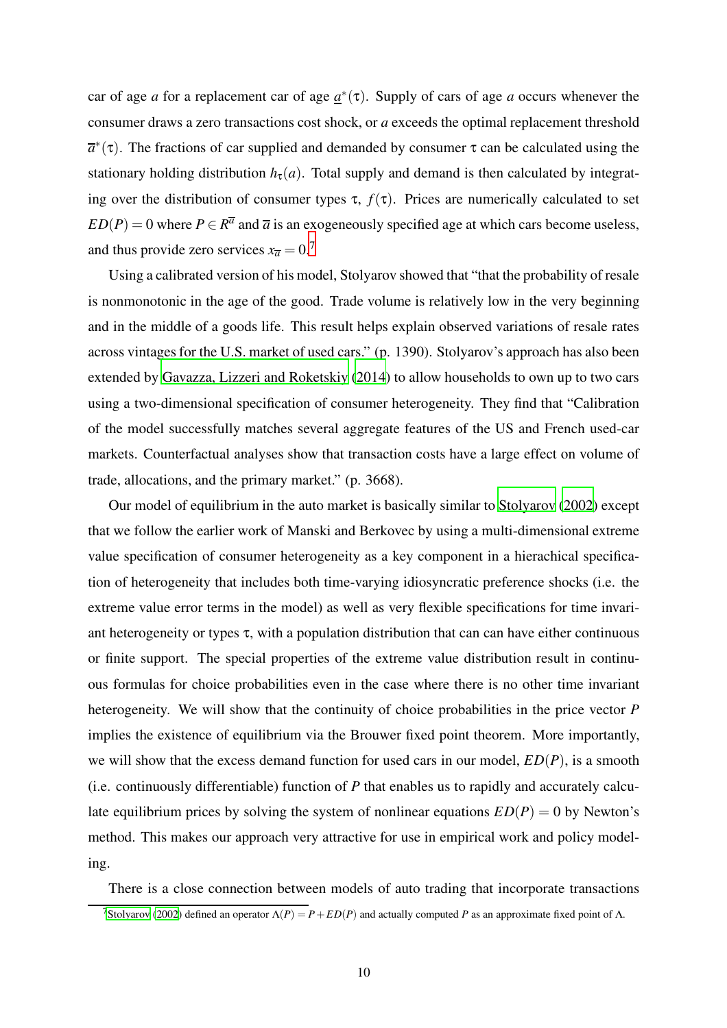car of age *a* for a replacement car of age  $\underline{a}^*(\tau)$ . Supply of cars of age *a* occurs whenever the consumer draws a zero transactions cost shock, or *a* exceeds the optimal replacement threshold  $\overline{a}^*(\tau)$ . The fractions of car supplied and demanded by consumer  $\tau$  can be calculated using the stationary holding distribution  $h_{\tau}(a)$ . Total supply and demand is then calculated by integrating over the distribution of consumer types  $\tau$ ,  $f(\tau)$ . Prices are numerically calculated to set  $ED(P) = 0$  where  $P \in R^{\overline{a}}$  and  $\overline{a}$  is an exogeneously specified age at which cars become useless, and thus provide zero services  $x_{\overline{a}} = 0.7$ 

Using a calibrated version of his model, Stolyarov showed that "that the probability of resale is nonmonotonic in the age of the good. Trade volume is relatively low in the very beginning and in the middle of a goods life. This result helps explain observed variations of resale rates across vintages for the U.S. market of used cars." (p. 1390). Stolyarov's approach has also been extended by [Gavazza, Lizzeri and Roketskiy](#page-81-6) [\(2014\)](#page-81-6) to allow households to own up to two cars using a two-dimensional specification of consumer heterogeneity. They find that "Calibration of the model successfully matches several aggregate features of the US and French used-car markets. Counterfactual analyses show that transaction costs have a large effect on volume of trade, allocations, and the primary market." (p. 3668).

Our model of equilibrium in the auto market is basically similar to [Stolyarov \(2002](#page-82-7)) except that we follow the earlier work of Manski and Berkovec by using a multi-dimensional extreme value specification of consumer heterogeneity as a key component in a hierachical specification of heterogeneity that includes both time-varying idiosyncratic preference shocks (i.e. the extreme value error terms in the model) as well as very flexible specifications for time invariant heterogeneity or types  $\tau$ , with a population distribution that can can have either continuous or finite support. The special properties of the extreme value distribution result in continuous formulas for choice probabilities even in the case where there is no other time invariant heterogeneity. We will show that the continuity of choice probabilities in the price vector *P* implies the existence of equilibrium via the Brouwer fixed point theorem. More importantly, we will show that the excess demand function for used cars in our model, *ED*(*P*), is a smooth (i.e. continuously differentiable) function of *P* that enables us to rapidly and accurately calculate equilibrium prices by solving the system of nonlinear equations  $ED(P) = 0$  by Newton's method. This makes our approach very attractive for use in empirical work and policy modeling.

There is a close connection between models of auto trading that incorporate transactions

<sup>&</sup>lt;sup>7</sup>[Stolyarov \(2002](#page-82-7)) defined an operator  $\Lambda(P) = P + ED(P)$  and actually computed *P* as an approximate fixed point of Λ.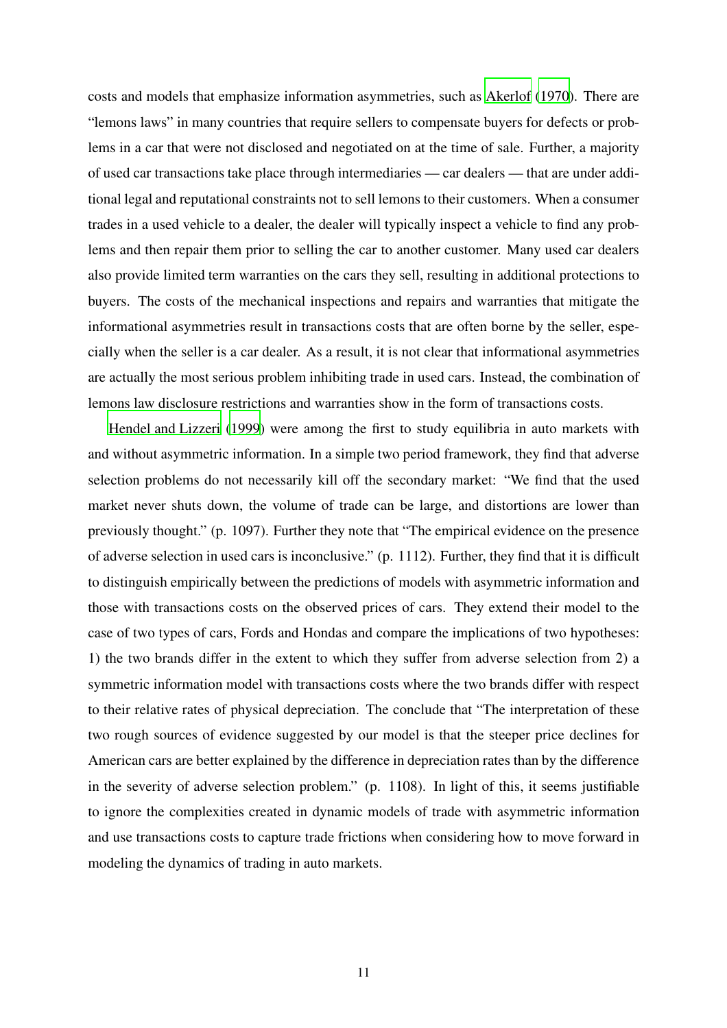costs and models that emphasize information asymmetries, such as [Akerlof](#page-81-0) [\(1970\)](#page-81-0). There are "lemons laws" in many countries that require sellers to compensate buyers for defects or problems in a car that were not disclosed and negotiated on at the time of sale. Further, a majority of used car transactions take place through intermediaries — car dealers — that are under additional legal and reputational constraints not to sell lemons to their customers. When a consumer trades in a used vehicle to a dealer, the dealer will typically inspect a vehicle to find any problems and then repair them prior to selling the car to another customer. Many used car dealers also provide limited term warranties on the cars they sell, resulting in additional protections to buyers. The costs of the mechanical inspections and repairs and warranties that mitigate the informational asymmetries result in transactions costs that are often borne by the seller, especially when the seller is a car dealer. As a result, it is not clear that informational asymmetries are actually the most serious problem inhibiting trade in used cars. Instead, the combination of lemons law disclosure restrictions and warranties show in the form of transactions costs.

[Hendel and Lizzeri](#page-81-7) [\(1999\)](#page-81-7) were among the first to study equilibria in auto markets with and without asymmetric information. In a simple two period framework, they find that adverse selection problems do not necessarily kill off the secondary market: "We find that the used market never shuts down, the volume of trade can be large, and distortions are lower than previously thought." (p. 1097). Further they note that "The empirical evidence on the presence of adverse selection in used cars is inconclusive." (p. 1112). Further, they find that it is difficult to distinguish empirically between the predictions of models with asymmetric information and those with transactions costs on the observed prices of cars. They extend their model to the case of two types of cars, Fords and Hondas and compare the implications of two hypotheses: 1) the two brands differ in the extent to which they suffer from adverse selection from 2) a symmetric information model with transactions costs where the two brands differ with respect to their relative rates of physical depreciation. The conclude that "The interpretation of these two rough sources of evidence suggested by our model is that the steeper price declines for American cars are better explained by the difference in depreciation rates than by the difference in the severity of adverse selection problem." (p. 1108). In light of this, it seems justifiable to ignore the complexities created in dynamic models of trade with asymmetric information and use transactions costs to capture trade frictions when considering how to move forward in modeling the dynamics of trading in auto markets.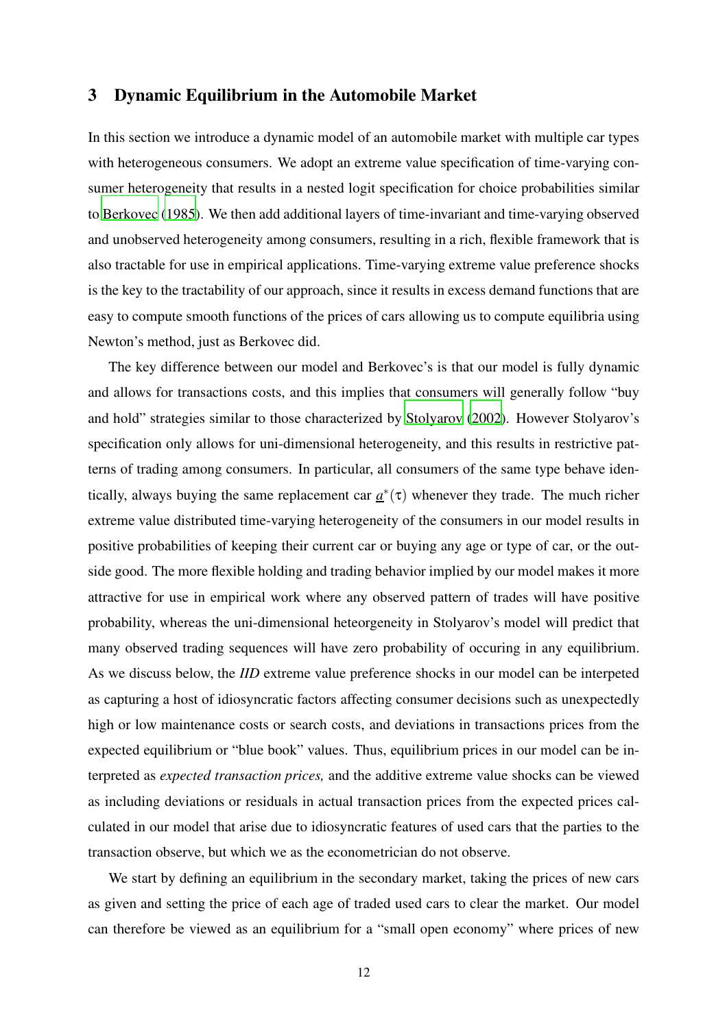### 3 Dynamic Equilibrium in the Automobile Market

In this section we introduce a dynamic model of an automobile market with multiple car types with heterogeneous consumers. We adopt an extreme value specification of time-varying consumer heterogeneity that results in a nested logit specification for choice probabilities similar to [Berkovec](#page-81-4) [\(1985\)](#page-81-4). We then add additional layers of time-invariant and time-varying observed and unobserved heterogeneity among consumers, resulting in a rich, flexible framework that is also tractable for use in empirical applications. Time-varying extreme value preference shocks is the key to the tractability of our approach, since it results in excess demand functions that are easy to compute smooth functions of the prices of cars allowing us to compute equilibria using Newton's method, just as Berkovec did.

The key difference between our model and Berkovec's is that our model is fully dynamic and allows for transactions costs, and this implies that consumers will generally follow "buy and hold" strategies similar to those characterized by [Stolyarov \(2002](#page-82-7)). However Stolyarov's specification only allows for uni-dimensional heterogeneity, and this results in restrictive patterns of trading among consumers. In particular, all consumers of the same type behave identically, always buying the same replacement car  $\underline{a}^*(\tau)$  whenever they trade. The much richer extreme value distributed time-varying heterogeneity of the consumers in our model results in positive probabilities of keeping their current car or buying any age or type of car, or the outside good. The more flexible holding and trading behavior implied by our model makes it more attractive for use in empirical work where any observed pattern of trades will have positive probability, whereas the uni-dimensional heteorgeneity in Stolyarov's model will predict that many observed trading sequences will have zero probability of occuring in any equilibrium. As we discuss below, the *IID* extreme value preference shocks in our model can be interpeted as capturing a host of idiosyncratic factors affecting consumer decisions such as unexpectedly high or low maintenance costs or search costs, and deviations in transactions prices from the expected equilibrium or "blue book" values. Thus, equilibrium prices in our model can be interpreted as *expected transaction prices,* and the additive extreme value shocks can be viewed as including deviations or residuals in actual transaction prices from the expected prices calculated in our model that arise due to idiosyncratic features of used cars that the parties to the transaction observe, but which we as the econometrician do not observe.

We start by defining an equilibrium in the secondary market, taking the prices of new cars as given and setting the price of each age of traded used cars to clear the market. Our model can therefore be viewed as an equilibrium for a "small open economy" where prices of new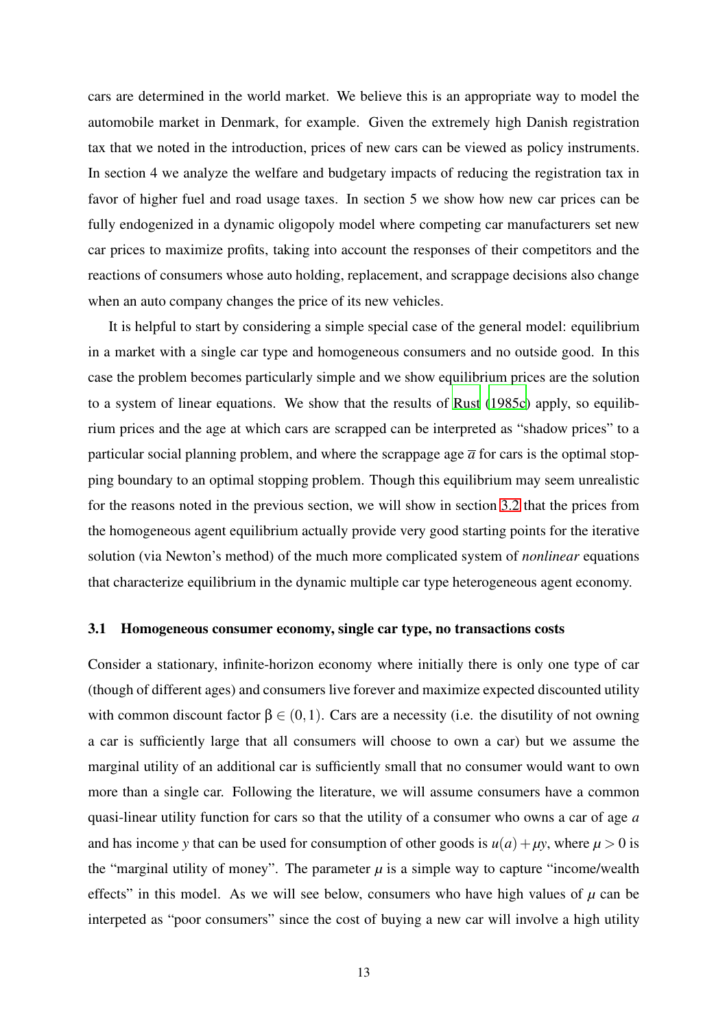cars are determined in the world market. We believe this is an appropriate way to model the automobile market in Denmark, for example. Given the extremely high Danish registration tax that we noted in the introduction, prices of new cars can be viewed as policy instruments. In section 4 we analyze the welfare and budgetary impacts of reducing the registration tax in favor of higher fuel and road usage taxes. In section 5 we show how new car prices can be fully endogenized in a dynamic oligopoly model where competing car manufacturers set new car prices to maximize profits, taking into account the responses of their competitors and the reactions of consumers whose auto holding, replacement, and scrappage decisions also change when an auto company changes the price of its new vehicles.

It is helpful to start by considering a simple special case of the general model: equilibrium in a market with a single car type and homogeneous consumers and no outside good. In this case the problem becomes particularly simple and we show equilibrium prices are the solution to a system of linear equations. We show that the results of [Rust \(1985c](#page-82-5)) apply, so equilibrium prices and the age at which cars are scrapped can be interpreted as "shadow prices" to a particular social planning problem, and where the scrappage age  $\overline{a}$  for cars is the optimal stopping boundary to an optimal stopping problem. Though this equilibrium may seem unrealistic for the reasons noted in the previous section, we will show in section [3.2](#page-22-0) that the prices from the homogeneous agent equilibrium actually provide very good starting points for the iterative solution (via Newton's method) of the much more complicated system of *nonlinear* equations that characterize equilibrium in the dynamic multiple car type heterogeneous agent economy.

### <span id="page-13-0"></span>3.1 Homogeneous consumer economy, single car type, no transactions costs

Consider a stationary, infinite-horizon economy where initially there is only one type of car (though of different ages) and consumers live forever and maximize expected discounted utility with common discount factor  $\beta \in (0,1)$ . Cars are a necessity (i.e. the disutility of not owning a car is sufficiently large that all consumers will choose to own a car) but we assume the marginal utility of an additional car is sufficiently small that no consumer would want to own more than a single car. Following the literature, we will assume consumers have a common quasi-linear utility function for cars so that the utility of a consumer who owns a car of age *a* and has income *y* that can be used for consumption of other goods is  $u(a) + \mu y$ , where  $\mu > 0$  is the "marginal utility of money". The parameter  $\mu$  is a simple way to capture "income/wealth" effects" in this model. As we will see below, consumers who have high values of  $\mu$  can be interpeted as "poor consumers" since the cost of buying a new car will involve a high utility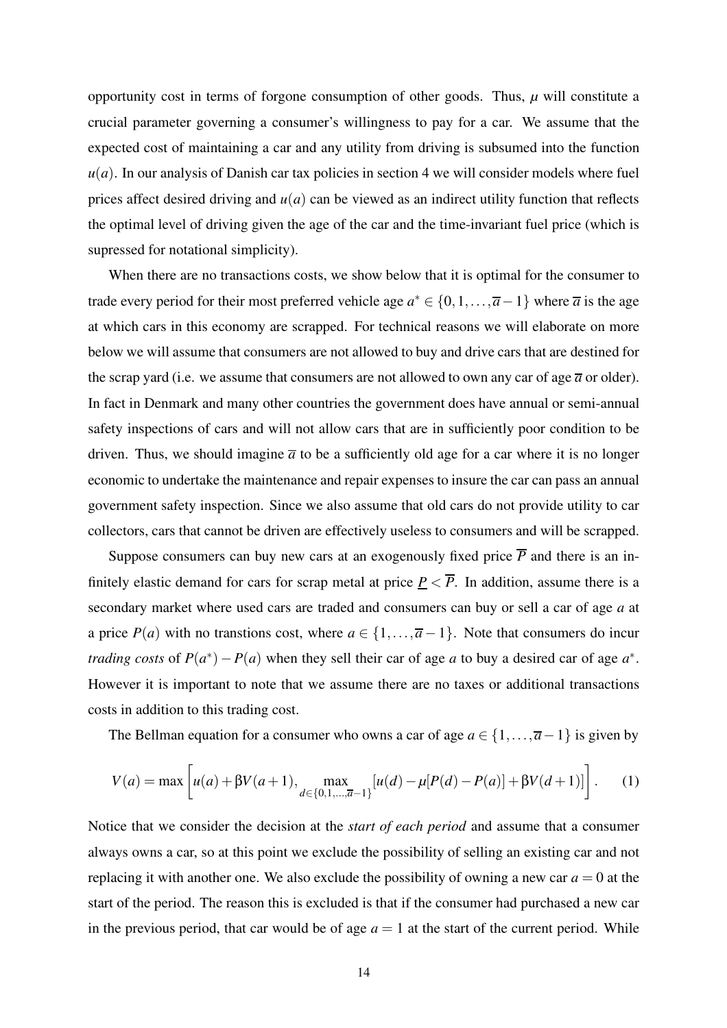opportunity cost in terms of forgone consumption of other goods. Thus,  $\mu$  will constitute a crucial parameter governing a consumer's willingness to pay for a car. We assume that the expected cost of maintaining a car and any utility from driving is subsumed into the function  $u(a)$ . In our analysis of Danish car tax policies in section 4 we will consider models where fuel prices affect desired driving and  $u(a)$  can be viewed as an indirect utility function that reflects the optimal level of driving given the age of the car and the time-invariant fuel price (which is supressed for notational simplicity).

When there are no transactions costs, we show below that it is optimal for the consumer to trade every period for their most preferred vehicle age  $a^* \in \{0, 1, \ldots, \overline{a-1}\}\$  where  $\overline{a}$  is the age at which cars in this economy are scrapped. For technical reasons we will elaborate on more below we will assume that consumers are not allowed to buy and drive cars that are destined for the scrap yard (i.e. we assume that consumers are not allowed to own any car of age  $\overline{a}$  or older). In fact in Denmark and many other countries the government does have annual or semi-annual safety inspections of cars and will not allow cars that are in sufficiently poor condition to be driven. Thus, we should imagine  $\overline{a}$  to be a sufficiently old age for a car where it is no longer economic to undertake the maintenance and repair expenses to insure the car can pass an annual government safety inspection. Since we also assume that old cars do not provide utility to car collectors, cars that cannot be driven are effectively useless to consumers and will be scrapped.

Suppose consumers can buy new cars at an exogenously fixed price  $\overline{P}$  and there is an infinitely elastic demand for cars for scrap metal at price  $\underline{P} < \overline{P}$ . In addition, assume there is a secondary market where used cars are traded and consumers can buy or sell a car of age *a* at a price  $P(a)$  with no transtions cost, where  $a \in \{1, \ldots, \overline{a} - 1\}$ . Note that consumers do incur *trading costs* of  $P(a^*) - P(a)$  when they sell their car of age *a* to buy a desired car of age  $a^*$ . However it is important to note that we assume there are no taxes or additional transactions costs in addition to this trading cost.

The Bellman equation for a consumer who owns a car of age  $a \in \{1, \ldots, \overline{a-1}\}$  is given by

<span id="page-14-0"></span>
$$
V(a) = \max\left[u(a) + \beta V(a+1), \max_{d \in \{0,1,\dots,\overline{a}-1\}}[u(d) - \mu[P(d) - P(a)] + \beta V(d+1)]\right].
$$
 (1)

Notice that we consider the decision at the *start of each period* and assume that a consumer always owns a car, so at this point we exclude the possibility of selling an existing car and not replacing it with another one. We also exclude the possibility of owning a new car  $a = 0$  at the start of the period. The reason this is excluded is that if the consumer had purchased a new car in the previous period, that car would be of age  $a = 1$  at the start of the current period. While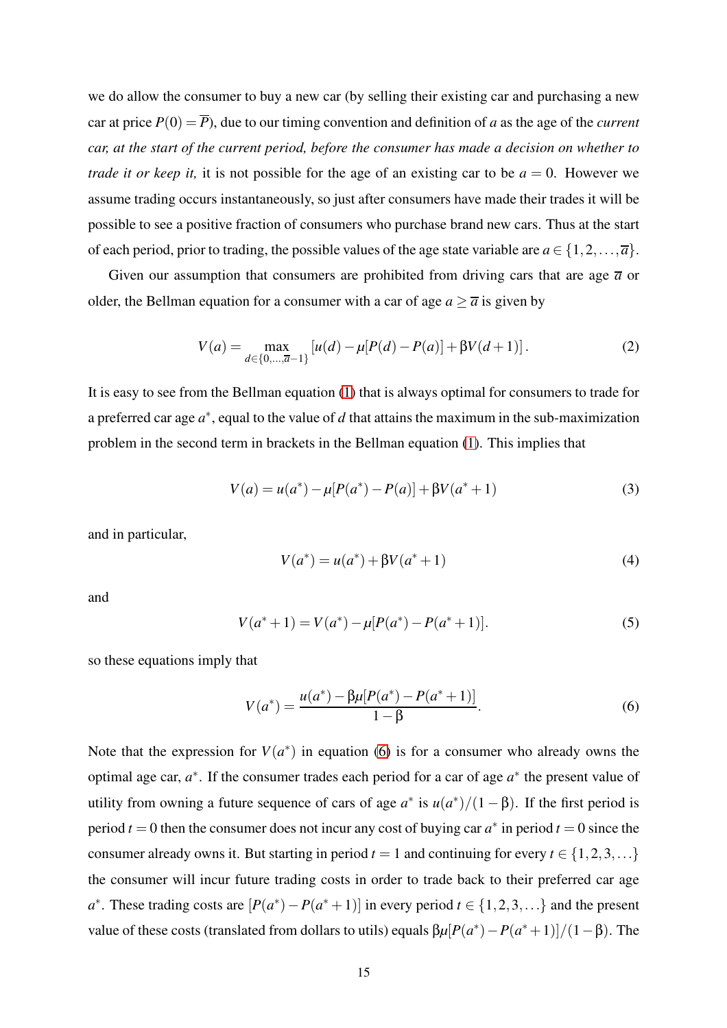we do allow the consumer to buy a new car (by selling their existing car and purchasing a new car at price  $P(0) = \overline{P}$ ), due to our timing convention and definition of *a* as the age of the *current car, at the start of the current period, before the consumer has made a decision on whether to trade it or keep it,* it is not possible for the age of an existing car to be  $a = 0$ . However we assume trading occurs instantaneously, so just after consumers have made their trades it will be possible to see a positive fraction of consumers who purchase brand new cars. Thus at the start of each period, prior to trading, the possible values of the age state variable are  $a \in \{1, 2, ..., \overline{a}\}.$ 

Given our assumption that consumers are prohibited from driving cars that are age  $\bar{a}$  or older, the Bellman equation for a consumer with a car of age  $a \geq \overline{a}$  is given by

$$
V(a) = \max_{d \in \{0, ..., \overline{a}-1\}} [u(d) - \mu [P(d) - P(a)] + \beta V(d+1)].
$$
 (2)

It is easy to see from the Bellman equation [\(1\)](#page-14-0) that is always optimal for consumers to trade for a preferred car age  $a^*$ , equal to the value of *d* that attains the maximum in the sub-maximization problem in the second term in brackets in the Bellman equation [\(1\)](#page-14-0). This implies that

$$
V(a) = u(a^*) - \mu[P(a^*) - P(a)] + \beta V(a^* + 1)
$$
\n(3)

and in particular,

$$
V(a^*) = u(a^*) + \beta V(a^* + 1)
$$
\n(4)

and

$$
V(a^* + 1) = V(a^*) - \mu [P(a^*) - P(a^* + 1)].
$$
\n(5)

so these equations imply that

<span id="page-15-0"></span>
$$
V(a^*) = \frac{u(a^*) - \beta \mu [P(a^*) - P(a^* + 1)]}{1 - \beta}.
$$
\n(6)

Note that the expression for  $V(a^*)$  in equation [\(6\)](#page-15-0) is for a consumer who already owns the optimal age car, *a*<sup>∗</sup>. If the consumer trades each period for a car of age *a*<sup>∗</sup> the present value of utility from owning a future sequence of cars of age  $a^*$  is  $u(a^*)/(1-\beta)$ . If the first period is period  $t = 0$  then the consumer does not incur any cost of buying car  $a^*$  in period  $t = 0$  since the consumer already owns it. But starting in period  $t = 1$  and continuing for every  $t \in \{1, 2, 3, ...\}$ the consumer will incur future trading costs in order to trade back to their preferred car age  $a^*$ . These trading costs are  $[P(a^*) - P(a^* + 1)]$  in every period  $t \in \{1, 2, 3, ...\}$  and the present value of these costs (translated from dollars to utils) equals  $βμ[P(a<sup>*</sup>) – P(a<sup>*</sup>+1)]/(1−β)$ . The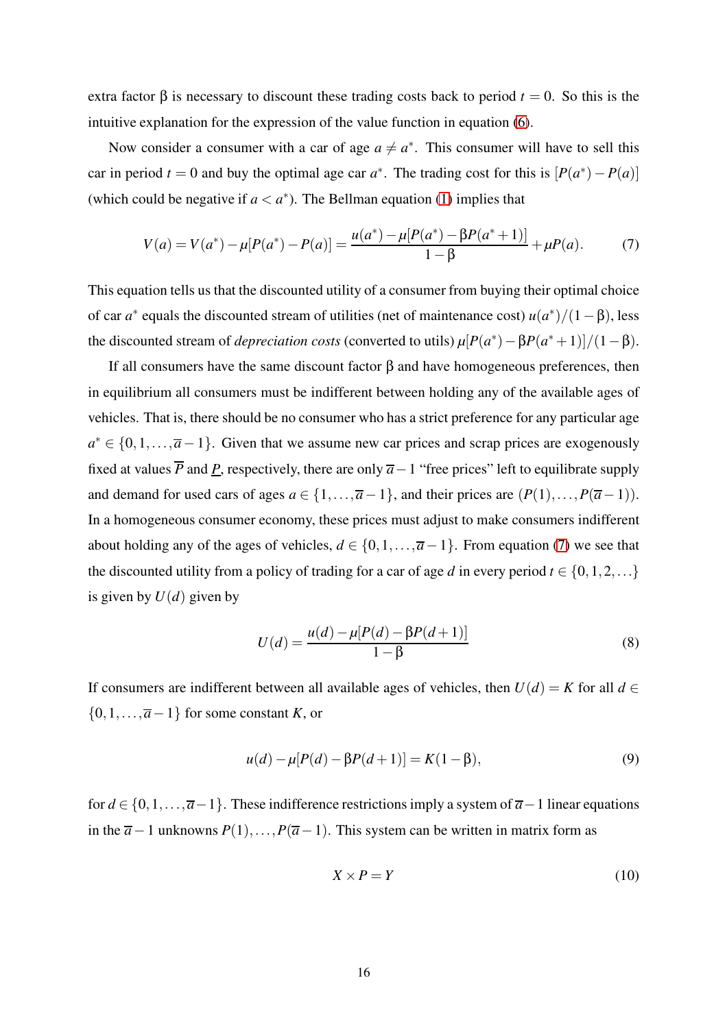extra factor  $\beta$  is necessary to discount these trading costs back to period  $t = 0$ . So this is the intuitive explanation for the expression of the value function in equation [\(6\)](#page-15-0).

Now consider a consumer with a car of age  $a \neq a^*$ . This consumer will have to sell this car in period  $t = 0$  and buy the optimal age car  $a^*$ . The trading cost for this is  $[P(a^*) - P(a)]$ (which could be negative if  $a < a^*$ ). The Bellman equation [\(1\)](#page-14-0) implies that

<span id="page-16-0"></span>
$$
V(a) = V(a^*) - \mu[P(a^*) - P(a)] = \frac{u(a^*) - \mu[P(a^*) - \beta P(a^* + 1)]}{1 - \beta} + \mu P(a). \tag{7}
$$

This equation tells us that the discounted utility of a consumer from buying their optimal choice of car *a*<sup>\*</sup> equals the discounted stream of utilities (net of maintenance cost)  $u(a^*)/(1-\beta)$ , less the discounted stream of *depreciation costs* (converted to utils)  $\mu[P(a^*) - \beta P(a^* + 1)]/(1 - \beta)$ .

If all consumers have the same discount factor  $β$  and have homogeneous preferences, then in equilibrium all consumers must be indifferent between holding any of the available ages of vehicles. That is, there should be no consumer who has a strict preference for any particular age  $a^* \in \{0, 1, \ldots, \overline{a} - 1\}$ . Given that we assume new car prices and scrap prices are exogenously fixed at values  $\overline{P}$  and  $\underline{P}$ , respectively, there are only  $\overline{a}-1$  "free prices" left to equilibrate supply and demand for used cars of ages  $a \in \{1, \ldots, \overline{a-1}\}$ , and their prices are  $(P(1), \ldots, P(\overline{a}-1))$ . In a homogeneous consumer economy, these prices must adjust to make consumers indifferent about holding any of the ages of vehicles,  $d \in \{0, 1, \ldots, \overline{a} - 1\}$ . From equation [\(7\)](#page-16-0) we see that the discounted utility from a policy of trading for a car of age *d* in every period  $t \in \{0, 1, 2, ...\}$ is given by  $U(d)$  given by

$$
U(d) = \frac{u(d) - \mu[P(d) - \beta P(d+1)]}{1 - \beta}
$$
\n(8)

If consumers are indifferent between all available ages of vehicles, then  $U(d) = K$  for all  $d \in$  $\{0,1,\ldots,\overline{a}-1\}$  for some constant *K*, or

$$
u(d) - \mu[P(d) - \beta P(d+1)] = K(1 - \beta),\tag{9}
$$

for  $d \in \{0, 1, \ldots, \overline{a} - 1\}$ . These indifference restrictions imply a system of  $\overline{a} - 1$  linear equations in the  $\bar{a}$  − 1 unknowns *P*(1),...,*P*( $\bar{a}$  − 1). This system can be written in matrix form as

<span id="page-16-1"></span>
$$
X \times P = Y \tag{10}
$$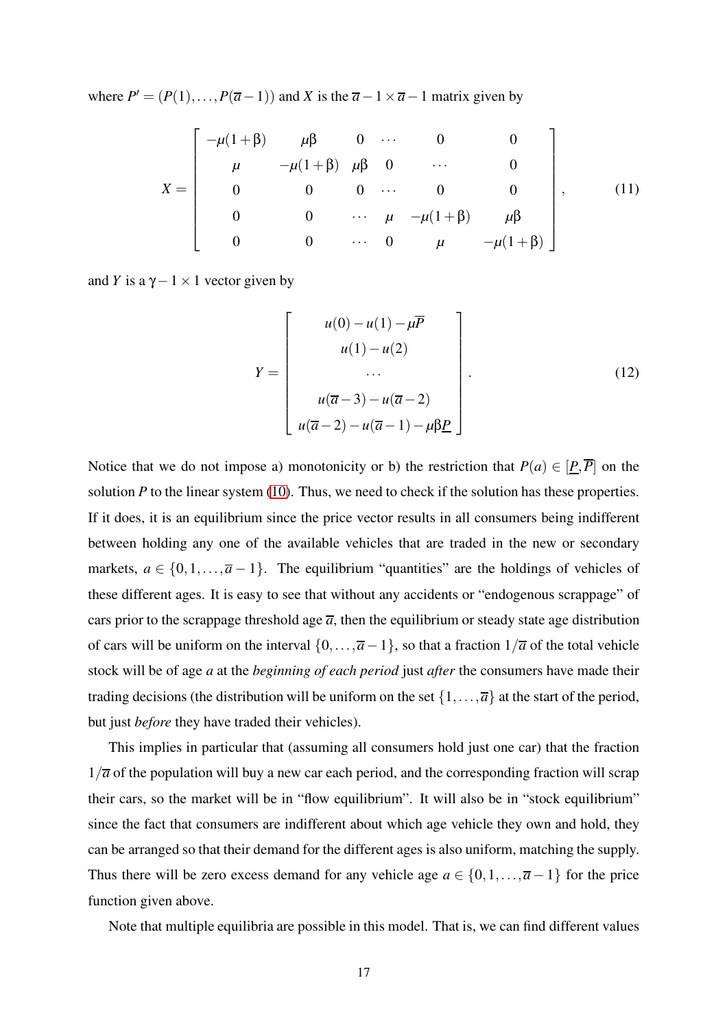where  $P' = (P(1),...,P(\overline{a}-1))$  and *X* is the  $\overline{a}-1 \times \overline{a}-1$  matrix given by

$$
X = \begin{bmatrix} -\mu(1+\beta) & \mu\beta & 0 & \cdots & 0 & 0 \\ \mu & -\mu(1+\beta) & \mu\beta & 0 & \cdots & 0 \\ 0 & 0 & 0 & \cdots & 0 & 0 \\ 0 & 0 & \cdots & \mu & -\mu(1+\beta) & \mu\beta \\ 0 & 0 & \cdots & 0 & \mu & -\mu(1+\beta) \end{bmatrix},
$$
(11)

and *Y* is a  $\gamma$  – 1 × 1 vector given by

$$
Y = \begin{bmatrix} u(0) - u(1) - \mu \overline{P} \\ u(1) - u(2) \\ \cdots \\ u(\overline{a} - 3) - u(\overline{a} - 2) \\ u(\overline{a} - 2) - u(\overline{a} - 1) - \mu \beta \underline{P} \end{bmatrix}.
$$
 (12)

Notice that we do not impose a) monotonicity or b) the restriction that  $P(a) \in [P, \overline{P}]$  on the solution  $P$  to the linear system [\(10\)](#page-16-1). Thus, we need to check if the solution has these properties. If it does, it is an equilibrium since the price vector results in all consumers being indifferent between holding any one of the available vehicles that are traded in the new or secondary markets,  $a \in \{0, 1, \ldots, \overline{a} - 1\}$ . The equilibrium "quantities" are the holdings of vehicles of these different ages. It is easy to see that without any accidents or "endogenous scrappage" of cars prior to the scrappage threshold age  $\overline{a}$ , then the equilibrium or steady state age distribution of cars will be uniform on the interval  $\{0,\ldots,\overline{a}-1\}$ , so that a fraction  $1/\overline{a}$  of the total vehicle stock will be of age *a* at the *beginning of each period* just *after* the consumers have made their trading decisions (the distribution will be uniform on the set  $\{1,\ldots,\overline{a}\}$  at the start of the period, but just *before* they have traded their vehicles).

This implies in particular that (assuming all consumers hold just one car) that the fraction  $1/\overline{a}$  of the population will buy a new car each period, and the corresponding fraction will scrap their cars, so the market will be in "flow equilibrium". It will also be in "stock equilibrium" since the fact that consumers are indifferent about which age vehicle they own and hold, they can be arranged so that their demand for the different ages is also uniform, matching the supply. Thus there will be zero excess demand for any vehicle age  $a \in \{0, 1, \ldots, \overline{a} - 1\}$  for the price function given above.

Note that multiple equilibria are possible in this model. That is, we can find different values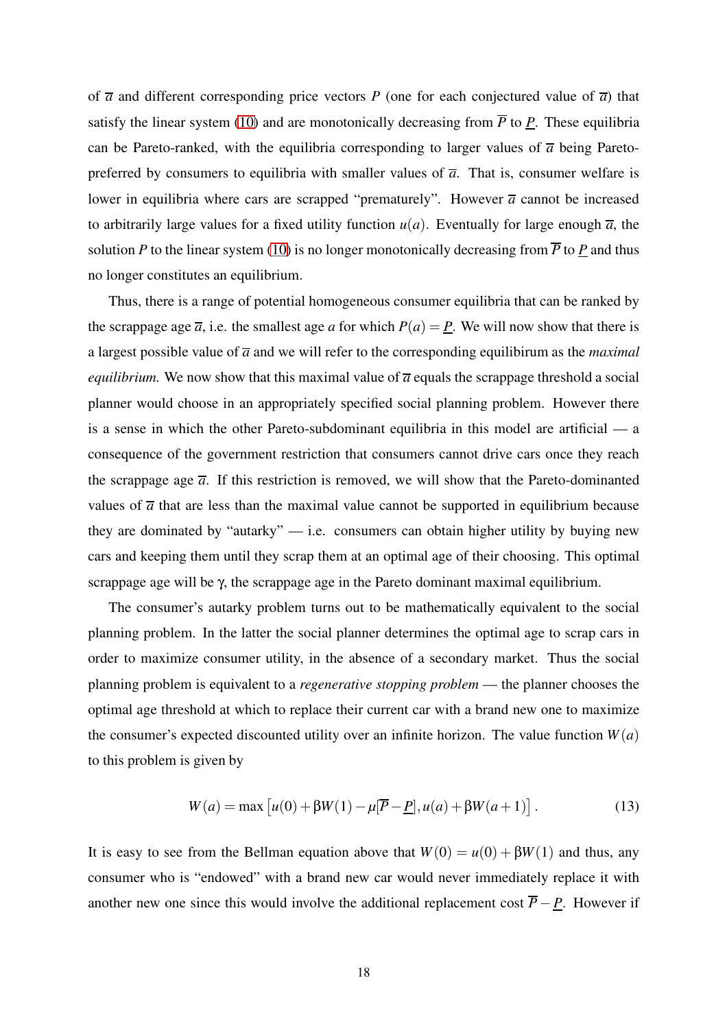of  $\overline{a}$  and different corresponding price vectors *P* (one for each conjectured value of  $\overline{a}$ ) that satisfy the linear system [\(10\)](#page-16-1) and are monotonically decreasing from  $\overline{P}$  to *P*. These equilibria can be Pareto-ranked, with the equilibria corresponding to larger values of  $\overline{a}$  being Paretopreferred by consumers to equilibria with smaller values of  $\bar{a}$ . That is, consumer welfare is lower in equilibria where cars are scrapped "prematurely". However  $\bar{a}$  cannot be increased to arbitrarily large values for a fixed utility function  $u(a)$ . Eventually for large enough  $\overline{a}$ , the solution *P* to the linear system [\(10\)](#page-16-1) is no longer monotonically decreasing from  $\overline{P}$  to *P* and thus no longer constitutes an equilibrium.

Thus, there is a range of potential homogeneous consumer equilibria that can be ranked by the scrappage age  $\overline{a}$ , i.e. the smallest age *a* for which  $P(a) = P$ . We will now show that there is a largest possible value of *a* and we will refer to the corresponding equilibirum as the *maximal equilibrium.* We now show that this maximal value of  $\overline{a}$  equals the scrappage threshold a social planner would choose in an appropriately specified social planning problem. However there is a sense in which the other Pareto-subdominant equilibria in this model are artificial — a consequence of the government restriction that consumers cannot drive cars once they reach the scrappage age  $\overline{a}$ . If this restriction is removed, we will show that the Pareto-dominanted values of  $\overline{a}$  that are less than the maximal value cannot be supported in equilibrium because they are dominated by "autarky"  $-$  i.e. consumers can obtain higher utility by buying new cars and keeping them until they scrap them at an optimal age of their choosing. This optimal scrappage age will be γ, the scrappage age in the Pareto dominant maximal equilibrium.

The consumer's autarky problem turns out to be mathematically equivalent to the social planning problem. In the latter the social planner determines the optimal age to scrap cars in order to maximize consumer utility, in the absence of a secondary market. Thus the social planning problem is equivalent to a *regenerative stopping problem* — the planner chooses the optimal age threshold at which to replace their current car with a brand new one to maximize the consumer's expected discounted utility over an infinite horizon. The value function  $W(a)$ to this problem is given by

<span id="page-18-0"></span>
$$
W(a) = \max [u(0) + \beta W(1) - \mu[\overline{P} - \underline{P}], u(a) + \beta W(a+1)].
$$
 (13)

It is easy to see from the Bellman equation above that  $W(0) = u(0) + \beta W(1)$  and thus, any consumer who is "endowed" with a brand new car would never immediately replace it with another new one since this would involve the additional replacement cost  $\overline{P} - \underline{P}$ . However if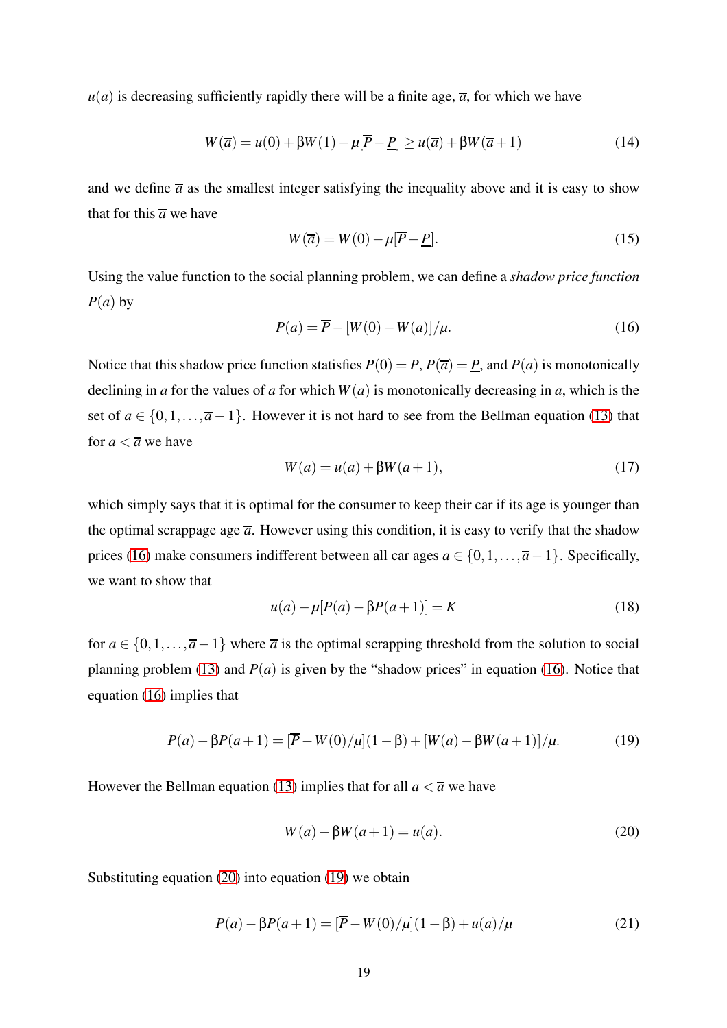$u(a)$  is decreasing sufficiently rapidly there will be a finite age,  $\overline{a}$ , for which we have

<span id="page-19-4"></span>
$$
W(\overline{a}) = u(0) + \beta W(1) - \mu[\overline{P} - \underline{P}] \ge u(\overline{a}) + \beta W(\overline{a} + 1)
$$
\n(14)

and we define  $\overline{a}$  as the smallest integer satisfying the inequality above and it is easy to show that for this  $\overline{a}$  we have

$$
W(\overline{a}) = W(0) - \mu[\overline{P} - \underline{P}].
$$
\n(15)

Using the value function to the social planning problem, we can define a *shadow price function*  $P(a)$  by

<span id="page-19-0"></span>
$$
P(a) = \overline{P} - [W(0) - W(a)]/\mu.
$$
 (16)

Notice that this shadow price function statisfies  $P(0) = \overline{P}$ ,  $P(\overline{a}) = P$ , and  $P(a)$  is monotonically declining in *a* for the values of *a* for which  $W(a)$  is monotonically decreasing in *a*, which is the set of  $a \in \{0, 1, \ldots, \overline{a} - 1\}$ . However it is not hard to see from the Bellman equation [\(13\)](#page-18-0) that for  $a < \overline{a}$  we have

$$
W(a) = u(a) + \beta W(a+1),
$$
\n(17)

which simply says that it is optimal for the consumer to keep their car if its age is younger than the optimal scrappage age  $\overline{a}$ . However using this condition, it is easy to verify that the shadow prices [\(16\)](#page-19-0) make consumers indifferent between all car ages  $a \in \{0, 1, \ldots, \overline{a} - 1\}$ . Specifically, we want to show that

<span id="page-19-3"></span>
$$
u(a) - \mu[P(a) - \beta P(a+1)] = K \tag{18}
$$

for  $a \in \{0, 1, \ldots, \overline{a-1}\}$  where  $\overline{a}$  is the optimal scrapping threshold from the solution to social planning problem [\(13\)](#page-18-0) and  $P(a)$  is given by the "shadow prices" in equation [\(16\)](#page-19-0). Notice that equation [\(16\)](#page-19-0) implies that

<span id="page-19-2"></span>
$$
P(a) - \beta P(a+1) = \overline{P} - W(0)/\mu \left[ (1 - \beta) + \left[ W(a) - \beta W(a+1) \right] / \mu. \tag{19}
$$

However the Bellman equation [\(13\)](#page-18-0) implies that for all  $a < \overline{a}$  we have

<span id="page-19-1"></span>
$$
W(a) - \beta W(a+1) = u(a).
$$
 (20)

Substituting equation [\(20\)](#page-19-1) into equation [\(19\)](#page-19-2) we obtain

$$
P(a) - \beta P(a+1) = [\overline{P} - W(0)/\mu](1-\beta) + u(a)/\mu
$$
 (21)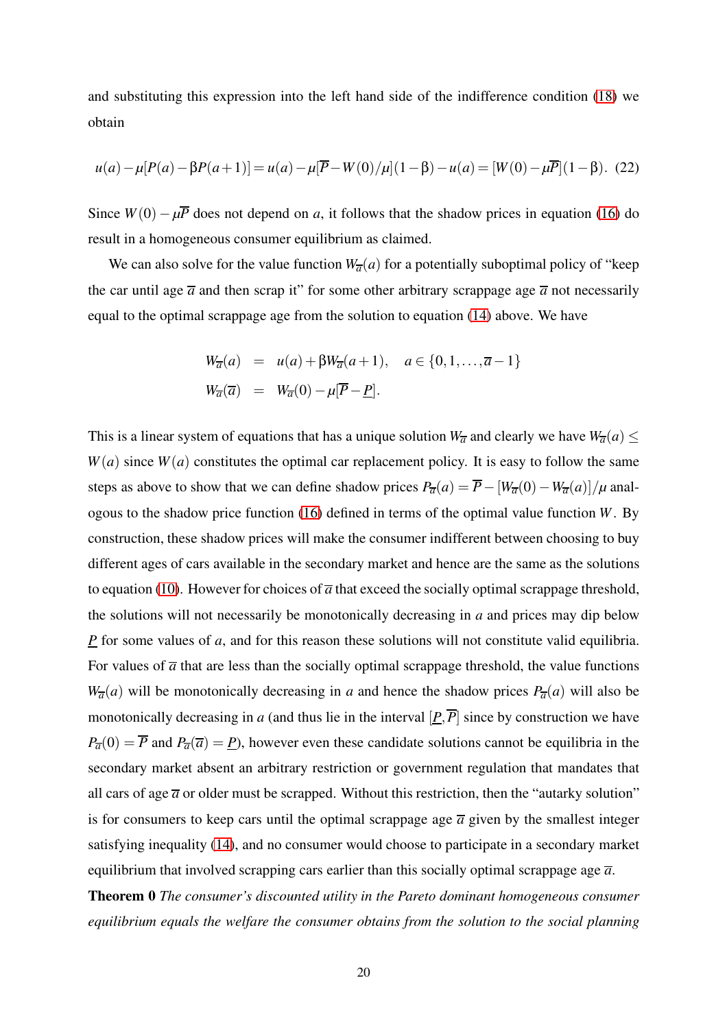and substituting this expression into the left hand side of the indifference condition [\(18\)](#page-19-3) we obtain

$$
u(a) - \mu[P(a) - \beta P(a+1)] = u(a) - \mu[\overline{P} - W(0) / \mu](1 - \beta) - u(a) = [W(0) - \mu \overline{P}](1 - \beta).
$$
 (22)

Since  $W(0) - \mu \overline{P}$  does not depend on *a*, it follows that the shadow prices in equation [\(16\)](#page-19-0) do result in a homogeneous consumer equilibrium as claimed.

We can also solve for the value function  $W_{\overline{a}}(a)$  for a potentially suboptimal policy of "keep" the car until age  $\overline{a}$  and then scrap it" for some other arbitrary scrappage age  $\overline{a}$  not necessarily equal to the optimal scrappage age from the solution to equation [\(14\)](#page-19-4) above. We have

$$
W_{\overline{a}}(a) = u(a) + \beta W_{\overline{a}}(a+1), \quad a \in \{0, 1, \ldots, \overline{a} - 1\}
$$
  

$$
W_{\overline{a}}(\overline{a}) = W_{\overline{a}}(0) - \mu[\overline{P} - \underline{P}].
$$

This is a linear system of equations that has a unique solution  $W_{\overline{a}}$  and clearly we have  $W_{\overline{a}}(a) \leq$  $W(a)$  since  $W(a)$  constitutes the optimal car replacement policy. It is easy to follow the same steps as above to show that we can define shadow prices  $P_{\overline{a}}(a) = \overline{P} - [W_{\overline{a}}(0) - W_{\overline{a}}(a)]/\mu$  analogous to the shadow price function [\(16\)](#page-19-0) defined in terms of the optimal value function *W*. By construction, these shadow prices will make the consumer indifferent between choosing to buy different ages of cars available in the secondary market and hence are the same as the solutions to equation [\(10\)](#page-16-1). However for choices of  $\overline{a}$  that exceed the socially optimal scrappage threshold, the solutions will not necessarily be monotonically decreasing in *a* and prices may dip below *P* for some values of *a*, and for this reason these solutions will not constitute valid equilibria. For values of  $\overline{a}$  that are less than the socially optimal scrappage threshold, the value functions  $W_{\overline{a}}(a)$  will be monotonically decreasing in *a* and hence the shadow prices  $P_{\overline{a}}(a)$  will also be monotonically decreasing in *a* (and thus lie in the interval  $[\underline{P}, \overline{P}]$  since by construction we have  $P_{\overline{a}}(0) = \overline{P}$  and  $P_{\overline{a}}(\overline{a}) = P$ ), however even these candidate solutions cannot be equilibria in the secondary market absent an arbitrary restriction or government regulation that mandates that all cars of age  $\bar{a}$  or older must be scrapped. Without this restriction, then the "autarky solution" is for consumers to keep cars until the optimal scrappage age  $\bar{a}$  given by the smallest integer satisfying inequality [\(14\)](#page-19-4), and no consumer would choose to participate in a secondary market equilibrium that involved scrapping cars earlier than this socially optimal scrappage age  $\bar{a}$ .

Theorem 0 *The consumer's discounted utility in the Pareto dominant homogeneous consumer equilibrium equals the welfare the consumer obtains from the solution to the social planning*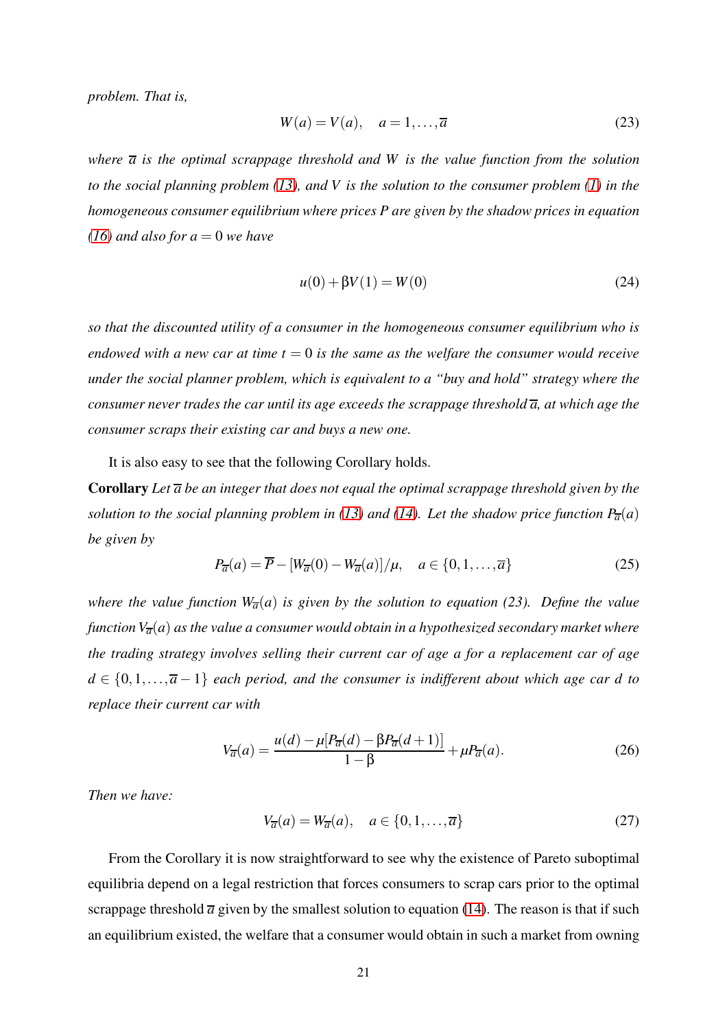*problem. That is,*

$$
W(a) = V(a), \quad a = 1, \dots, \overline{a} \tag{23}
$$

*where a is the optimal scrappage threshold and W is the value function from the solution to the social planning problem [\(13\)](#page-18-0), and V is the solution to the consumer problem [\(1\)](#page-14-0) in the homogeneous consumer equilibrium where prices P are given by the shadow prices in equation*  $(16)$  *and also for a* = 0 *we have* 

$$
u(0) + \beta V(1) = W(0)
$$
 (24)

*so that the discounted utility of a consumer in the homogeneous consumer equilibrium who is endowed with a new car at time*  $t = 0$  *is the same as the welfare the consumer would receive under the social planner problem, which is equivalent to a "buy and hold" strategy where the consumer never trades the car until its age exceeds the scrappage threshold a, at which age the consumer scraps their existing car and buys a new one.*

It is also easy to see that the following Corollary holds.

Corollary *Let a be an integer that does not equal the optimal scrappage threshold given by the solution to the social planning problem in [\(13\)](#page-18-0) and [\(14\)](#page-19-4). Let the shadow price function*  $P_{\overline{a}}(a)$ *be given by*

$$
P_{\overline{a}}(a) = \overline{P} - \left[W_{\overline{a}}(0) - W_{\overline{a}}(a)\right] / \mu, \quad a \in \{0, 1, \dots, \overline{a}\}
$$
 (25)

*where the value function*  $W_{\overline{a}}(a)$  *is given by the solution to equation* (23). Define the value *function*  $V_{\overline{a}}(a)$  *as the value a consumer would obtain in a hypothesized secondary market where the trading strategy involves selling their current car of age a for a replacement car of age d* ∈ {0,1,...,*a* − 1} *each period, and the consumer is indifferent about which age car d to replace their current car with*

$$
V_{\overline{a}}(a) = \frac{u(d) - \mu [P_{\overline{a}}(d) - \beta P_{\overline{a}}(d+1)]}{1 - \beta} + \mu P_{\overline{a}}(a). \tag{26}
$$

*Then we have:*

$$
V_{\overline{a}}(a) = W_{\overline{a}}(a), \quad a \in \{0, 1, \dots, \overline{a}\}
$$
 (27)

From the Corollary it is now straightforward to see why the existence of Pareto suboptimal equilibria depend on a legal restriction that forces consumers to scrap cars prior to the optimal scrappage threshold  $\overline{a}$  given by the smallest solution to equation [\(14\)](#page-19-4). The reason is that if such an equilibrium existed, the welfare that a consumer would obtain in such a market from owning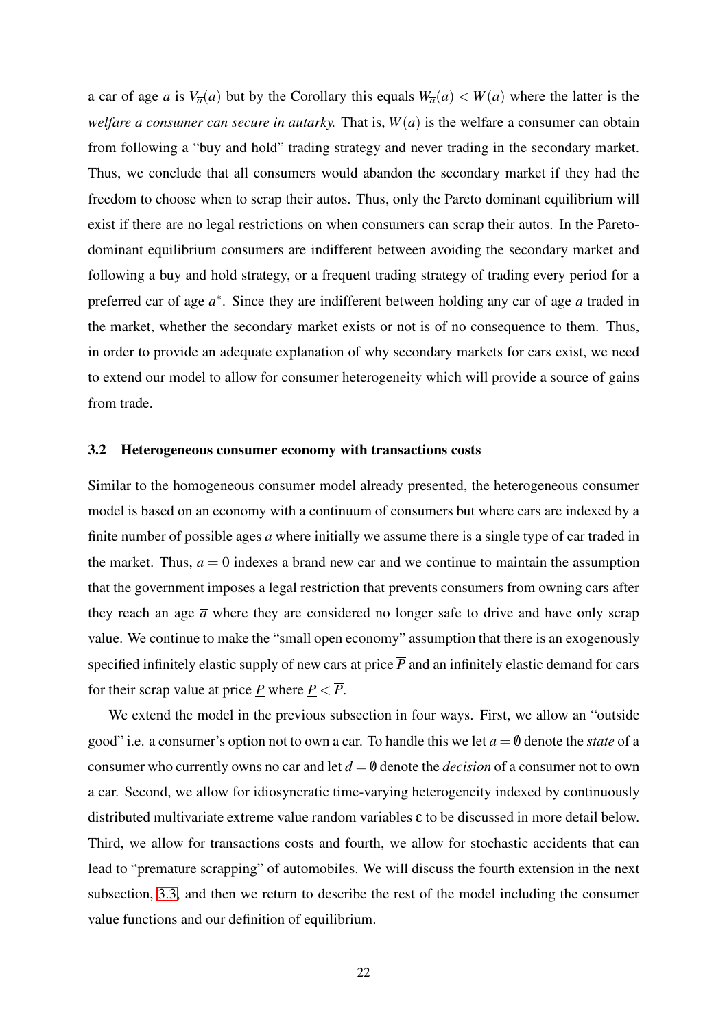a car of age *a* is  $V_{\overline{a}}(a)$  but by the Corollary this equals  $W_{\overline{a}}(a) < W(a)$  where the latter is the *welfare a consumer can secure in autarky.* That is,  $W(a)$  is the welfare a consumer can obtain from following a "buy and hold" trading strategy and never trading in the secondary market. Thus, we conclude that all consumers would abandon the secondary market if they had the freedom to choose when to scrap their autos. Thus, only the Pareto dominant equilibrium will exist if there are no legal restrictions on when consumers can scrap their autos. In the Paretodominant equilibrium consumers are indifferent between avoiding the secondary market and following a buy and hold strategy, or a frequent trading strategy of trading every period for a preferred car of age  $a^*$ . Since they are indifferent between holding any car of age a traded in the market, whether the secondary market exists or not is of no consequence to them. Thus, in order to provide an adequate explanation of why secondary markets for cars exist, we need to extend our model to allow for consumer heterogeneity which will provide a source of gains from trade.

### <span id="page-22-0"></span>3.2 Heterogeneous consumer economy with transactions costs

Similar to the homogeneous consumer model already presented, the heterogeneous consumer model is based on an economy with a continuum of consumers but where cars are indexed by a finite number of possible ages *a* where initially we assume there is a single type of car traded in the market. Thus,  $a = 0$  indexes a brand new car and we continue to maintain the assumption that the government imposes a legal restriction that prevents consumers from owning cars after they reach an age  $\overline{a}$  where they are considered no longer safe to drive and have only scrap value. We continue to make the "small open economy" assumption that there is an exogenously specified infinitely elastic supply of new cars at price  $\overline{P}$  and an infinitely elastic demand for cars for their scrap value at price *P* where  $P < \overline{P}$ .

We extend the model in the previous subsection in four ways. First, we allow an "outside good" i.e. a consumer's option not to own a car. To handle this we let  $a = \emptyset$  denote the *state* of a consumer who currently owns no car and let  $d = \emptyset$  denote the *decision* of a consumer not to own a car. Second, we allow for idiosyncratic time-varying heterogeneity indexed by continuously distributed multivariate extreme value random variables ε to be discussed in more detail below. Third, we allow for transactions costs and fourth, we allow for stochastic accidents that can lead to "premature scrapping" of automobiles. We will discuss the fourth extension in the next subsection, [3.3,](#page-23-0) and then we return to describe the rest of the model including the consumer value functions and our definition of equilibrium.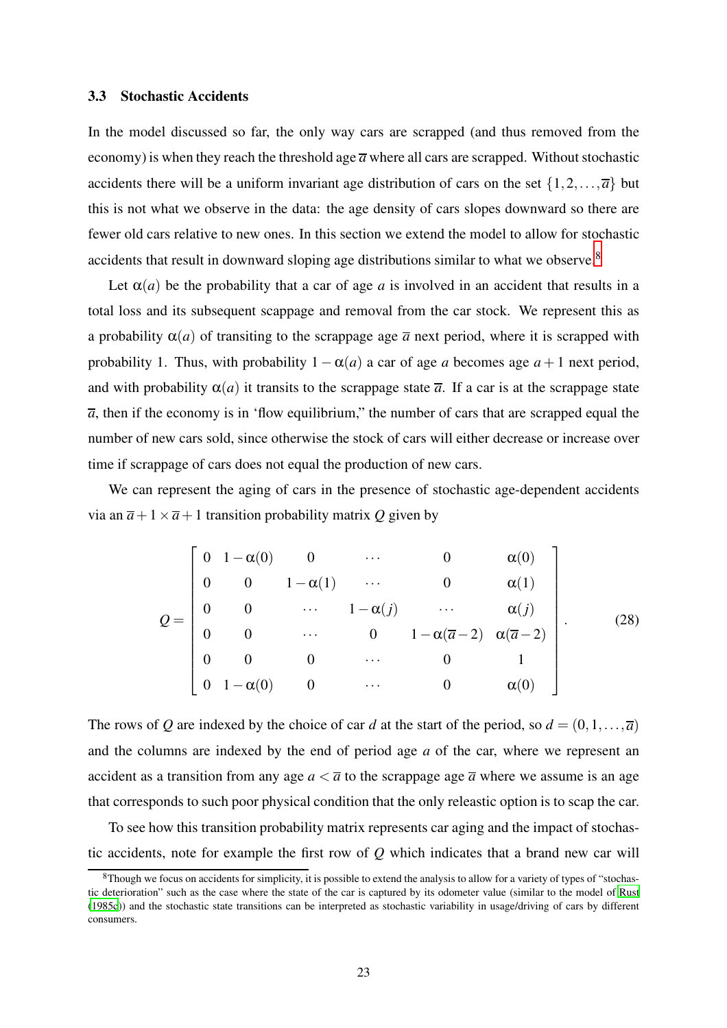### <span id="page-23-0"></span>3.3 Stochastic Accidents

In the model discussed so far, the only way cars are scrapped (and thus removed from the economy) is when they reach the threshold age  $\overline{a}$  where all cars are scrapped. Without stochastic accidents there will be a uniform invariant age distribution of cars on the set  $\{1,2,\ldots,\overline{a}\}$  but this is not what we observe in the data: the age density of cars slopes downward so there are fewer old cars relative to new ones. In this section we extend the model to allow for stochastic accidents that result in downward sloping age distributions similar to what we observe.<sup>8</sup>

Let  $\alpha(a)$  be the probability that a car of age *a* is involved in an accident that results in a total loss and its subsequent scappage and removal from the car stock. We represent this as a probability  $\alpha(a)$  of transiting to the scrappage age  $\overline{a}$  next period, where it is scrapped with probability 1. Thus, with probability  $1 - \alpha(a)$  a car of age *a* becomes age  $a + 1$  next period, and with probability  $\alpha(a)$  it transits to the scrappage state  $\overline{a}$ . If a car is at the scrappage state  $\overline{a}$ , then if the economy is in 'flow equilibrium," the number of cars that are scrapped equal the number of new cars sold, since otherwise the stock of cars will either decrease or increase over time if scrappage of cars does not equal the production of new cars.

We can represent the aging of cars in the presence of stochastic age-dependent accidents via an  $\overline{a}+1\times \overline{a}+1$  transition probability matrix O given by

<span id="page-23-1"></span>
$$
Q = \begin{bmatrix} 0 & 1 - \alpha(0) & 0 & \cdots & 0 & \alpha(0) \\ 0 & 0 & 1 - \alpha(1) & \cdots & 0 & \alpha(1) \\ 0 & 0 & \cdots & 1 - \alpha(j) & \cdots & \alpha(j) \\ 0 & 0 & \cdots & 0 & 1 - \alpha(\overline{a} - 2) & \alpha(\overline{a} - 2) \\ 0 & 0 & 0 & \cdots & 0 & 1 \\ 0 & 1 - \alpha(0) & 0 & \cdots & 0 & \alpha(0) \end{bmatrix} .
$$
 (28)

The rows of *Q* are indexed by the choice of car *d* at the start of the period, so  $d = (0,1,...,\overline{a})$ and the columns are indexed by the end of period age *a* of the car, where we represent an accident as a transition from any age  $a < \overline{a}$  to the scrappage age  $\overline{a}$  where we assume is an age that corresponds to such poor physical condition that the only releastic option is to scap the car.

To see how this transition probability matrix represents car aging and the impact of stochastic accidents, note for example the first row of *Q* which indicates that a brand new car will

<sup>8</sup>Though we focus on accidents for simplicity, it is possible to extend the analysis to allow for a variety of types of "stochastic deterioration" such as the case where the state of the car is captured by its odometer value (similar to the model of [Rust](#page-82-5) [\(1985c\)](#page-82-5)) and the stochastic state transitions can be interpreted as stochastic variability in usage/driving of cars by different consumers.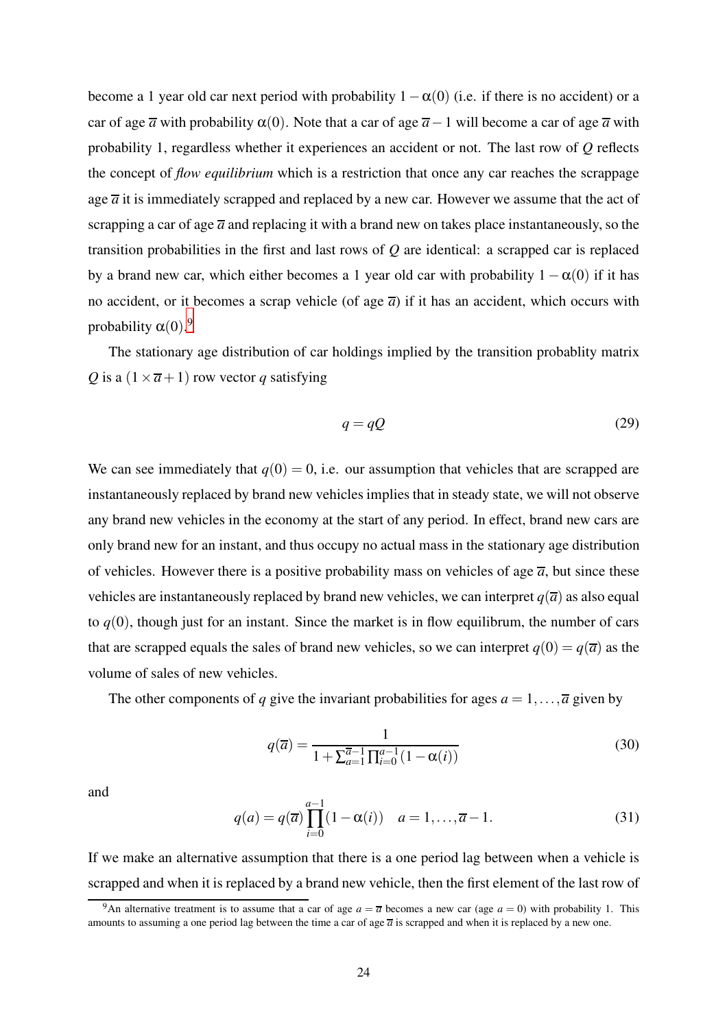become a 1 year old car next period with probability  $1-\alpha(0)$  (i.e. if there is no accident) or a car of age  $\overline{a}$  with probability  $\alpha(0)$ . Note that a car of age  $\overline{a}-1$  will become a car of age  $\overline{a}$  with probability 1, regardless whether it experiences an accident or not. The last row of *Q* reflects the concept of *flow equilibrium* which is a restriction that once any car reaches the scrappage age  $\overline{a}$  it is immediately scrapped and replaced by a new car. However we assume that the act of scrapping a car of age  $\bar{a}$  and replacing it with a brand new on takes place instantaneously, so the transition probabilities in the first and last rows of *Q* are identical: a scrapped car is replaced by a brand new car, which either becomes a 1 year old car with probability  $1 - \alpha(0)$  if it has no accident, or it becomes a scrap vehicle (of age  $\bar{a}$ ) if it has an accident, which occurs with probability  $\alpha(0)$ .<sup>9</sup>

The stationary age distribution of car holdings implied by the transition probablity matrix *Q* is a  $(1 \times \overline{a} + 1)$  row vector *q* satisfying

<span id="page-24-0"></span>
$$
q = qQ \tag{29}
$$

We can see immediately that  $q(0) = 0$ , i.e. our assumption that vehicles that are scrapped are instantaneously replaced by brand new vehicles implies that in steady state, we will not observe any brand new vehicles in the economy at the start of any period. In effect, brand new cars are only brand new for an instant, and thus occupy no actual mass in the stationary age distribution of vehicles. However there is a positive probability mass on vehicles of age  $\overline{a}$ , but since these vehicles are instantaneously replaced by brand new vehicles, we can interpret  $q(\overline{a})$  as also equal to  $q(0)$ , though just for an instant. Since the market is in flow equilibrum, the number of cars that are scrapped equals the sales of brand new vehicles, so we can interpret  $q(0) = q(\overline{a})$  as the volume of sales of new vehicles.

The other components of *q* give the invariant probabilities for ages  $a = 1, \ldots, \overline{a}$  given by

$$
q(\overline{a}) = \frac{1}{1 + \sum_{a=1}^{\overline{a}-1} \prod_{i=0}^{a-1} (1 - \alpha(i))}
$$
(30)

and

<span id="page-24-1"></span>
$$
q(a) = q(\overline{a}) \prod_{i=0}^{a-1} (1 - \alpha(i)) \quad a = 1, ..., \overline{a} - 1.
$$
 (31)

If we make an alternative assumption that there is a one period lag between when a vehicle is scrapped and when it is replaced by a brand new vehicle, then the first element of the last row of

<sup>&</sup>lt;sup>9</sup>An alternative treatment is to assume that a car of age  $a = \overline{a}$  becomes a new car (age  $a = 0$ ) with probability 1. This amounts to assuming a one period lag between the time a car of age  $\bar{a}$  is scrapped and when it is replaced by a new one.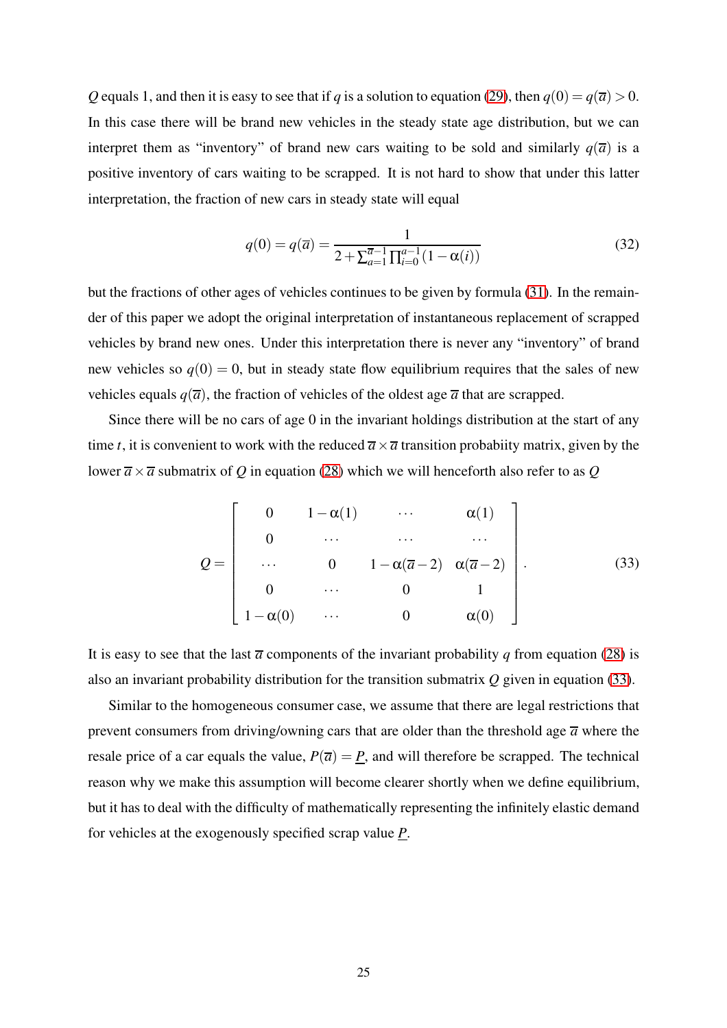*Q* equals 1, and then it is easy to see that if *q* is a solution to equation [\(29\)](#page-24-0), then  $q(0) = q(\overline{a}) > 0$ . In this case there will be brand new vehicles in the steady state age distribution, but we can interpret them as "inventory" of brand new cars waiting to be sold and similarly  $q(\overline{a})$  is a positive inventory of cars waiting to be scrapped. It is not hard to show that under this latter interpretation, the fraction of new cars in steady state will equal

$$
q(0) = q(\overline{a}) = \frac{1}{2 + \sum_{a=1}^{\overline{a}-1} \prod_{i=0}^{a-1} (1 - \alpha(i))}
$$
(32)

but the fractions of other ages of vehicles continues to be given by formula [\(31\)](#page-24-1). In the remainder of this paper we adopt the original interpretation of instantaneous replacement of scrapped vehicles by brand new ones. Under this interpretation there is never any "inventory" of brand new vehicles so  $q(0) = 0$ , but in steady state flow equilibrium requires that the sales of new vehicles equals  $q(\overline{a})$ , the fraction of vehicles of the oldest age  $\overline{a}$  that are scrapped.

Since there will be no cars of age 0 in the invariant holdings distribution at the start of any time *t*, it is convenient to work with the reduced  $\overline{a} \times \overline{a}$  transition probabiity matrix, given by the lower  $\overline{a} \times \overline{a}$  submatrix of *Q* in equation [\(28\)](#page-23-1) which we will henceforth also refer to as *Q* 

<span id="page-25-0"></span>
$$
Q = \begin{bmatrix} 0 & 1 - \alpha(1) & \cdots & \alpha(1) \\ 0 & \cdots & \cdots & \cdots \\ \cdots & 0 & 1 - \alpha(\overline{a} - 2) & \alpha(\overline{a} - 2) \\ 0 & \cdots & 0 & 1 \\ 1 - \alpha(0) & \cdots & 0 & \alpha(0) \end{bmatrix}.
$$
 (33)

It is easy to see that the last  $\bar{a}$  components of the invariant probability *q* from equation [\(28\)](#page-23-1) is also an invariant probability distribution for the transition submatrix *Q* given in equation [\(33\)](#page-25-0).

Similar to the homogeneous consumer case, we assume that there are legal restrictions that prevent consumers from driving/owning cars that are older than the threshold age  $\bar{a}$  where the resale price of a car equals the value,  $P(\overline{a}) = \underline{P}$ , and will therefore be scrapped. The technical reason why we make this assumption will become clearer shortly when we define equilibrium, but it has to deal with the difficulty of mathematically representing the infinitely elastic demand for vehicles at the exogenously specified scrap value *P*.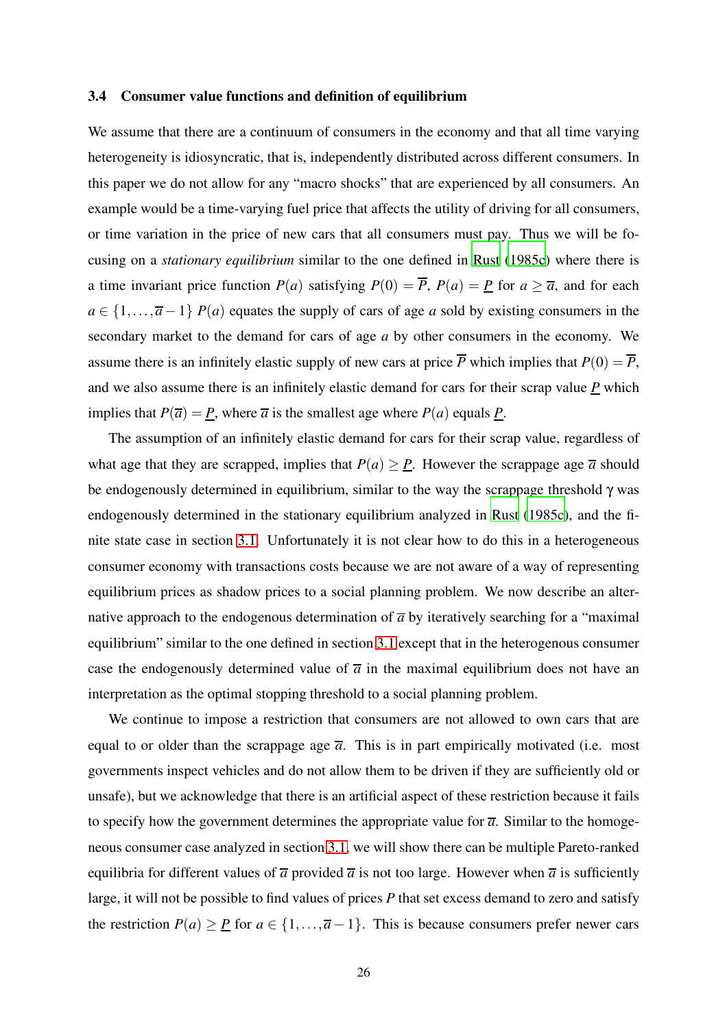#### 3.4 Consumer value functions and definition of equilibrium

We assume that there are a continuum of consumers in the economy and that all time varying heterogeneity is idiosyncratic, that is, independently distributed across different consumers. In this paper we do not allow for any "macro shocks" that are experienced by all consumers. An example would be a time-varying fuel price that affects the utility of driving for all consumers, or time variation in the price of new cars that all consumers must pay. Thus we will be focusing on a *stationary equilibrium* similar to the one defined in [Rust \(1985c](#page-82-5)) where there is a time invariant price function  $P(a)$  satisfying  $P(0) = \overline{P}$ ,  $P(a) = \underline{P}$  for  $a \ge \overline{a}$ , and for each  $a \in \{1, \ldots, \overline{a} - 1\}$  *P*(*a*) equates the supply of cars of age *a* sold by existing consumers in the secondary market to the demand for cars of age *a* by other consumers in the economy. We assume there is an infinitely elastic supply of new cars at price  $\overline{P}$  which implies that  $P(0) = \overline{P}$ , and we also assume there is an infinitely elastic demand for cars for their scrap value *P* which implies that  $P(\overline{a}) = \underline{P}$ , where  $\overline{a}$  is the smallest age where  $P(a)$  equals  $\underline{P}$ .

The assumption of an infinitely elastic demand for cars for their scrap value, regardless of what age that they are scrapped, implies that  $P(a) \geq P$ . However the scrappage age  $\overline{a}$  should be endogenously determined in equilibrium, similar to the way the scrappage threshold γ was endogenously determined in the stationary equilibrium analyzed in [Rust \(1985c\)](#page-82-5), and the finite state case in section [3.1.](#page-13-0) Unfortunately it is not clear how to do this in a heterogeneous consumer economy with transactions costs because we are not aware of a way of representing equilibrium prices as shadow prices to a social planning problem. We now describe an alternative approach to the endogenous determination of  $\overline{a}$  by iteratively searching for a "maximal" equilibrium" similar to the one defined in section [3.1](#page-13-0) except that in the heterogenous consumer case the endogenously determined value of  $\bar{a}$  in the maximal equilibrium does not have an interpretation as the optimal stopping threshold to a social planning problem.

We continue to impose a restriction that consumers are not allowed to own cars that are equal to or older than the scrappage age  $\bar{a}$ . This is in part empirically motivated (i.e. most governments inspect vehicles and do not allow them to be driven if they are sufficiently old or unsafe), but we acknowledge that there is an artificial aspect of these restriction because it fails to specify how the government determines the appropriate value for  $\overline{a}$ . Similar to the homogeneous consumer case analyzed in section [3.1,](#page-13-0) we will show there can be multiple Pareto-ranked equilibria for different values of  $\overline{a}$  provided  $\overline{a}$  is not too large. However when  $\overline{a}$  is sufficiently large, it will not be possible to find values of prices *P* that set excess demand to zero and satisfy the restriction  $P(a) \geq P$  for  $a \in \{1, ..., \overline{a} - 1\}$ . This is because consumers prefer newer cars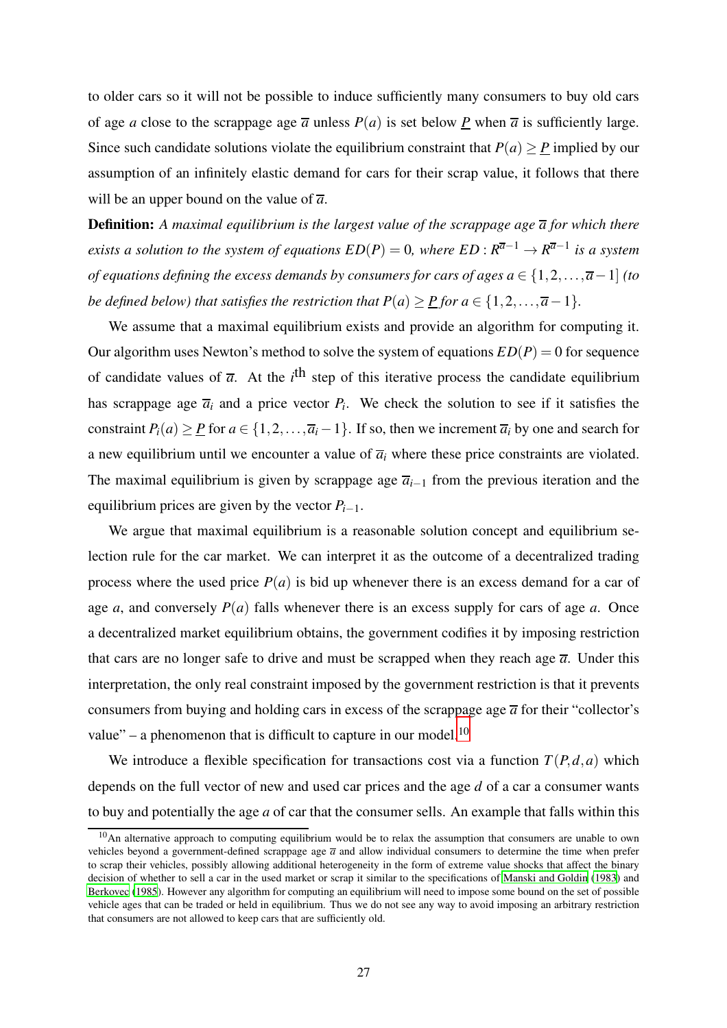to older cars so it will not be possible to induce sufficiently many consumers to buy old cars of age *a* close to the scrappage age  $\overline{a}$  unless  $P(a)$  is set below *P* when  $\overline{a}$  is sufficiently large. Since such candidate solutions violate the equilibrium constraint that  $P(a) \geq P$  implied by our assumption of an infinitely elastic demand for cars for their scrap value, it follows that there will be an upper bound on the value of  $\overline{a}$ .

**Definition:** A maximal equilibrium is the largest value of the scrappage age  $\overline{a}$  for which there *exists a solution to the system of equations*  $ED(P) = 0$ *, where*  $ED: R^{\overline{a}-1} \to R^{\overline{a}-1}$  *is a system of equations defining the excess demands by consumers for cars of ages a* ∈ {1,2,...,*a*−1] *(to be defined below) that satisfies the restriction that*  $P(a) \ge P$  *<i>for*  $a \in \{1, 2, ..., \overline{a} - 1\}$ *.* 

We assume that a maximal equilibrium exists and provide an algorithm for computing it. Our algorithm uses Newton's method to solve the system of equations  $ED(P) = 0$  for sequence of candidate values of  $\overline{a}$ . At the *i*<sup>th</sup> step of this iterative process the candidate equilibrium has scrappage age  $\overline{a_i}$  and a price vector  $P_i$ . We check the solution to see if it satisfies the constraint  $P_i(a) \geq P$  for  $a \in \{1, 2, ..., \overline{a_i} - 1\}$ . If so, then we increment  $\overline{a_i}$  by one and search for a new equilibrium until we encounter a value of  $\overline{a}_i$  where these price constraints are violated. The maximal equilibrium is given by scrappage age  $\overline{a}_{i-1}$  from the previous iteration and the equilibrium prices are given by the vector  $P_{i-1}$ .

We argue that maximal equilibrium is a reasonable solution concept and equilibrium selection rule for the car market. We can interpret it as the outcome of a decentralized trading process where the used price  $P(a)$  is bid up whenever there is an excess demand for a car of age *a*, and conversely  $P(a)$  falls whenever there is an excess supply for cars of age *a*. Once a decentralized market equilibrium obtains, the government codifies it by imposing restriction that cars are no longer safe to drive and must be scrapped when they reach age  $\bar{a}$ . Under this interpretation, the only real constraint imposed by the government restriction is that it prevents consumers from buying and holding cars in excess of the scrappage age  $\overline{a}$  for their "collector's value" – a phenomenon that is difficult to capture in our model.<sup>10</sup>

We introduce a flexible specification for transactions cost via a function  $T(P,d,a)$  which depends on the full vector of new and used car prices and the age *d* of a car a consumer wants to buy and potentially the age *a* of car that the consumer sells. An example that falls within this

<sup>&</sup>lt;sup>10</sup>An alternative approach to computing equilibrium would be to relax the assumption that consumers are unable to own vehicles beyond a government-defined scrappage age  $\bar{a}$  and allow individual consumers to determine the time when prefer to scrap their vehicles, possibly allowing additional heterogeneity in the form of extreme value shocks that affect the binary decision of whether to sell a car in the used market or scrap it similar to the specifications of [Manski and Goldin \(1983\)](#page-82-4) and [Berkovec \(1985](#page-81-4)). However any algorithm for computing an equilibrium will need to impose some bound on the set of possible vehicle ages that can be traded or held in equilibrium. Thus we do not see any way to avoid imposing an arbitrary restriction that consumers are not allowed to keep cars that are sufficiently old.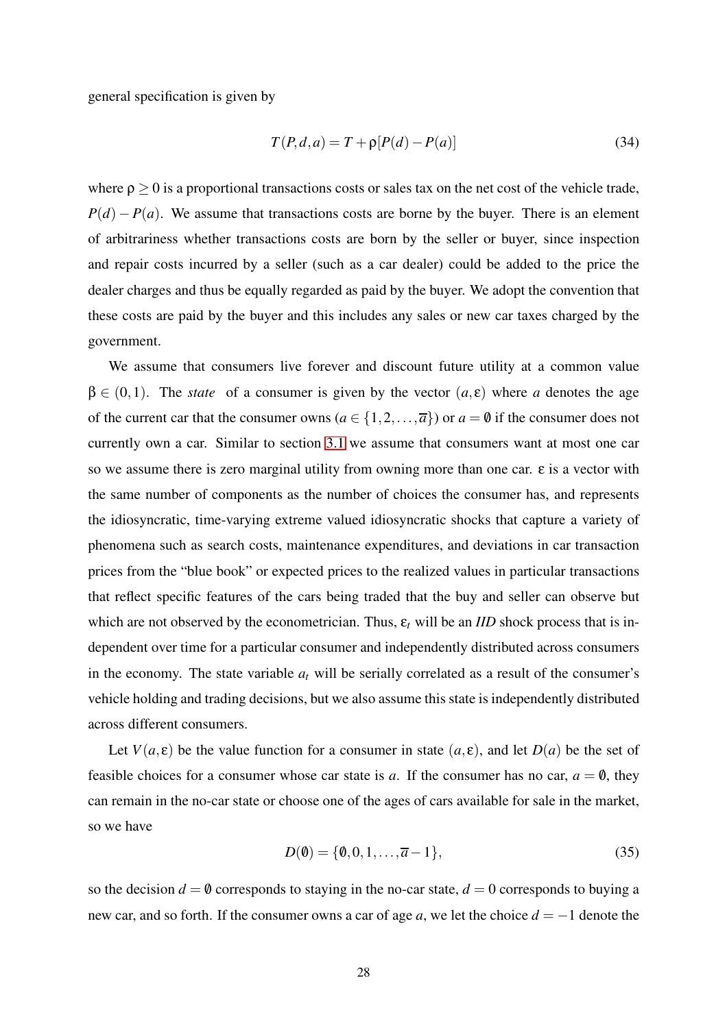general specification is given by

$$
T(P,d,a) = T + \rho[P(d) - P(a)]\tag{34}
$$

where  $\rho > 0$  is a proportional transactions costs or sales tax on the net cost of the vehicle trade,  $P(d) - P(a)$ . We assume that transactions costs are borne by the buyer. There is an element of arbitrariness whether transactions costs are born by the seller or buyer, since inspection and repair costs incurred by a seller (such as a car dealer) could be added to the price the dealer charges and thus be equally regarded as paid by the buyer. We adopt the convention that these costs are paid by the buyer and this includes any sales or new car taxes charged by the government.

We assume that consumers live forever and discount future utility at a common value  $\beta \in (0,1)$ . The *state* of a consumer is given by the vector  $(a, \varepsilon)$  where *a* denotes the age of the current car that the consumer owns  $(a \in \{1, 2, ..., \overline{a}\})$  or  $a = \emptyset$  if the consumer does not currently own a car. Similar to section [3.1](#page-13-0) we assume that consumers want at most one car so we assume there is zero marginal utility from owning more than one car.  $\epsilon$  is a vector with the same number of components as the number of choices the consumer has, and represents the idiosyncratic, time-varying extreme valued idiosyncratic shocks that capture a variety of phenomena such as search costs, maintenance expenditures, and deviations in car transaction prices from the "blue book" or expected prices to the realized values in particular transactions that reflect specific features of the cars being traded that the buy and seller can observe but which are not observed by the econometrician. Thus,  $\varepsilon_t$  will be an *IID* shock process that is independent over time for a particular consumer and independently distributed across consumers in the economy. The state variable  $a_t$  will be serially correlated as a result of the consumer's vehicle holding and trading decisions, but we also assume this state is independently distributed across different consumers.

Let  $V(a, \varepsilon)$  be the value function for a consumer in state  $(a, \varepsilon)$ , and let  $D(a)$  be the set of feasible choices for a consumer whose car state is *a*. If the consumer has no car,  $a = 0$ , they can remain in the no-car state or choose one of the ages of cars available for sale in the market, so we have

$$
D(\mathbf{0}) = \{\mathbf{0}, 0, 1, \dots, \overline{a} - 1\},\tag{35}
$$

so the decision  $d = \emptyset$  corresponds to staying in the no-car state,  $d = 0$  corresponds to buying a new car, and so forth. If the consumer owns a car of age *a*, we let the choice *d* = −1 denote the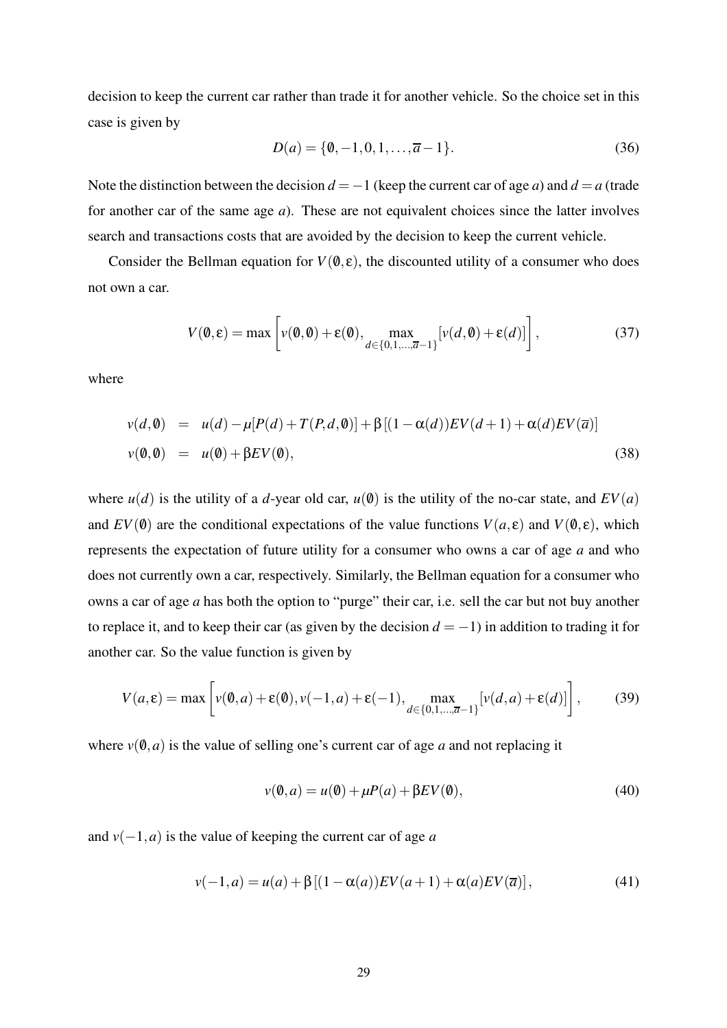decision to keep the current car rather than trade it for another vehicle. So the choice set in this case is given by

$$
D(a) = \{0, -1, 0, 1, \dots, \overline{a} - 1\}.
$$
\n(36)

Note the distinction between the decision  $d = -1$  (keep the current car of age *a*) and  $d = a$  (trade for another car of the same age *a*). These are not equivalent choices since the latter involves search and transactions costs that are avoided by the decision to keep the current vehicle.

Consider the Bellman equation for  $V(\mathbf{0}, \varepsilon)$ , the discounted utility of a consumer who does not own a car.

$$
V(\mathbf{0}, \varepsilon) = \max \left[ v(\mathbf{0}, \mathbf{0}) + \varepsilon(\mathbf{0}), \max_{d \in \{0, 1, \dots, \overline{a} - 1\}} [v(d, \mathbf{0}) + \varepsilon(d)] \right],
$$
 (37)

where

$$
v(d, \mathbf{0}) = u(d) - \mu[P(d) + T(P, d, \mathbf{0})] + \beta[(1 - \alpha(d))EV(d + 1) + \alpha(d)EV(\overline{a})]
$$
  

$$
v(\mathbf{0}, \mathbf{0}) = u(\mathbf{0}) + \beta EV(\mathbf{0}),
$$
 (38)

where  $u(d)$  is the utility of a *d*-year old car,  $u(0)$  is the utility of the no-car state, and  $EV(a)$ and  $EV(\emptyset)$  are the conditional expectations of the value functions  $V(a, \varepsilon)$  and  $V(\emptyset, \varepsilon)$ , which represents the expectation of future utility for a consumer who owns a car of age *a* and who does not currently own a car, respectively. Similarly, the Bellman equation for a consumer who owns a car of age *a* has both the option to "purge" their car, i.e. sell the car but not buy another to replace it, and to keep their car (as given by the decision  $d = -1$ ) in addition to trading it for another car. So the value function is given by

<span id="page-29-2"></span>
$$
V(a,\varepsilon) = \max\left[v(\mathbf{0},a) + \varepsilon(\mathbf{0}), v(-1,a) + \varepsilon(-1), \max_{d \in \{0,1,\dots,\overline{a}-1\}}[v(d,a) + \varepsilon(d)]\right],\tag{39}
$$

where  $v(0, a)$  is the value of selling one's current car of age *a* and not replacing it

<span id="page-29-0"></span>
$$
v(\mathbf{0},a) = u(\mathbf{0}) + \mu P(a) + \beta EV(\mathbf{0}),\tag{40}
$$

and  $v(-1, a)$  is the value of keeping the current car of age *a* 

<span id="page-29-1"></span>
$$
v(-1, a) = u(a) + \beta [(1 - \alpha(a))EV(a+1) + \alpha(a)EV(\overline{a})],
$$
\n(41)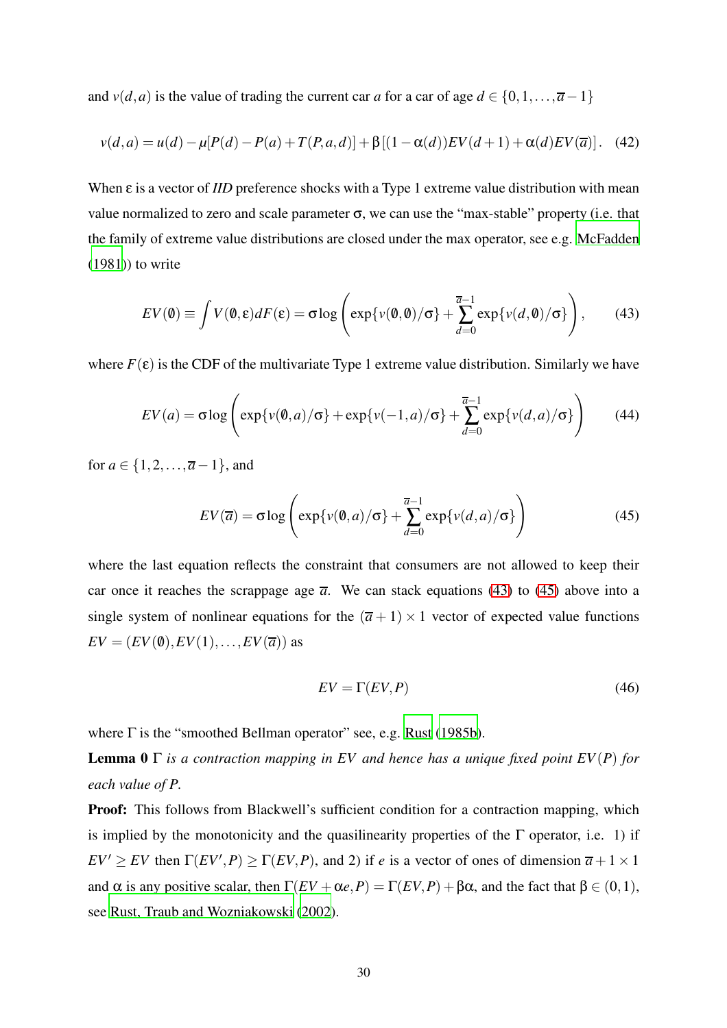and *v*(*d*,*a*) is the value of trading the current car *a* for a car of age  $d \in \{0,1,\ldots,\overline{a}-1\}$ 

<span id="page-30-3"></span>
$$
v(d,a) = u(d) - \mu[P(d) - P(a) + T(P,a,d)] + \beta[(1 - \alpha(d))EV(d+1) + \alpha(d)EV(\overline{a})].
$$
 (42)

When ε is a vector of *IID* preference shocks with a Type 1 extreme value distribution with mean value normalized to zero and scale parameter σ, we can use the "max-stable" property (i.e. that the family of extreme value distributions are closed under the max operator, see e.g. [McFadden](#page-82-8) [\(1981\)](#page-82-8)) to write

<span id="page-30-0"></span>
$$
EV(\mathbf{0}) \equiv \int V(\mathbf{0}, \varepsilon) dF(\varepsilon) = \sigma \log \left( \exp\{v(\mathbf{0}, \mathbf{0})/\sigma\} + \sum_{d=0}^{\overline{a}-1} \exp\{v(d, \mathbf{0})/\sigma\} \right), \tag{43}
$$

where  $F(\varepsilon)$  is the CDF of the multivariate Type 1 extreme value distribution. Similarly we have

<span id="page-30-4"></span>
$$
EV(a) = \sigma \log \left( \exp\{v(\theta, a)/\sigma\} + \exp\{v(-1, a)/\sigma\} + \sum_{d=0}^{\overline{a}-1} \exp\{v(d, a)/\sigma\} \right) \tag{44}
$$

for  $a \in \{1, 2, ..., \overline{a} - 1\}$ , and

<span id="page-30-1"></span>
$$
EV(\overline{a}) = \sigma \log \left( \exp\{v(\emptyset, a) / \sigma\} + \sum_{d=0}^{\overline{a}-1} \exp\{v(d, a) / \sigma\} \right)
$$
(45)

where the last equation reflects the constraint that consumers are not allowed to keep their car once it reaches the scrappage age  $\overline{a}$ . We can stack equations [\(43\)](#page-30-0) to [\(45\)](#page-30-1) above into a single system of nonlinear equations for the  $(\overline{a} + 1) \times 1$  vector of expected value functions  $EV = (EV(0), EV(1), \ldots, EV(\overline{a}))$  as

<span id="page-30-2"></span>
$$
EV = \Gamma(EV, P) \tag{46}
$$

where  $\Gamma$  is the "smoothed Bellman operator" see, e.g. [Rust \(1985b](#page-82-9)).

**Lemma 0**  $\Gamma$  *is a contraction mapping in EV and hence has a unique fixed point EV(P) for each value of P.*

Proof: This follows from Blackwell's sufficient condition for a contraction mapping, which is implied by the monotonicity and the quasilinearity properties of the  $\Gamma$  operator, i.e. 1) if  $EV' \geq EV$  then  $\Gamma(EV', P) \geq \Gamma(EV, P)$ , and 2) if *e* is a vector of ones of dimension  $\overline{a} + 1 \times 1$ and  $\alpha$  is any positive scalar, then  $\Gamma(EV + \alpha e, P) = \Gamma(EV, P) + \beta \alpha$ , and the fact that  $\beta \in (0, 1)$ , see [Rust, Traub and Wozniakowski](#page-82-10) [\(2002\)](#page-82-10).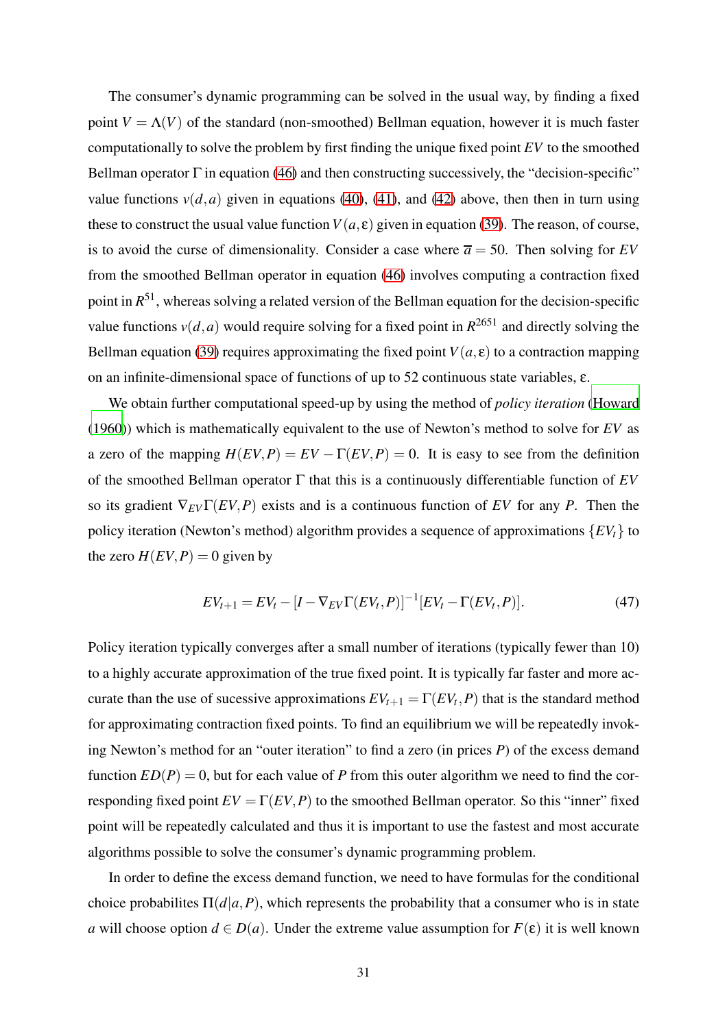The consumer's dynamic programming can be solved in the usual way, by finding a fixed point  $V = \Lambda(V)$  of the standard (non-smoothed) Bellman equation, however it is much faster computationally to solve the problem by first finding the unique fixed point *EV* to the smoothed Bellman operator  $\Gamma$  in equation [\(46\)](#page-30-2) and then constructing successively, the "decision-specific" value functions  $v(d, a)$  given in equations [\(40\)](#page-29-0), [\(41\)](#page-29-1), and [\(42\)](#page-30-3) above, then then in turn using these to construct the usual value function  $V(a, \varepsilon)$  given in equation [\(39\)](#page-29-2). The reason, of course, is to avoid the curse of dimensionality. Consider a case where  $\overline{a} = 50$ . Then solving for *EV* from the smoothed Bellman operator in equation [\(46\)](#page-30-2) involves computing a contraction fixed point in *R* <sup>51</sup>, whereas solving a related version of the Bellman equation for the decision-specific value functions  $v(d, a)$  would require solving for a fixed point in  $R^{2651}$  and directly solving the Bellman equation [\(39\)](#page-29-2) requires approximating the fixed point  $V(a, \varepsilon)$  to a contraction mapping on an infinite-dimensional space of functions of up to 52 continuous state variables, ε.

We obtain further computational speed-up by using the method of *policy iteration* [\(Howard](#page-81-8) [\(1960\)](#page-81-8)) which is mathematically equivalent to the use of Newton's method to solve for *EV* as a zero of the mapping  $H(EV, P) = EV - \Gamma(EV, P) = 0$ . It is easy to see from the definition of the smoothed Bellman operator Γ that this is a continuously differentiable function of *EV* so its gradient  $\nabla_{EV}\Gamma(EV, P)$  exists and is a continuous function of *EV* for any *P*. Then the policy iteration (Newton's method) algorithm provides a sequence of approximations {*EVt*} to the zero  $H(EV, P) = 0$  given by

$$
EV_{t+1} = EV_t - [I - \nabla_{EV}\Gamma(EV_t, P)]^{-1}[EV_t - \Gamma(EV_t, P)].
$$
\n(47)

Policy iteration typically converges after a small number of iterations (typically fewer than 10) to a highly accurate approximation of the true fixed point. It is typically far faster and more accurate than the use of sucessive approximations  $EV_{t+1} = \Gamma(EV_t, P)$  that is the standard method for approximating contraction fixed points. To find an equilibrium we will be repeatedly invoking Newton's method for an "outer iteration" to find a zero (in prices *P*) of the excess demand function  $ED(P) = 0$ , but for each value of *P* from this outer algorithm we need to find the corresponding fixed point  $EV = \Gamma(EV, P)$  to the smoothed Bellman operator. So this "inner" fixed point will be repeatedly calculated and thus it is important to use the fastest and most accurate algorithms possible to solve the consumer's dynamic programming problem.

In order to define the excess demand function, we need to have formulas for the conditional choice probabilites  $\Pi(d|a, P)$ , which represents the probability that a consumer who is in state *a* will choose option  $d \in D(a)$ . Under the extreme value assumption for  $F(\varepsilon)$  it is well known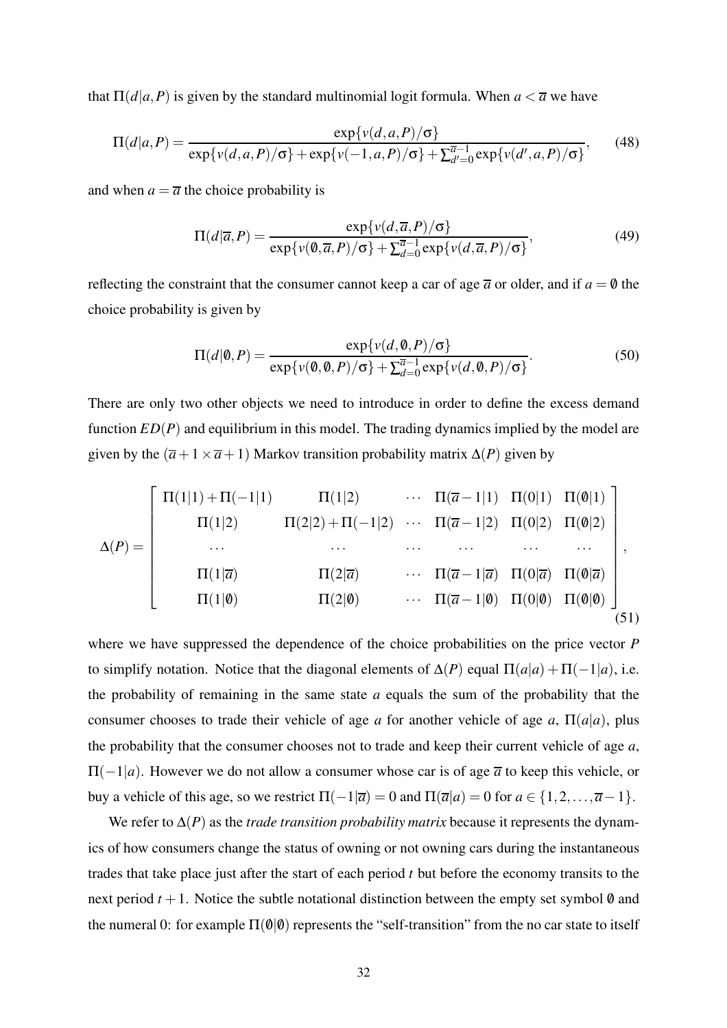that  $\Pi(d|a, P)$  is given by the standard multinomial logit formula. When  $a < \overline{a}$  we have

$$
\Pi(d|a,P) = \frac{\exp\{v(d,a,P)/\sigma\}}{\exp\{v(d,a,P)/\sigma\} + \exp\{v(-1,a,P)/\sigma\} + \sum_{d'=0}^{\overline{a}-1} \exp\{v(d',a,P)/\sigma\}},\qquad(48)
$$

and when  $a = \overline{a}$  the choice probability is

$$
\Pi(d|\overline{a},P) = \frac{\exp\{v(d,\overline{a},P)/\sigma\}}{\exp\{v(\emptyset,\overline{a},P)/\sigma\} + \sum_{d=0}^{\overline{a}-1} \exp\{v(d,\overline{a},P)/\sigma\}},
$$
(49)

reflecting the constraint that the consumer cannot keep a car of age  $\overline{a}$  or older, and if  $a = \emptyset$  the choice probability is given by

$$
\Pi(d|\mathbf{0},P) = \frac{\exp\{v(d,\mathbf{0},P)/\sigma\}}{\exp\{v(\mathbf{0},\mathbf{0},P)/\sigma\} + \sum_{d=0}^{\overline{a}-1} \exp\{v(d,\mathbf{0},P)/\sigma\}}.
$$
(50)

There are only two other objects we need to introduce in order to define the excess demand function *ED*(*P*) and equilibrium in this model. The trading dynamics implied by the model are given by the  $(\overline{a}+1\times \overline{a}+1)$  Markov transition probability matrix  $\Delta(P)$  given by

<span id="page-32-0"></span>
$$
\Delta(P) = \begin{bmatrix}\n\Pi(1|1) + \Pi(-1|1) & \Pi(1|2) & \cdots & \Pi(\overline{a} - 1|1) & \Pi(0|1) & \Pi(0|1) \\
\Pi(1|2) & \Pi(2|2) + \Pi(-1|2) & \cdots & \Pi(\overline{a} - 1|2) & \Pi(0|2) & \Pi(0|2) \\
\cdots & \cdots & \cdots & \cdots & \cdots \\
\Pi(1|\overline{a}) & \Pi(2|\overline{a}) & \cdots & \Pi(\overline{a} - 1|\overline{a}) & \Pi(0|\overline{a}) & \Pi(0|\overline{a}) \\
\vdots & \vdots & \ddots & \vdots & \ddots \\
\Pi(1|\emptyset) & \Pi(2|\emptyset) & \cdots & \Pi(\overline{a} - 1|\emptyset) & \Pi(0|\emptyset) & \Pi(0|\emptyset)\n\end{bmatrix},
$$
\n(51)

where we have suppressed the dependence of the choice probabilities on the price vector *P* to simplify notation. Notice that the diagonal elements of  $\Delta(P)$  equal  $\Pi(a|a) + \Pi(-1|a)$ , i.e. the probability of remaining in the same state *a* equals the sum of the probability that the consumer chooses to trade their vehicle of age *a* for another vehicle of age *a*,  $\Pi(a|a)$ , plus the probability that the consumer chooses not to trade and keep their current vehicle of age *a*,  $\Pi(-1|a)$ . However we do not allow a consumer whose car is of age  $\overline{a}$  to keep this vehicle, or buy a vehicle of this age, so we restrict  $\Pi(-1|\overline{a}) = 0$  and  $\Pi(\overline{a}|a) = 0$  for  $a \in \{1, 2, ..., \overline{a} - 1\}$ .

We refer to ∆(*P*) as the *trade transition probability matrix* because it represents the dynamics of how consumers change the status of owning or not owning cars during the instantaneous trades that take place just after the start of each period *t* but before the economy transits to the next period  $t + 1$ . Notice the subtle notational distinction between the empty set symbol  $\emptyset$  and the numeral 0: for example  $\Pi(\emptyset|\emptyset)$  represents the "self-transition" from the no car state to itself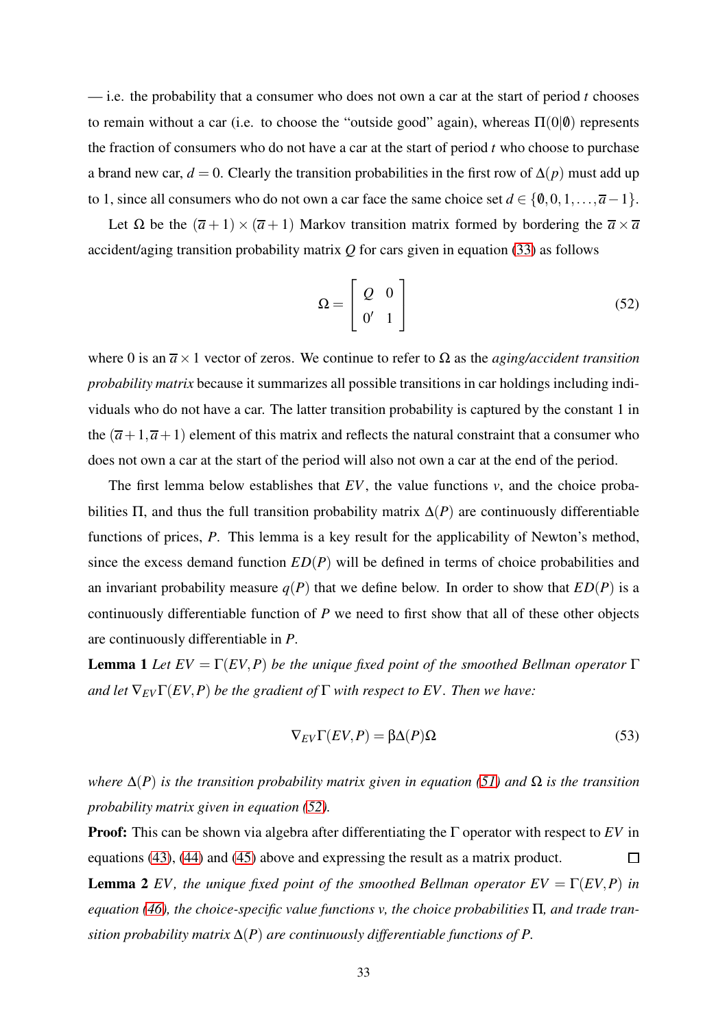— i.e. the probability that a consumer who does not own a car at the start of period *t* chooses to remain without a car (i.e. to choose the "outside good" again), whereas  $\Pi(0|\theta)$  represents the fraction of consumers who do not have a car at the start of period *t* who choose to purchase a brand new car,  $d = 0$ . Clearly the transition probabilities in the first row of  $\Delta(p)$  must add up to 1, since all consumers who do not own a car face the same choice set  $d \in \{0,0,1,\ldots,\overline{a}-1\}.$ 

Let  $\Omega$  be the  $(\overline{a} + 1) \times (\overline{a} + 1)$  Markov transition matrix formed by bordering the  $\overline{a} \times \overline{a}$ accident/aging transition probability matrix *Q* for cars given in equation [\(33\)](#page-25-0) as follows

<span id="page-33-0"></span>
$$
\Omega = \left[ \begin{array}{cc} Q & 0 \\ 0' & 1 \end{array} \right] \tag{52}
$$

where 0 is an  $\overline{a} \times 1$  vector of zeros. We continue to refer to  $\Omega$  as the *aging/accident transition probability matrix* because it summarizes all possible transitions in car holdings including individuals who do not have a car. The latter transition probability is captured by the constant 1 in the  $(\bar{a}+1,\bar{a}+1)$  element of this matrix and reflects the natural constraint that a consumer who does not own a car at the start of the period will also not own a car at the end of the period.

The first lemma below establishes that *EV*, the value functions *v*, and the choice probabilities  $\Pi$ , and thus the full transition probability matrix  $\Delta(P)$  are continuously differentiable functions of prices, *P*. This lemma is a key result for the applicability of Newton's method, since the excess demand function  $ED(P)$  will be defined in terms of choice probabilities and an invariant probability measure  $q(P)$  that we define below. In order to show that  $ED(P)$  is a continuously differentiable function of *P* we need to first show that all of these other objects are continuously differentiable in *P*.

**Lemma 1** *Let*  $EV = \Gamma(EV, P)$  *be the unique fixed point of the smoothed Bellman operator*  $\Gamma$ *and let*  $\nabla_{EV} \Gamma(EV, P)$  *be the gradient of*  $\Gamma$  *with respect to EV. Then we have:* 

$$
\nabla_{EV}\Gamma(EV,P) = \beta \Delta(P)\Omega
$$
\n(53)

*where*  $\Delta(P)$  *is the transition probability matrix given in equation* [\(51\)](#page-32-0) *and*  $\Omega$  *is the transition probability matrix given in equation [\(52\)](#page-33-0).*

Proof: This can be shown via algebra after differentiating the Γ operator with respect to *EV* in equations [\(43\)](#page-30-0), [\(44\)](#page-30-4) and [\(45\)](#page-30-1) above and expressing the result as a matrix product.  $\Box$ 

**Lemma 2** *EV*, the unique fixed point of the smoothed Bellman operator  $EV = \Gamma(EV, P)$  in *equation [\(46\)](#page-30-2), the choice-specific value functions v, the choice probabilities* Π*, and trade transition probability matrix* ∆(*P*) *are continuously differentiable functions of P.*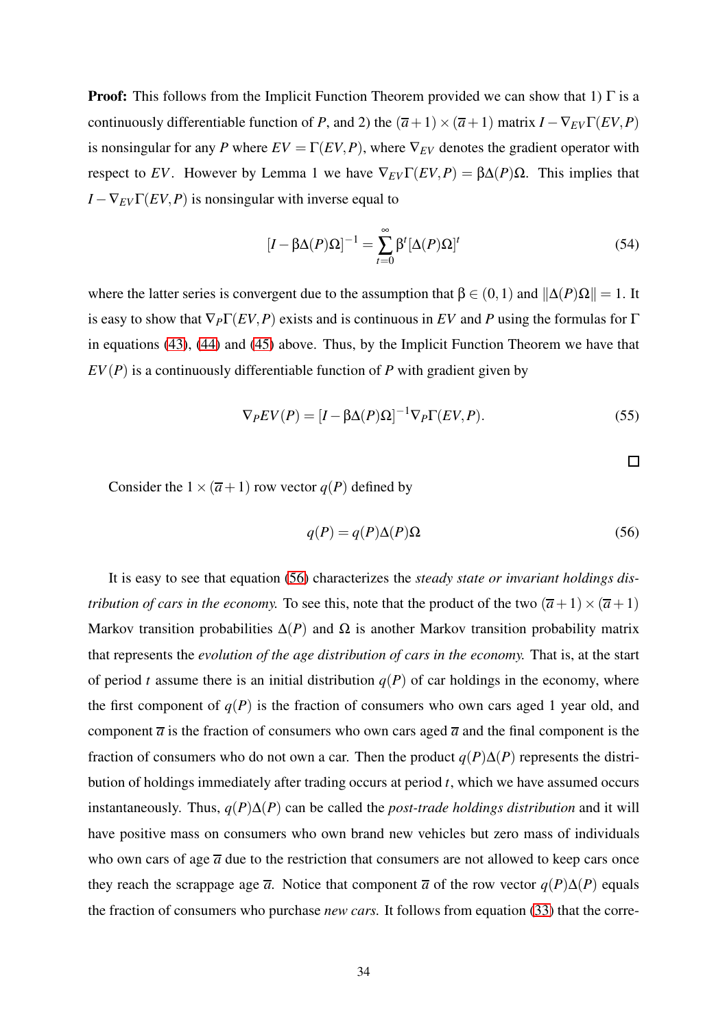**Proof:** This follows from the Implicit Function Theorem provided we can show that 1)  $\Gamma$  is a continuously differentiable function of *P*, and 2) the  $(\overline{a}+1) \times (\overline{a}+1)$  matrix  $I - \nabla_{EV} \Gamma(EV, P)$ is nonsingular for any *P* where  $EV = \Gamma(EV, P)$ , where  $\nabla_{EV}$  denotes the gradient operator with respect to *EV*. However by Lemma 1 we have  $\nabla_{EV}\Gamma(EV,P) = \beta\Delta(P)\Omega$ . This implies that  $I - \nabla_{EV} \Gamma(EV, P)$  is nonsingular with inverse equal to

$$
[I - \beta \Delta(P)\Omega]^{-1} = \sum_{t=0}^{\infty} \beta^t [\Delta(P)\Omega]^t
$$
 (54)

where the latter series is convergent due to the assumption that  $\beta \in (0,1)$  and  $\|\Delta(P)\Omega\| = 1$ . It is easy to show that  $\nabla_P \Gamma(EV, P)$  exists and is continuous in *EV* and *P* using the formulas for  $\Gamma$ in equations [\(43\)](#page-30-0), [\(44\)](#page-30-4) and [\(45\)](#page-30-1) above. Thus, by the Implicit Function Theorem we have that  $EV(P)$  is a continuously differentiable function of *P* with gradient given by

$$
\nabla_P EV(P) = [I - \beta \Delta(P) \Omega]^{-1} \nabla_P \Gamma(EV, P). \tag{55}
$$

 $\Box$ 

Consider the  $1 \times (\overline{a}+1)$  row vector  $q(P)$  defined by

<span id="page-34-0"></span>
$$
q(P) = q(P)\Delta(P)\Omega
$$
\n(56)

It is easy to see that equation [\(56\)](#page-34-0) characterizes the *steady state or invariant holdings distribution of cars in the economy.* To see this, note that the product of the two  $(\overline{a}+1) \times (\overline{a}+1)$ Markov transition probabilities  $\Delta(P)$  and  $\Omega$  is another Markov transition probability matrix that represents the *evolution of the age distribution of cars in the economy.* That is, at the start of period *t* assume there is an initial distribution  $q(P)$  of car holdings in the economy, where the first component of  $q(P)$  is the fraction of consumers who own cars aged 1 year old, and component  $\overline{a}$  is the fraction of consumers who own cars aged  $\overline{a}$  and the final component is the fraction of consumers who do not own a car. Then the product  $q(P)\Delta(P)$  represents the distribution of holdings immediately after trading occurs at period *t*, which we have assumed occurs instantaneously. Thus, *q*(*P*)∆(*P*) can be called the *post-trade holdings distribution* and it will have positive mass on consumers who own brand new vehicles but zero mass of individuals who own cars of age  $\overline{a}$  due to the restriction that consumers are not allowed to keep cars once they reach the scrappage age  $\overline{a}$ . Notice that component  $\overline{a}$  of the row vector  $q(P)\Delta(P)$  equals the fraction of consumers who purchase *new cars.* It follows from equation [\(33\)](#page-25-0) that the corre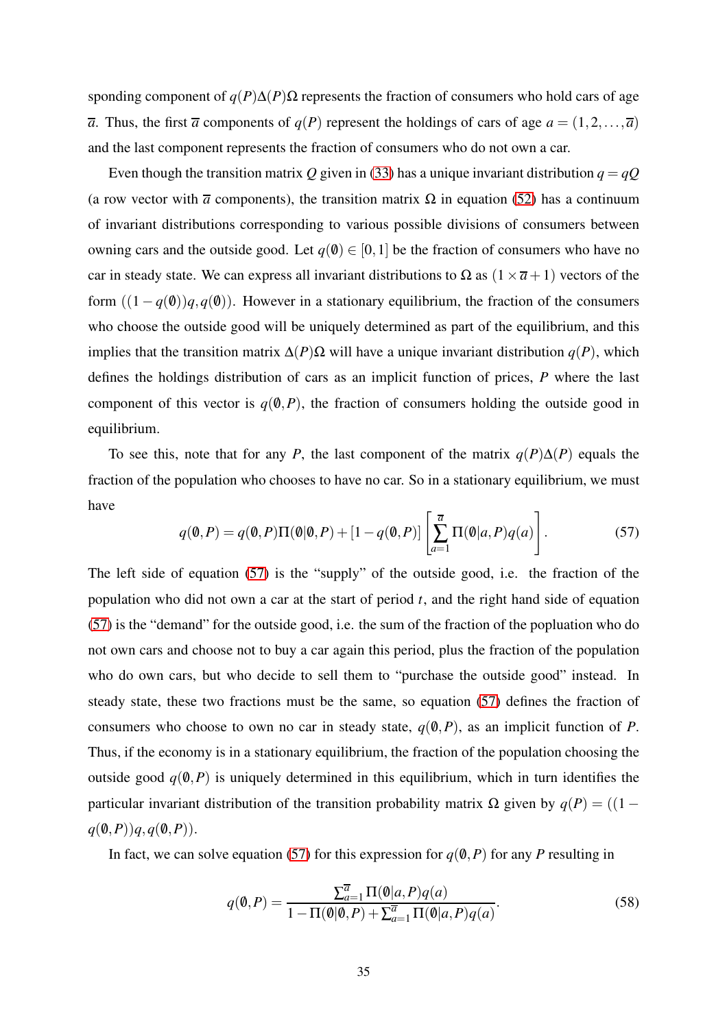sponding component of  $q(P) \Delta(P) \Omega$  represents the fraction of consumers who hold cars of age  $\overline{a}$ . Thus, the first  $\overline{a}$  components of *q*(*P*) represent the holdings of cars of age  $a = (1, 2, \ldots, \overline{a})$ and the last component represents the fraction of consumers who do not own a car.

Even though the transition matrix *Q* given in [\(33\)](#page-25-0) has a unique invariant distribution  $q = qQ$ (a row vector with  $\overline{a}$  components), the transition matrix  $\Omega$  in equation [\(52\)](#page-33-0) has a continuum of invariant distributions corresponding to various possible divisions of consumers between owning cars and the outside good. Let  $q(\emptyset) \in [0,1]$  be the fraction of consumers who have no car in steady state. We can express all invariant distributions to  $\Omega$  as  $(1 \times \overline{a} + 1)$  vectors of the form  $((1 - q(0))q, q(0))$ . However in a stationary equilibrium, the fraction of the consumers who choose the outside good will be uniquely determined as part of the equilibrium, and this implies that the transition matrix ∆(*P*)Ω will have a unique invariant distribution *q*(*P*), which defines the holdings distribution of cars as an implicit function of prices, *P* where the last component of this vector is  $q(0, P)$ , the fraction of consumers holding the outside good in equilibrium.

To see this, note that for any *P*, the last component of the matrix  $q(P)\Delta(P)$  equals the fraction of the population who chooses to have no car. So in a stationary equilibrium, we must have

<span id="page-35-0"></span>
$$
q(0,P) = q(0,P)\Pi(0|0,P) + [1 - q(0,P)] \left[ \sum_{a=1}^{\overline{a}} \Pi(0|a,P)q(a) \right].
$$
 (57)

The left side of equation [\(57\)](#page-35-0) is the "supply" of the outside good, i.e. the fraction of the population who did not own a car at the start of period  $t$ , and the right hand side of equation [\(57\)](#page-35-0) is the "demand" for the outside good, i.e. the sum of the fraction of the popluation who do not own cars and choose not to buy a car again this period, plus the fraction of the population who do own cars, but who decide to sell them to "purchase the outside good" instead. In steady state, these two fractions must be the same, so equation [\(57\)](#page-35-0) defines the fraction of consumers who choose to own no car in steady state,  $q(0, P)$ , as an implicit function of *P*. Thus, if the economy is in a stationary equilibrium, the fraction of the population choosing the outside good  $q(\emptyset, P)$  is uniquely determined in this equilibrium, which in turn identifies the particular invariant distribution of the transition probability matrix Ω given by  $q(P) = (1$  $q(\emptyset, P)$  $q, q(\emptyset, P)$ .

In fact, we can solve equation [\(57\)](#page-35-0) for this expression for  $q(\theta, P)$  for any *P* resulting in

$$
q(\mathbf{0}, P) = \frac{\sum_{a=1}^{\overline{a}} \Pi(\mathbf{0}|a, P) q(a)}{1 - \Pi(\mathbf{0}|\mathbf{0}, P) + \sum_{a=1}^{\overline{a}} \Pi(\mathbf{0}|a, P) q(a)}.
$$
(58)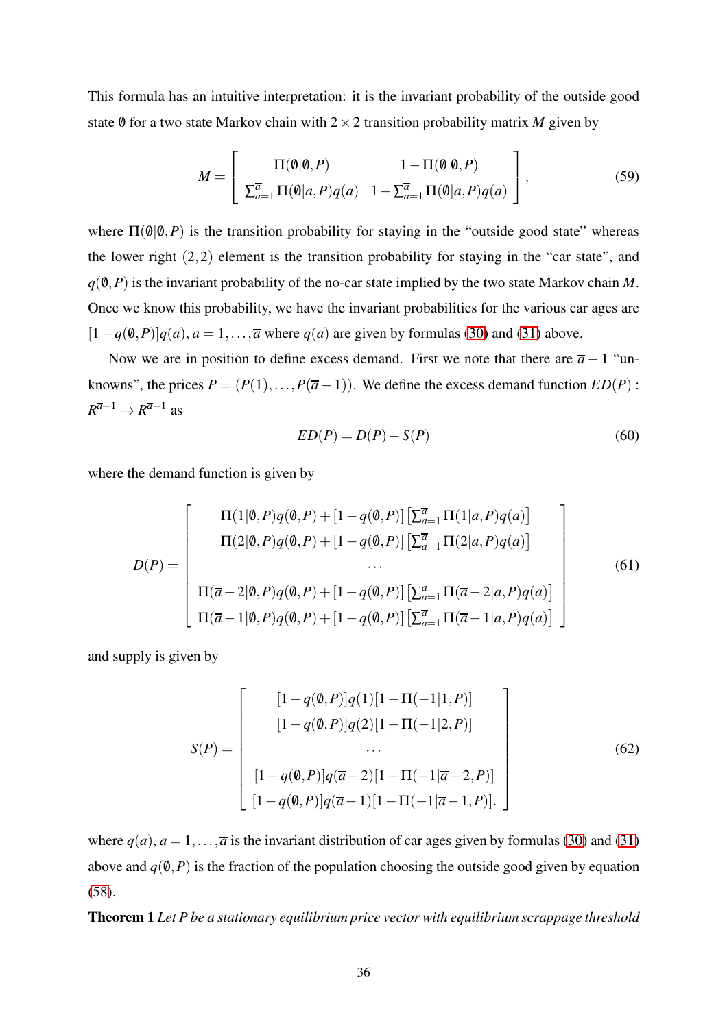This formula has an intuitive interpretation: it is the invariant probability of the outside good state 0 for a two state Markov chain with  $2 \times 2$  transition probability matrix *M* given by

$$
M = \left[\begin{array}{cc} \Pi(\emptyset|\emptyset,P) & 1 - \Pi(\emptyset|\emptyset,P) \\ \sum_{a=1}^{\overline{a}} \Pi(\emptyset|a,P)q(a) & 1 - \sum_{a=1}^{\overline{a}} \Pi(\emptyset|a,P)q(a) \end{array}\right],
$$
(59)

where  $\Pi(\emptyset|\emptyset, P)$  is the transition probability for staying in the "outside good state" whereas the lower right (2,2) element is the transition probability for staying in the "car state", and  $q(\emptyset, P)$  is the invariant probability of the no-car state implied by the two state Markov chain *M*. Once we know this probability, we have the invariant probabilities for the various car ages are  $[1-q(0,P)]q(a)$ ,  $a=1,\ldots,\overline{a}$  where  $q(a)$  are given by formulas [\(30\)](#page-24-0) and [\(31\)](#page-24-1) above.

Now we are in position to define excess demand. First we note that there are  $\overline{a}$  − 1 "unknowns", the prices  $P = (P(1),...,P(\overline{a}-1))$ . We define the excess demand function  $ED(P)$ :  $R^{\overline{a}-1} \to R^{\overline{a}-1}$  as

<span id="page-36-0"></span>
$$
ED(P) = D(P) - S(P) \tag{60}
$$

where the demand function is given by

$$
D(P) = \begin{bmatrix} \Pi(1|\emptyset, P)q(\emptyset, P) + [1 - q(\emptyset, P)] \left[ \sum_{a=1}^{\overline{a}} \Pi(1|a, P)q(a) \right] \\ \Pi(2|\emptyset, P)q(\emptyset, P) + [1 - q(\emptyset, P)] \left[ \sum_{a=1}^{\overline{a}} \Pi(2|a, P)q(a) \right] \\ \cdots \\ \Pi(\overline{a} - 2|\emptyset, P)q(\emptyset, P) + [1 - q(\emptyset, P)] \left[ \sum_{a=1}^{\overline{a}} \Pi(\overline{a} - 2|a, P)q(a) \right] \\ \Pi(\overline{a} - 1|\emptyset, P)q(\emptyset, P) + [1 - q(\emptyset, P)] \left[ \sum_{a=1}^{\overline{a}} \Pi(\overline{a} - 1|a, P)q(a) \right] \end{bmatrix}
$$
(61)

and supply is given by

$$
S(P) = \begin{bmatrix} [1 - q(0, P)]q(1)[1 - \Pi(-1|1, P)] \\ [1 - q(0, P)]q(2)[1 - \Pi(-1|2, P)] \\ \cdots \\ [1 - q(0, P)]q(\overline{a} - 2)[1 - \Pi(-1|\overline{a} - 2, P)] \\ [1 - q(0, P)]q(\overline{a} - 1)[1 - \Pi(-1|\overline{a} - 1, P)]. \end{bmatrix}
$$
(62)

where  $q(a)$ ,  $a = 1, \ldots, \overline{a}$  is the invariant distribution of car ages given by formulas [\(30\)](#page-24-0) and [\(31\)](#page-24-1) above and  $q(\emptyset, P)$  is the fraction of the population choosing the outside good given by equation [\(58\)](#page-35-0).

Theorem 1 *Let P be a stationary equilibrium price vector with equilibrium scrappage threshold*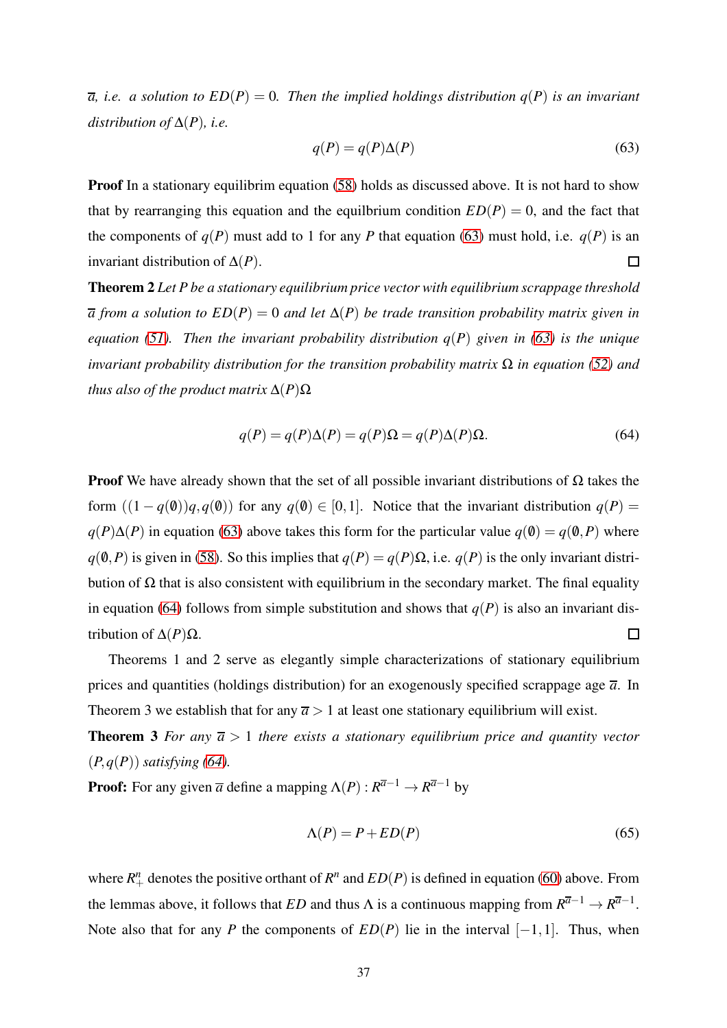$\overline{a}$ , *i.e.* a solution to  $ED(P) = 0$ . Then the implied holdings distribution  $q(P)$  is an invariant *distribution of*  $\Delta(P)$ *, i.e.* 

<span id="page-37-0"></span>
$$
q(P) = q(P)\Delta(P) \tag{63}
$$

**Proof** In a stationary equilibrim equation [\(58\)](#page-35-0) holds as discussed above. It is not hard to show that by rearranging this equation and the equilbrium condition  $ED(P) = 0$ , and the fact that the components of  $q(P)$  must add to 1 for any *P* that equation [\(63\)](#page-37-0) must hold, i.e.  $q(P)$  is an invariant distribution of ∆(*P*).  $\Box$ 

Theorem 2 *Let P be a stationary equilibrium price vector with equilibrium scrappage threshold a from a solution to ED*(*P*) = 0 *and let* ∆(*P*) *be trade transition probability matrix given in equation [\(51\)](#page-32-0). Then the invariant probability distribution q*(*P*) *given in [\(63\)](#page-37-0) is the unique invariant probability distribution for the transition probability matrix* Ω *in equation [\(52\)](#page-33-0) and thus also of the product matrix*  $\Delta(P)\Omega$ 

<span id="page-37-1"></span>
$$
q(P) = q(P)\Delta(P) = q(P)\Omega = q(P)\Delta(P)\Omega.
$$
\n(64)

**Proof** We have already shown that the set of all possible invariant distributions of  $\Omega$  takes the form  $((1 - q(0))q, q(0))$  for any  $q(0) \in [0, 1]$ . Notice that the invariant distribution  $q(P)$  $q(P) \Delta(P)$  in equation [\(63\)](#page-37-0) above takes this form for the particular value  $q(0) = q(0, P)$  where  $q(\emptyset, P)$  is given in [\(58\)](#page-35-0). So this implies that  $q(P) = q(P) \Omega$ , i.e.  $q(P)$  is the only invariant distribution of Ω that is also consistent with equilibrium in the secondary market. The final equality in equation [\(64\)](#page-37-1) follows from simple substitution and shows that  $q(P)$  is also an invariant distribution of  $\Delta(P)\Omega$ .  $\Box$ 

Theorems 1 and 2 serve as elegantly simple characterizations of stationary equilibrium prices and quantities (holdings distribution) for an exogenously specified scrappage age  $\bar{a}$ . In Theorem 3 we establish that for any  $\overline{a} > 1$  at least one stationary equilibrium will exist.

**Theorem 3** For any  $\overline{a} > 1$  there exists a stationary equilibrium price and quantity vector  $(P, q(P))$  *satisfying* [\(64\)](#page-37-1)*.* 

**Proof:** For any given  $\overline{a}$  define a mapping  $\Lambda(P) : R^{\overline{a}-1} \to R^{\overline{a}-1}$  by

$$
\Lambda(P) = P + ED(P) \tag{65}
$$

where  $R^n_+$  denotes the positive orthant of  $R^n$  and  $ED(P)$  is defined in equation [\(60\)](#page-36-0) above. From the lemmas above, it follows that *ED* and thus  $\Lambda$  is a continuous mapping from  $R^{\overline{a}-1} \to R^{\overline{a}-1}$ . Note also that for any *P* the components of  $ED(P)$  lie in the interval  $[-1,1]$ . Thus, when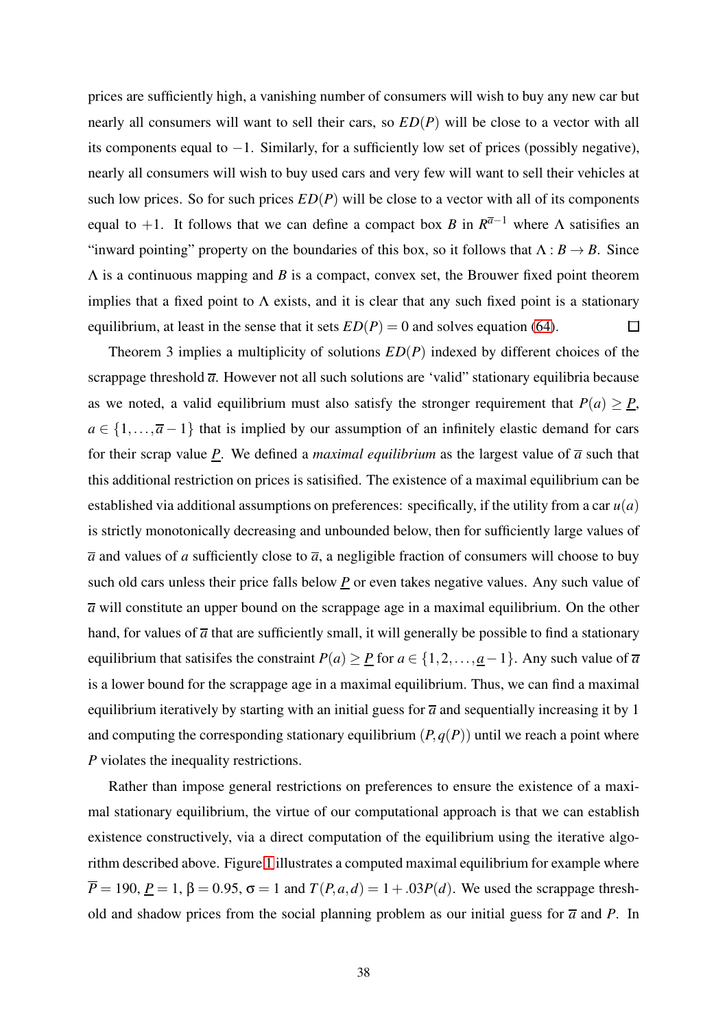prices are sufficiently high, a vanishing number of consumers will wish to buy any new car but nearly all consumers will want to sell their cars, so *ED*(*P*) will be close to a vector with all its components equal to −1. Similarly, for a sufficiently low set of prices (possibly negative), nearly all consumers will wish to buy used cars and very few will want to sell their vehicles at such low prices. So for such prices *ED*(*P*) will be close to a vector with all of its components equal to  $+1$ . It follows that we can define a compact box *B* in  $R^{\overline{a}-1}$  where  $\Lambda$  satisifies an "inward pointing" property on the boundaries of this box, so it follows that  $\Lambda : B \to B$ . Since Λ is a continuous mapping and *B* is a compact, convex set, the Brouwer fixed point theorem implies that a fixed point to  $\Lambda$  exists, and it is clear that any such fixed point is a stationary equilibrium, at least in the sense that it sets  $ED(P) = 0$  and solves equation [\(64\)](#page-37-1).  $\Box$ 

Theorem 3 implies a multiplicity of solutions *ED*(*P*) indexed by different choices of the scrappage threshold  $\overline{a}$ . However not all such solutions are 'valid' stationary equilibria because as we noted, a valid equilibrium must also satisfy the stronger requirement that  $P(a) \geq P$ ,  $a \in \{1, \ldots, \overline{a} - 1\}$  that is implied by our assumption of an infinitely elastic demand for cars for their scrap value  $P$ . We defined a *maximal equilibrium* as the largest value of  $\overline{a}$  such that this additional restriction on prices is satisified. The existence of a maximal equilibrium can be established via additional assumptions on preferences: specifically, if the utility from a car  $u(a)$ is strictly monotonically decreasing and unbounded below, then for sufficiently large values of  $\overline{a}$  and values of *a* sufficiently close to  $\overline{a}$ , a negligible fraction of consumers will choose to buy such old cars unless their price falls below  $\underline{P}$  or even takes negative values. Any such value of  $\overline{a}$  will constitute an upper bound on the scrappage age in a maximal equilibrium. On the other hand, for values of  $\overline{a}$  that are sufficiently small, it will generally be possible to find a stationary equilibrium that satisifes the constraint  $P(a) \ge P$  for  $a \in \{1, 2, ..., a-1\}$ . Any such value of  $\overline{a}$ is a lower bound for the scrappage age in a maximal equilibrium. Thus, we can find a maximal equilibrium iteratively by starting with an initial guess for  $\overline{a}$  and sequentially increasing it by 1 and computing the corresponding stationary equilibrium  $(P, q(P))$  until we reach a point where *P* violates the inequality restrictions.

Rather than impose general restrictions on preferences to ensure the existence of a maximal stationary equilibrium, the virtue of our computational approach is that we can establish existence constructively, via a direct computation of the equilibrium using the iterative algorithm described above. Figure [1](#page-40-0) illustrates a computed maximal equilibrium for example where  $\overline{P} = 190$ ,  $\underline{P} = 1$ ,  $\beta = 0.95$ ,  $\sigma = 1$  and  $T(P, a, d) = 1 + 0.03P(d)$ . We used the scrappage threshold and shadow prices from the social planning problem as our initial guess for  $\overline{a}$  and  $P$ . In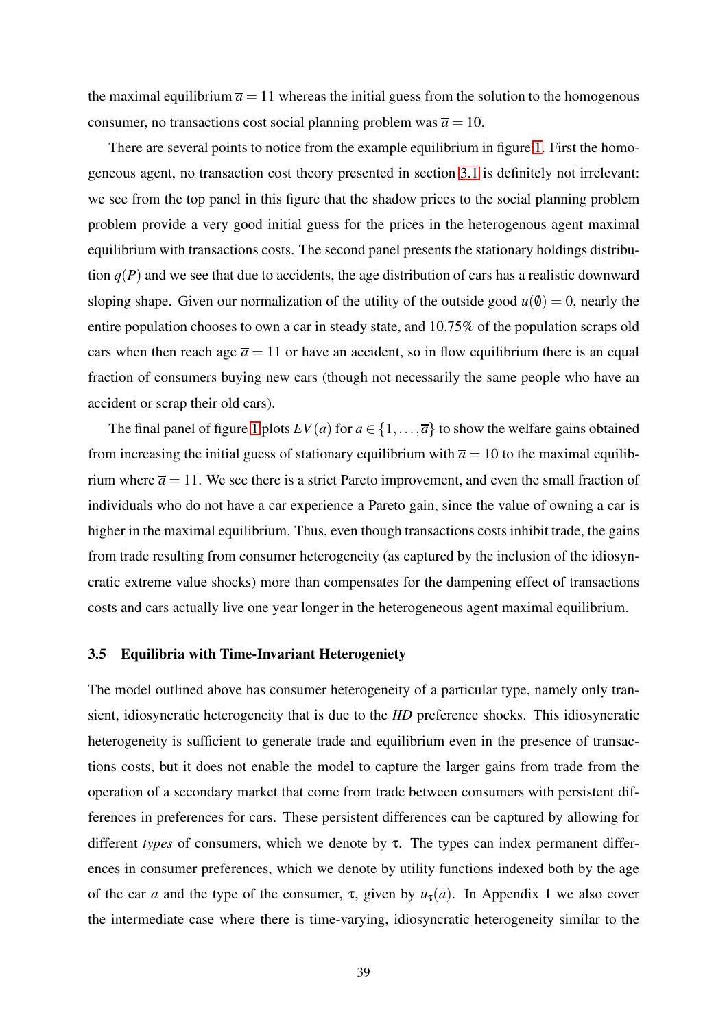the maximal equilibrium  $\bar{a} = 11$  whereas the initial guess from the solution to the homogenous consumer, no transactions cost social planning problem was  $\bar{a} = 10$ .

There are several points to notice from the example equilibrium in figure [1.](#page-40-0) First the homogeneous agent, no transaction cost theory presented in section [3.1](#page-13-0) is definitely not irrelevant: we see from the top panel in this figure that the shadow prices to the social planning problem problem provide a very good initial guess for the prices in the heterogenous agent maximal equilibrium with transactions costs. The second panel presents the stationary holdings distribution  $q(P)$  and we see that due to accidents, the age distribution of cars has a realistic downward sloping shape. Given our normalization of the utility of the outside good  $u(0) = 0$ , nearly the entire population chooses to own a car in steady state, and 10.75% of the population scraps old cars when then reach age  $\bar{a} = 11$  or have an accident, so in flow equilibrium there is an equal fraction of consumers buying new cars (though not necessarily the same people who have an accident or scrap their old cars).

The final panel of figure [1](#page-40-0) plots  $EV(a)$  for  $a \in \{1, \ldots, \overline{a}\}\)$  to show the welfare gains obtained from increasing the initial guess of stationary equilibrium with  $\bar{a} = 10$  to the maximal equilibrium where  $\bar{a} = 11$ . We see there is a strict Pareto improvement, and even the small fraction of individuals who do not have a car experience a Pareto gain, since the value of owning a car is higher in the maximal equilibrium. Thus, even though transactions costs inhibit trade, the gains from trade resulting from consumer heterogeneity (as captured by the inclusion of the idiosyncratic extreme value shocks) more than compensates for the dampening effect of transactions costs and cars actually live one year longer in the heterogeneous agent maximal equilibrium.

#### 3.5 Equilibria with Time-Invariant Heterogeniety

The model outlined above has consumer heterogeneity of a particular type, namely only transient, idiosyncratic heterogeneity that is due to the *IID* preference shocks. This idiosyncratic heterogeneity is sufficient to generate trade and equilibrium even in the presence of transactions costs, but it does not enable the model to capture the larger gains from trade from the operation of a secondary market that come from trade between consumers with persistent differences in preferences for cars. These persistent differences can be captured by allowing for different *types* of consumers, which we denote by τ. The types can index permanent differences in consumer preferences, which we denote by utility functions indexed both by the age of the car *a* and the type of the consumer,  $\tau$ , given by  $u_{\tau}(a)$ . In Appendix 1 we also cover the intermediate case where there is time-varying, idiosyncratic heterogeneity similar to the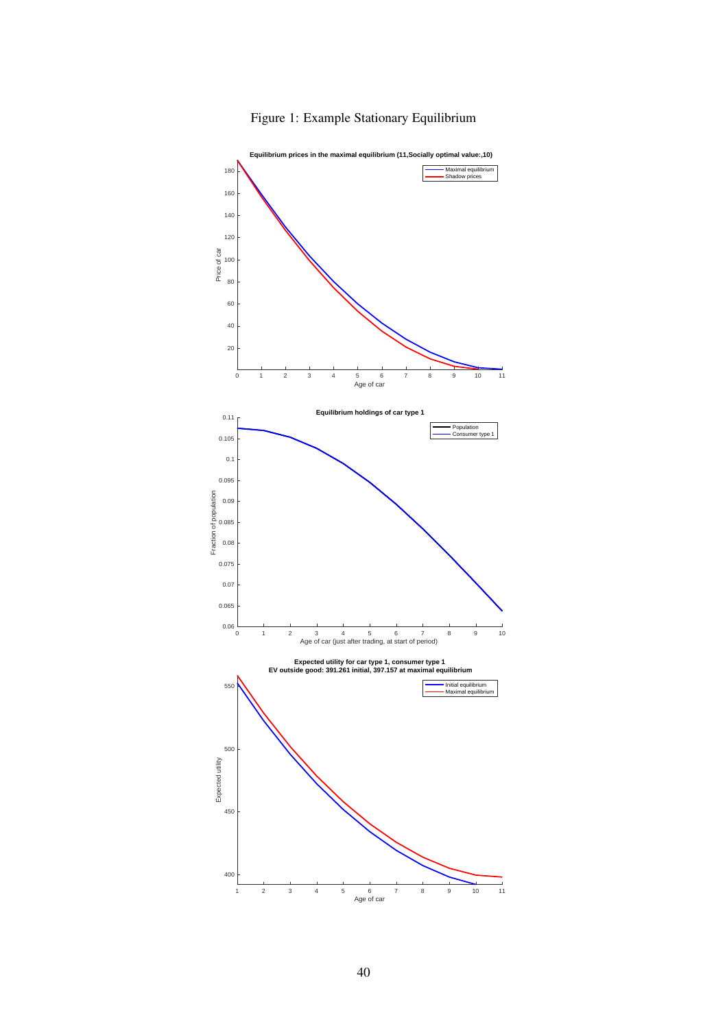

## <span id="page-40-0"></span>Figure 1: Example Stationary Equilibrium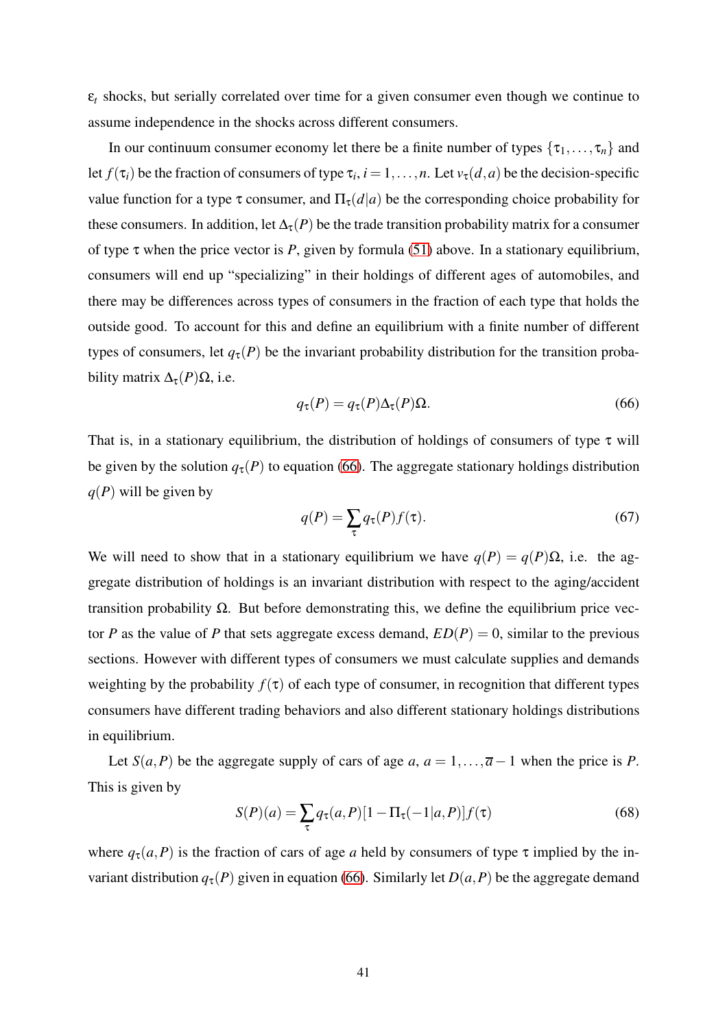$\varepsilon_t$  shocks, but serially correlated over time for a given consumer even though we continue to assume independence in the shocks across different consumers.

In our continuum consumer economy let there be a finite number of types  $\{\tau_1,\ldots,\tau_n\}$  and let  $f(\tau_i)$  be the fraction of consumers of type  $\tau_i$ ,  $i = 1, ..., n$ . Let  $v_{\tau}(d, a)$  be the decision-specific value function for a type  $\tau$  consumer, and  $\Pi_{\tau}(d|a)$  be the corresponding choice probability for these consumers. In addition, let  $\Delta_{\tau}(P)$  be the trade transition probability matrix for a consumer of type  $\tau$  when the price vector is *P*, given by formula [\(51\)](#page-32-0) above. In a stationary equilibrium, consumers will end up "specializing" in their holdings of different ages of automobiles, and there may be differences across types of consumers in the fraction of each type that holds the outside good. To account for this and define an equilibrium with a finite number of different types of consumers, let  $q_{\tau}(P)$  be the invariant probability distribution for the transition probability matrix  $\Delta_{\tau}(P)\Omega$ , i.e.

<span id="page-41-0"></span>
$$
q_{\tau}(P) = q_{\tau}(P)\Delta_{\tau}(P)\Omega.
$$
\n(66)

That is, in a stationary equilibrium, the distribution of holdings of consumers of type  $\tau$  will be given by the solution  $q_{\tau}(P)$  to equation [\(66\)](#page-41-0). The aggregate stationary holdings distribution *q*(*P*) will be given by

$$
q(P) = \sum_{\tau} q_{\tau}(P) f(\tau). \tag{67}
$$

We will need to show that in a stationary equilibrium we have  $q(P) = q(P)\Omega$ , i.e. the aggregate distribution of holdings is an invariant distribution with respect to the aging/accident transition probability Ω. But before demonstrating this, we define the equilibrium price vector *P* as the value of *P* that sets aggregate excess demand,  $ED(P) = 0$ , similar to the previous sections. However with different types of consumers we must calculate supplies and demands weighting by the probability  $f(\tau)$  of each type of consumer, in recognition that different types consumers have different trading behaviors and also different stationary holdings distributions in equilibrium.

Let *S*(*a*,*P*) be the aggregate supply of cars of age *a*,  $a = 1, \ldots, \overline{a-1}$  when the price is *P*. This is given by

<span id="page-41-1"></span>
$$
S(P)(a) = \sum_{\tau} q_{\tau}(a, P)[1 - \Pi_{\tau}(-1|a, P)]f(\tau)
$$
\n(68)

where  $q_{\tau}(a, P)$  is the fraction of cars of age *a* held by consumers of type  $\tau$  implied by the invariant distribution  $q_{\tau}(P)$  given in equation [\(66\)](#page-41-0). Similarly let  $D(a, P)$  be the aggregate demand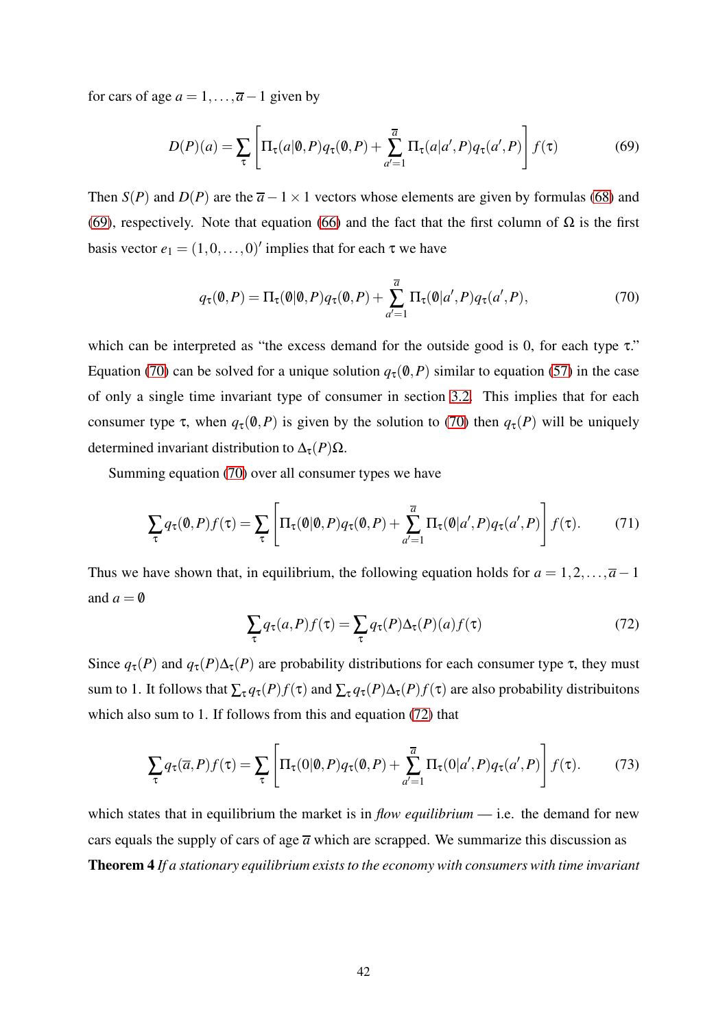for cars of age  $a = 1, \ldots, \overline{a} - 1$  given by

<span id="page-42-0"></span>
$$
D(P)(a) = \sum_{\tau} \left[ \Pi_{\tau}(a|\mathbf{0}, P) q_{\tau}(\mathbf{0}, P) + \sum_{a'=1}^{\overline{a}} \Pi_{\tau}(a|a', P) q_{\tau}(a', P) \right] f(\tau)
$$
(69)

Then *S*(*P*) and *D*(*P*) are the  $\overline{a}$  − 1 × 1 vectors whose elements are given by formulas [\(68\)](#page-41-1) and [\(69\)](#page-42-0), respectively. Note that equation [\(66\)](#page-41-0) and the fact that the first column of  $\Omega$  is the first basis vector  $e_1 = (1, 0, \dots, 0)'$  implies that for each  $\tau$  we have

<span id="page-42-1"></span>
$$
q_{\tau}(\mathbf{0}, P) = \Pi_{\tau}(\mathbf{0}|\mathbf{0}, P)q_{\tau}(\mathbf{0}, P) + \sum_{d'=1}^{\overline{a}} \Pi_{\tau}(\mathbf{0}|a', P)q_{\tau}(a', P), \qquad (70)
$$

which can be interpreted as "the excess demand for the outside good is 0, for each type  $\tau$ ." Equation [\(70\)](#page-42-1) can be solved for a unique solution  $q_\tau(\mathbf{0},P)$  similar to equation [\(57\)](#page-35-1) in the case of only a single time invariant type of consumer in section [3.2.](#page-22-0) This implies that for each consumer type  $\tau$ , when  $q_{\tau}(\emptyset, P)$  is given by the solution to [\(70\)](#page-42-1) then  $q_{\tau}(P)$  will be uniquely determined invariant distribution to  $\Delta_{\tau}(P)\Omega$ .

Summing equation [\(70\)](#page-42-1) over all consumer types we have

$$
\sum_{\tau} q_{\tau}(\mathbf{0}, P) f(\tau) = \sum_{\tau} \left[ \Pi_{\tau}(\mathbf{0} | \mathbf{0}, P) q_{\tau}(\mathbf{0}, P) + \sum_{d'=1}^{\overline{a}} \Pi_{\tau}(\mathbf{0} | a', P) q_{\tau}(a', P) \right] f(\tau).
$$
(71)

Thus we have shown that, in equilibrium, the following equation holds for  $a = 1, 2, \ldots, \overline{a} - 1$ and  $a = \emptyset$ 

<span id="page-42-2"></span>
$$
\sum_{\tau} q_{\tau}(a, P) f(\tau) = \sum_{\tau} q_{\tau}(P) \Delta_{\tau}(P)(a) f(\tau)
$$
\n(72)

Since  $q_{\tau}(P)$  and  $q_{\tau}(P)\Delta_{\tau}(P)$  are probability distributions for each consumer type  $\tau$ , they must sum to 1. It follows that  $\sum_{\tau} q_{\tau}(P) f(\tau)$  and  $\sum_{\tau} q_{\tau}(P) \Delta_{\tau}(P) f(\tau)$  are also probability distribuitons which also sum to 1. If follows from this and equation [\(72\)](#page-42-2) that

$$
\sum_{\tau} q_{\tau}(\overline{a}, P) f(\tau) = \sum_{\tau} \left[ \Pi_{\tau}(0 | \emptyset, P) q_{\tau}( \emptyset, P) + \sum_{a'=1}^{\overline{a}} \Pi_{\tau}(0 | a', P) q_{\tau}(a', P) \right] f(\tau).
$$
(73)

which states that in equilibrium the market is in *flow equilibrium* — i.e. the demand for new cars equals the supply of cars of age  $\overline{a}$  which are scrapped. We summarize this discussion as Theorem 4 *If a stationary equilibrium exists to the economy with consumers with time invariant*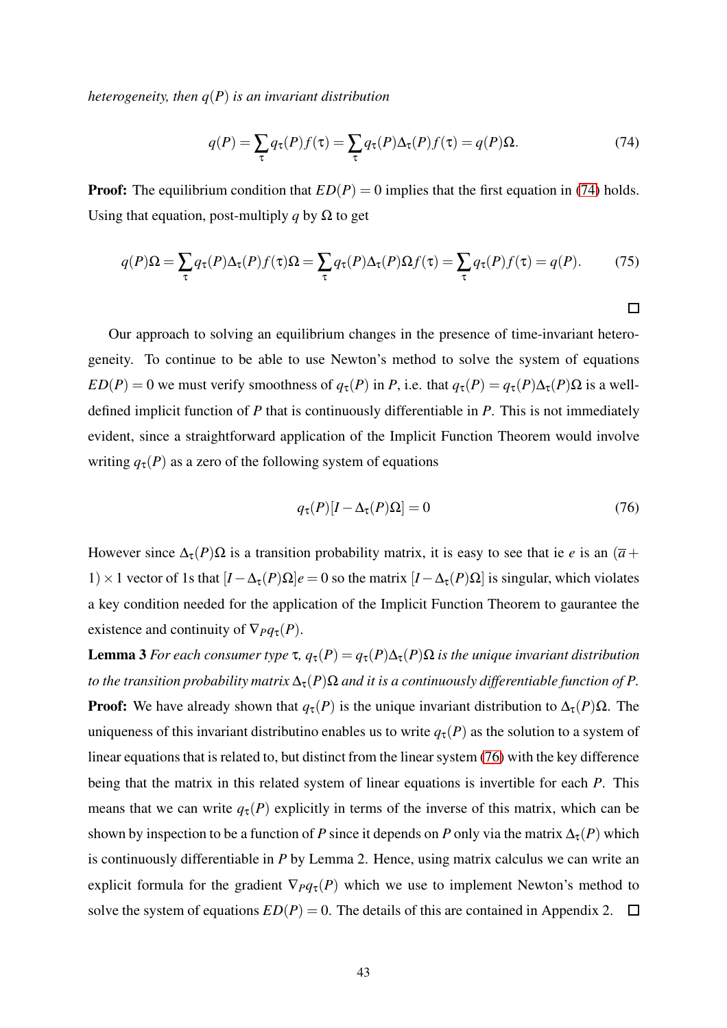*heterogeneity, then q*(*P*) *is an invariant distribution*

<span id="page-43-0"></span>
$$
q(P) = \sum_{\tau} q_{\tau}(P)f(\tau) = \sum_{\tau} q_{\tau}(P)\Delta_{\tau}(P)f(\tau) = q(P)\Omega.
$$
 (74)

**Proof:** The equilibrium condition that  $ED(P) = 0$  implies that the first equation in [\(74\)](#page-43-0) holds. Using that equation, post-multiply *q* by  $\Omega$  to get

$$
q(P)\Omega = \sum_{\tau} q_{\tau}(P)\Delta_{\tau}(P)f(\tau)\Omega = \sum_{\tau} q_{\tau}(P)\Delta_{\tau}(P)\Omega f(\tau) = \sum_{\tau} q_{\tau}(P)f(\tau) = q(P). \tag{75}
$$

Our approach to solving an equilibrium changes in the presence of time-invariant heterogeneity. To continue to be able to use Newton's method to solve the system of equations *ED*(*P*) = 0 we must verify smoothness of  $q_\tau(P)$  in *P*, i.e. that  $q_\tau(P) = q_\tau(P) \Delta_\tau(P) \Omega$  is a welldefined implicit function of *P* that is continuously differentiable in *P*. This is not immediately evident, since a straightforward application of the Implicit Function Theorem would involve writing  $q_{\tau}(P)$  as a zero of the following system of equations

<span id="page-43-1"></span>
$$
q_{\tau}(P)[I - \Delta_{\tau}(P)\Omega] = 0 \tag{76}
$$

 $\Box$ 

However since  $\Delta_{\tau}(P) \Omega$  is a transition probability matrix, it is easy to see that ie *e* is an  $(\overline{a} +$ 1) × 1 vector of 1s that  $[I - Δ<sub>τ</sub>(P)Ω]e = 0$  so the matrix  $[I - Δ<sub>τ</sub>(P)Ω]$  is singular, which violates a key condition needed for the application of the Implicit Function Theorem to gaurantee the existence and continuity of  $\nabla_{P}q_{\tau}(P)$ .

Lemma 3 *For each consumer type*  $\tau$ ,  $q_\tau(P) = q_\tau(P) \Delta_\tau(P) \Omega$  *is the unique invariant distribution to the transition probability matrix*  $\Delta_{\tau}(P)\Omega$  *and it is a continuously differentiable function of P.* **Proof:** We have already shown that  $q_\tau(P)$  is the unique invariant distribution to  $\Delta_\tau(P)\Omega$ . The uniqueness of this invariant distributino enables us to write  $q_{\tau}(P)$  as the solution to a system of linear equations that is related to, but distinct from the linear system [\(76\)](#page-43-1) with the key difference being that the matrix in this related system of linear equations is invertible for each *P*. This means that we can write  $q_{\tau}(P)$  explicitly in terms of the inverse of this matrix, which can be shown by inspection to be a function of *P* since it depends on *P* only via the matrix  $\Delta_{\tau}(P)$  which is continuously differentiable in *P* by Lemma 2. Hence, using matrix calculus we can write an explicit formula for the gradient  $\nabla_{P}q_{\tau}(P)$  which we use to implement Newton's method to solve the system of equations  $ED(P) = 0$ . The details of this are contained in Appendix 2.  $\square$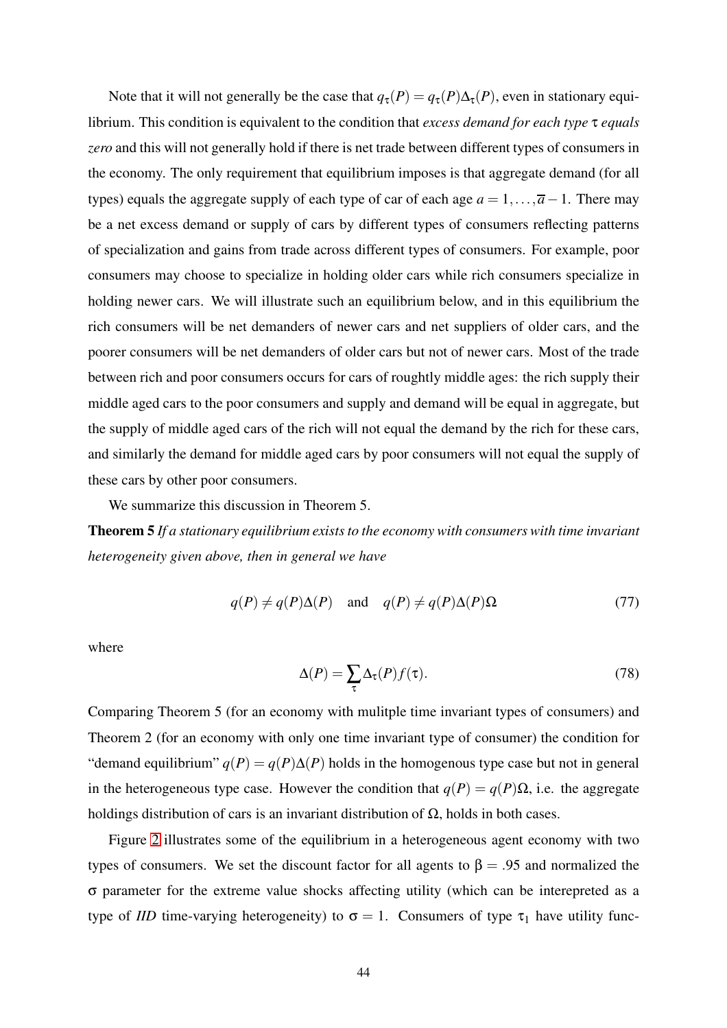Note that it will not generally be the case that  $q_{\tau}(P) = q_{\tau}(P) \Delta_{\tau}(P)$ , even in stationary equilibrium. This condition is equivalent to the condition that *excess demand for each type* τ *equals zero* and this will not generally hold if there is net trade between different types of consumers in the economy. The only requirement that equilibrium imposes is that aggregate demand (for all types) equals the aggregate supply of each type of car of each age  $a = 1, \ldots, \overline{a} - 1$ . There may be a net excess demand or supply of cars by different types of consumers reflecting patterns of specialization and gains from trade across different types of consumers. For example, poor consumers may choose to specialize in holding older cars while rich consumers specialize in holding newer cars. We will illustrate such an equilibrium below, and in this equilibrium the rich consumers will be net demanders of newer cars and net suppliers of older cars, and the poorer consumers will be net demanders of older cars but not of newer cars. Most of the trade between rich and poor consumers occurs for cars of roughtly middle ages: the rich supply their middle aged cars to the poor consumers and supply and demand will be equal in aggregate, but the supply of middle aged cars of the rich will not equal the demand by the rich for these cars, and similarly the demand for middle aged cars by poor consumers will not equal the supply of these cars by other poor consumers.

We summarize this discussion in Theorem 5.

Theorem 5 *If a stationary equilibrium exists to the economy with consumers with time invariant heterogeneity given above, then in general we have*

$$
q(P) \neq q(P)\Delta(P)
$$
 and  $q(P) \neq q(P)\Delta(P)\Omega$  (77)

where

$$
\Delta(P) = \sum_{\tau} \Delta_{\tau}(P) f(\tau). \tag{78}
$$

Comparing Theorem 5 (for an economy with mulitple time invariant types of consumers) and Theorem 2 (for an economy with only one time invariant type of consumer) the condition for "demand equilibrium"  $q(P) = q(P) \Delta(P)$  holds in the homogenous type case but not in general in the heterogeneous type case. However the condition that  $q(P) = q(P)\Omega$ , i.e. the aggregate holdings distribution of cars is an invariant distribution of  $\Omega$ , holds in both cases.

Figure [2](#page-45-0) illustrates some of the equilibrium in a heterogeneous agent economy with two types of consumers. We set the discount factor for all agents to  $\beta = .95$  and normalized the σ parameter for the extreme value shocks affecting utility (which can be interepreted as a type of *IID* time-varying heterogeneity) to  $\sigma = 1$ . Consumers of type  $\tau_1$  have utility func-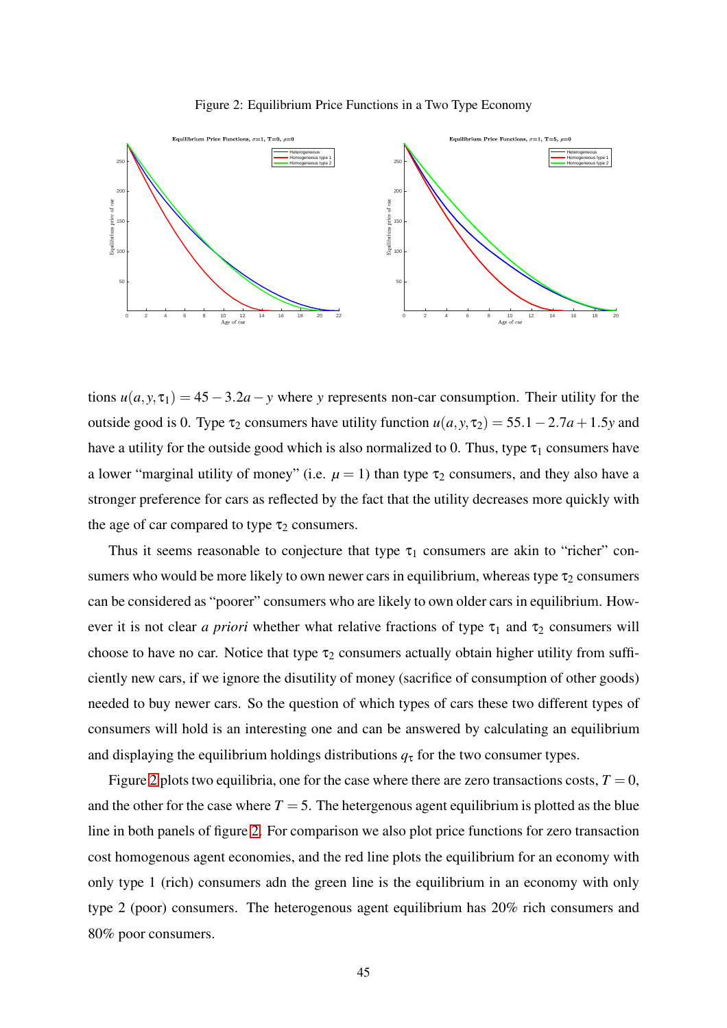#### <span id="page-45-0"></span>Figure 2: Equilibrium Price Functions in a Two Type Economy



tions  $u(a, y, \tau_1) = 45 - 3.2a - y$  where *y* represents non-car consumption. Their utility for the outside good is 0. Type  $\tau_2$  consumers have utility function  $u(a, y, \tau_2) = 55.1 - 2.7a + 1.5y$  and have a utility for the outside good which is also normalized to 0. Thus, type  $\tau_1$  consumers have a lower "marginal utility of money" (i.e.  $\mu = 1$ ) than type  $\tau_2$  consumers, and they also have a stronger preference for cars as reflected by the fact that the utility decreases more quickly with the age of car compared to type  $\tau_2$  consumers.

Thus it seems reasonable to conjecture that type  $\tau_1$  consumers are akin to "richer" consumers who would be more likely to own newer cars in equilibrium, whereas type  $\tau_2$  consumers can be considered as "poorer" consumers who are likely to own older cars in equilibrium. However it is not clear *a priori* whether what relative fractions of type  $\tau_1$  and  $\tau_2$  consumers will choose to have no car. Notice that type  $\tau_2$  consumers actually obtain higher utility from sufficiently new cars, if we ignore the disutility of money (sacrifice of consumption of other goods) needed to buy newer cars. So the question of which types of cars these two different types of consumers will hold is an interesting one and can be answered by calculating an equilibrium and displaying the equilibrium holdings distributions  $q<sub>\tau</sub>$  for the two consumer types.

Figure [2](#page-45-0) plots two equilibria, one for the case where there are zero transactions costs,  $T = 0$ , and the other for the case where  $T = 5$ . The hetergenous agent equilibrium is plotted as the blue line in both panels of figure [2.](#page-45-0) For comparison we also plot price functions for zero transaction cost homogenous agent economies, and the red line plots the equilibrium for an economy with only type 1 (rich) consumers adn the green line is the equilibrium in an economy with only type 2 (poor) consumers. The heterogenous agent equilibrium has 20% rich consumers and 80% poor consumers.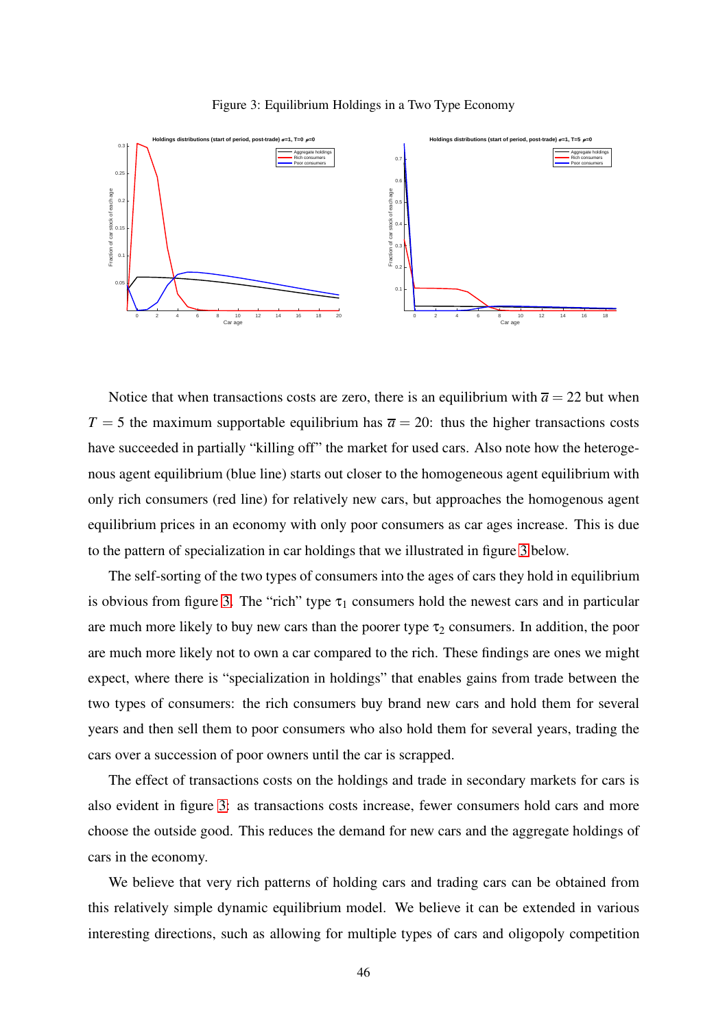<span id="page-46-0"></span>



Notice that when transactions costs are zero, there is an equilibrium with  $\overline{a} = 22$  but when  $T = 5$  the maximum supportable equilibrium has  $\bar{a} = 20$ : thus the higher transactions costs have succeeded in partially "killing off" the market for used cars. Also note how the heterogenous agent equilibrium (blue line) starts out closer to the homogeneous agent equilibrium with only rich consumers (red line) for relatively new cars, but approaches the homogenous agent equilibrium prices in an economy with only poor consumers as car ages increase. This is due to the pattern of specialization in car holdings that we illustrated in figure [3](#page-46-0) below.

The self-sorting of the two types of consumers into the ages of cars they hold in equilibrium is obvious from figure [3.](#page-46-0) The "rich" type  $\tau_1$  consumers hold the newest cars and in particular are much more likely to buy new cars than the poorer type  $\tau_2$  consumers. In addition, the poor are much more likely not to own a car compared to the rich. These findings are ones we might expect, where there is "specialization in holdings" that enables gains from trade between the two types of consumers: the rich consumers buy brand new cars and hold them for several years and then sell them to poor consumers who also hold them for several years, trading the cars over a succession of poor owners until the car is scrapped.

The effect of transactions costs on the holdings and trade in secondary markets for cars is also evident in figure [3:](#page-46-0) as transactions costs increase, fewer consumers hold cars and more choose the outside good. This reduces the demand for new cars and the aggregate holdings of cars in the economy.

We believe that very rich patterns of holding cars and trading cars can be obtained from this relatively simple dynamic equilibrium model. We believe it can be extended in various interesting directions, such as allowing for multiple types of cars and oligopoly competition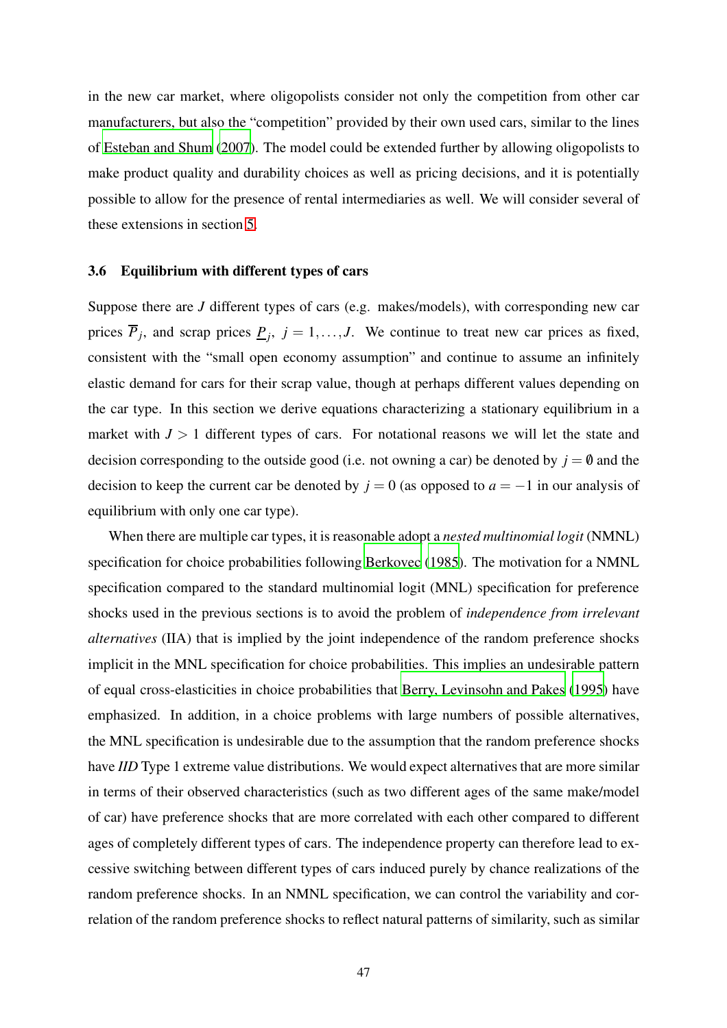in the new car market, where oligopolists consider not only the competition from other car manufacturers, but also the "competition" provided by their own used cars, similar to the lines of [Esteban and Shum](#page-81-0) [\(2007\)](#page-81-0). The model could be extended further by allowing oligopolists to make product quality and durability choices as well as pricing decisions, and it is potentially possible to allow for the presence of rental intermediaries as well. We will consider several of these extensions in section [5.](#page-67-0)

### <span id="page-47-0"></span>3.6 Equilibrium with different types of cars

Suppose there are *J* different types of cars (e.g. makes/models), with corresponding new car prices  $\overline{P}_j$ , and scrap prices  $\underline{P}_j$ ,  $j = 1, ..., J$ . We continue to treat new car prices as fixed, consistent with the "small open economy assumption" and continue to assume an infinitely elastic demand for cars for their scrap value, though at perhaps different values depending on the car type. In this section we derive equations characterizing a stationary equilibrium in a market with  $J > 1$  different types of cars. For notational reasons we will let the state and decision corresponding to the outside good (i.e. not owning a car) be denoted by  $j = 0$  and the decision to keep the current car be denoted by  $j = 0$  (as opposed to  $a = -1$  in our analysis of equilibrium with only one car type).

When there are multiple car types, it is reasonable adopt a *nested multinomial logit* (NMNL) specification for choice probabilities following [Berkovec](#page-81-1) [\(1985\)](#page-81-1). The motivation for a NMNL specification compared to the standard multinomial logit (MNL) specification for preference shocks used in the previous sections is to avoid the problem of *independence from irrelevant alternatives* (IIA) that is implied by the joint independence of the random preference shocks implicit in the MNL specification for choice probabilities. This implies an undesirable pattern of equal cross-elasticities in choice probabilities that [Berry, Levinsohn and Pakes](#page-81-2) [\(1995\)](#page-81-2) have emphasized. In addition, in a choice problems with large numbers of possible alternatives, the MNL specification is undesirable due to the assumption that the random preference shocks have *IID* Type 1 extreme value distributions. We would expect alternatives that are more similar in terms of their observed characteristics (such as two different ages of the same make/model of car) have preference shocks that are more correlated with each other compared to different ages of completely different types of cars. The independence property can therefore lead to excessive switching between different types of cars induced purely by chance realizations of the random preference shocks. In an NMNL specification, we can control the variability and correlation of the random preference shocks to reflect natural patterns of similarity, such as similar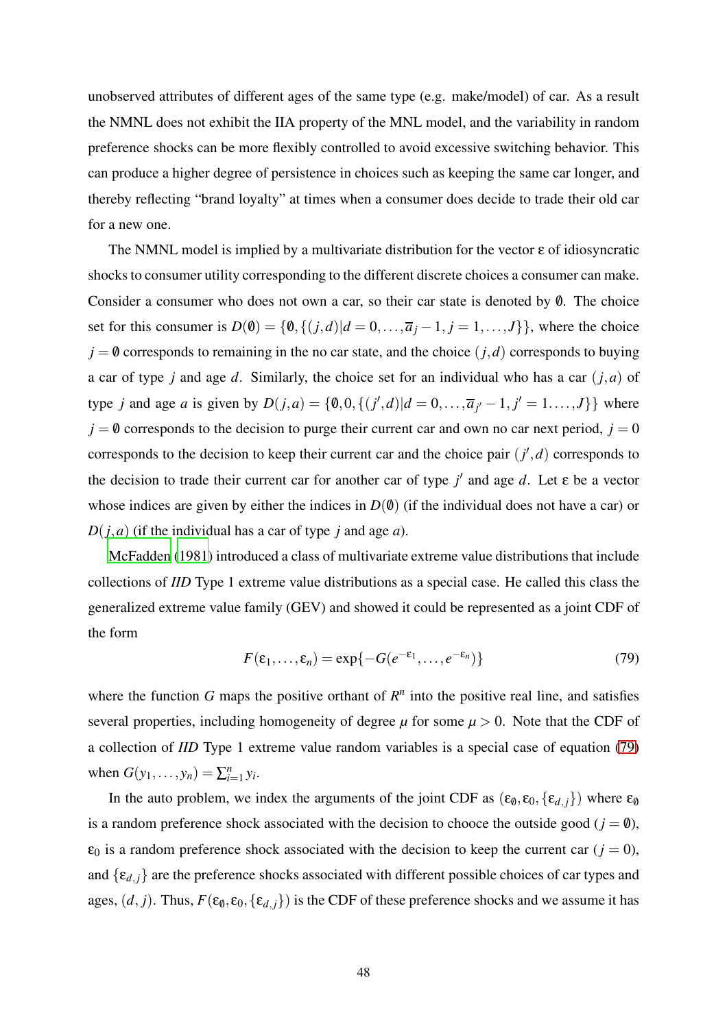unobserved attributes of different ages of the same type (e.g. make/model) of car. As a result the NMNL does not exhibit the IIA property of the MNL model, and the variability in random preference shocks can be more flexibly controlled to avoid excessive switching behavior. This can produce a higher degree of persistence in choices such as keeping the same car longer, and thereby reflecting "brand loyalty" at times when a consumer does decide to trade their old car for a new one.

The NMNL model is implied by a multivariate distribution for the vector  $\epsilon$  of idiosyncratic shocks to consumer utility corresponding to the different discrete choices a consumer can make. Consider a consumer who does not own a car, so their car state is denoted by  $\emptyset$ . The choice set for this consumer is  $D(\emptyset) = \{\emptyset, \{(j,d)|d = 0, \ldots, \overline{a}_j - 1, j = 1, \ldots, J\}\}\,$ , where the choice  $j = 0$  corresponds to remaining in the no car state, and the choice  $(j, d)$  corresponds to buying a car of type *j* and age *d*. Similarly, the choice set for an individual who has a car (*j*,*a*) of type *j* and age *a* is given by  $D(j, a) = \{0, 0, \{(j', d) | d = 0, ..., \overline{a}_{j'} - 1, j' = 1, ..., J\}\}$  where  $j = 0$  corresponds to the decision to purge their current car and own no car next period,  $j = 0$ corresponds to the decision to keep their current car and the choice pair  $(j', d)$  corresponds to the decision to trade their current car for another car of type  $j'$  and age  $d$ . Let  $\varepsilon$  be a vector whose indices are given by either the indices in  $D(\theta)$  (if the individual does not have a car) or *D*(*j*,*a*) (if the individual has a car of type *j* and age *a*).

[McFadden \(1981](#page-82-0)) introduced a class of multivariate extreme value distributions that include collections of *IID* Type 1 extreme value distributions as a special case. He called this class the generalized extreme value family (GEV) and showed it could be represented as a joint CDF of the form

<span id="page-48-0"></span>
$$
F(\varepsilon_1,\ldots,\varepsilon_n)=\exp\{-G(e^{-\varepsilon_1},\ldots,e^{-\varepsilon_n})\}\tag{79}
$$

where the function  $G$  maps the positive orthant of  $R<sup>n</sup>$  into the positive real line, and satisfies several properties, including homogeneity of degree  $\mu$  for some  $\mu > 0$ . Note that the CDF of a collection of *IID* Type 1 extreme value random variables is a special case of equation [\(79\)](#page-48-0) when  $G(y_1,..., y_n) = \sum_{i=1}^n y_i$ .

In the auto problem, we index the arguments of the joint CDF as  $(\epsilon_0, \epsilon_0, {\{\epsilon_{d,j}\}})$  where  $\epsilon_0$ is a random preference shock associated with the decision to chooce the outside good ( $j = \emptyset$ ),  $\varepsilon_0$  is a random preference shock associated with the decision to keep the current car  $(j = 0)$ , and  $\{\varepsilon_{d,i}\}\$  are the preference shocks associated with different possible choices of car types and ages,  $(d, j)$ . Thus,  $F(\epsilon_0, \epsilon_0, {\epsilon_{d,j}})$  is the CDF of these preference shocks and we assume it has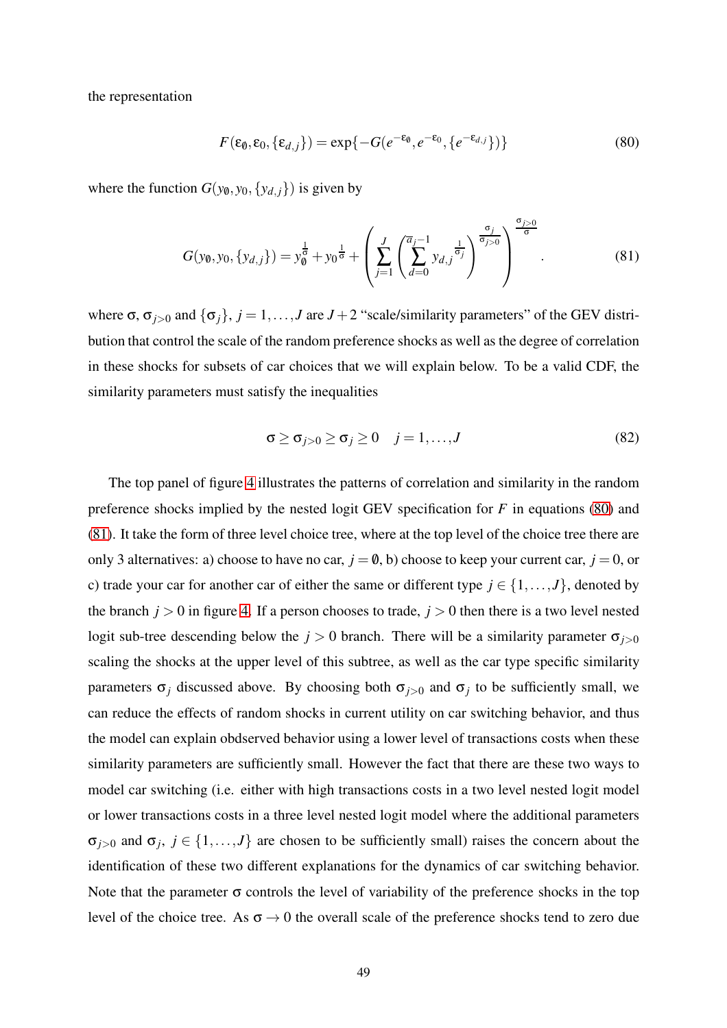the representation

<span id="page-49-0"></span>
$$
F(\varepsilon_0, \varepsilon_0, \{\varepsilon_{d,j}\}) = \exp\{-G(e^{-\varepsilon_0}, e^{-\varepsilon_0}, \{e^{-\varepsilon_{d,j}}\})\}\tag{80}
$$

where the function  $G(y_0, y_0, \{y_{d,j}\})$  is given by

<span id="page-49-1"></span>
$$
G(y_0, y_0, \{y_{d,j}\}) = y_0^{\frac{1}{\sigma}} + y_0^{\frac{1}{\sigma}} + \left(\sum_{j=1}^J \left(\sum_{d=0}^{\overline{a}_{j-1}} y_{d,j}^{\frac{1}{\sigma_j}}\right)^{\frac{\sigma_j}{\sigma_{j>0}}}\right)^{\frac{\sigma_{j>0}}{\sigma}}.
$$
(81)

where  $\sigma$ ,  $\sigma$ <sub>*i*>0</sub> and  $\{\sigma$ <sub>*j*</sub>}, *j* = 1,...,*J* are *J* + 2 "scale/similarity parameters" of the GEV distribution that control the scale of the random preference shocks as well as the degree of correlation in these shocks for subsets of car choices that we will explain below. To be a valid CDF, the similarity parameters must satisfy the inequalities

<span id="page-49-2"></span>
$$
\sigma \ge \sigma_{j>0} \ge \sigma_j \ge 0 \quad j=1,\ldots,J \tag{82}
$$

The top panel of figure [4](#page-50-0) illustrates the patterns of correlation and similarity in the random preference shocks implied by the nested logit GEV specification for *F* in equations [\(80\)](#page-49-0) and [\(81\)](#page-49-1). It take the form of three level choice tree, where at the top level of the choice tree there are only 3 alternatives: a) choose to have no car,  $j = \emptyset$ , b) choose to keep your current car,  $j = 0$ , or c) trade your car for another car of either the same or different type  $j \in \{1, ..., J\}$ , denoted by the branch  $j > 0$  in figure [4.](#page-50-0) If a person chooses to trade,  $j > 0$  then there is a two level nested logit sub-tree descending below the  $j > 0$  branch. There will be a similarity parameter  $\sigma_{j>0}$ scaling the shocks at the upper level of this subtree, as well as the car type specific similarity parameters  $\sigma_j$  discussed above. By choosing both  $\sigma_{j>0}$  and  $\sigma_j$  to be sufficiently small, we can reduce the effects of random shocks in current utility on car switching behavior, and thus the model can explain obdserved behavior using a lower level of transactions costs when these similarity parameters are sufficiently small. However the fact that there are these two ways to model car switching (i.e. either with high transactions costs in a two level nested logit model or lower transactions costs in a three level nested logit model where the additional parameters  $\sigma_{j>0}$  and  $\sigma_j$ ,  $j \in \{1, ..., J\}$  are chosen to be sufficiently small) raises the concern about the identification of these two different explanations for the dynamics of car switching behavior. Note that the parameter  $\sigma$  controls the level of variability of the preference shocks in the top level of the choice tree. As  $\sigma \rightarrow 0$  the overall scale of the preference shocks tend to zero due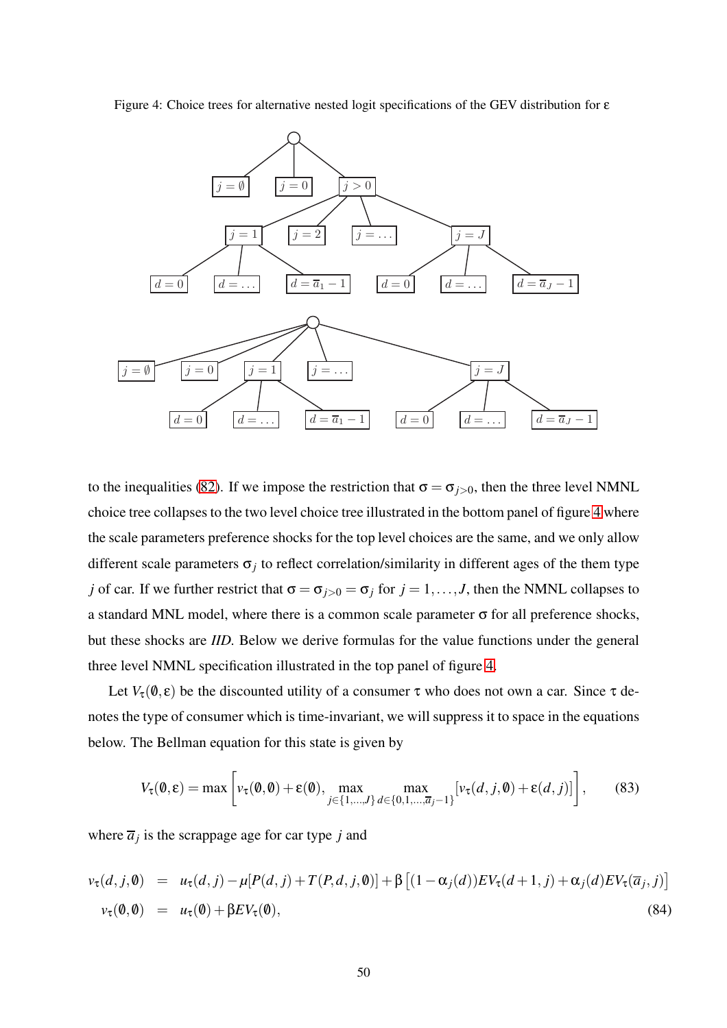

<span id="page-50-0"></span>

to the inequalities [\(82\)](#page-49-2). If we impose the restriction that  $\sigma = \sigma_{i>0}$ , then the three level NMNL choice tree collapses to the two level choice tree illustrated in the bottom panel of figure [4](#page-50-0) where the scale parameters preference shocks for the top level choices are the same, and we only allow different scale parameters  $\sigma_j$  to reflect correlation/similarity in different ages of the them type *j* of car. If we further restrict that  $\sigma = \sigma_{i>0} = \sigma_i$  for  $j = 1, ..., J$ , then the NMNL collapses to a standard MNL model, where there is a common scale parameter σ for all preference shocks, but these shocks are *IID.* Below we derive formulas for the value functions under the general three level NMNL specification illustrated in the top panel of figure [4.](#page-50-0)

Let  $V_{\tau}(\mathbf{0}, \varepsilon)$  be the discounted utility of a consumer  $\tau$  who does not own a car. Since  $\tau$  denotes the type of consumer which is time-invariant, we will suppress it to space in the equations below. The Bellman equation for this state is given by

$$
V_{\tau}(\boldsymbol{\theta}, \boldsymbol{\epsilon}) = \max \left[ v_{\tau}(\boldsymbol{\theta}, \boldsymbol{\theta}) + \varepsilon(\boldsymbol{\theta}), \max_{j \in \{1, \dots, J\}} \max_{d \in \{0, 1, \dots, \overline{a}_j - 1\}} [v_{\tau}(d, j, \boldsymbol{\theta}) + \varepsilon(d, j)] \right],
$$
(83)

where  $\overline{a}_j$  is the scrappage age for car type *j* and

$$
v_{\tau}(d,j,0) = u_{\tau}(d,j) - \mu[P(d,j) + T(P,d,j,0)] + \beta \left[ (1 - \alpha_j(d))EV_{\tau}(d+1,j) + \alpha_j(d)EV_{\tau}(\overline{a}_j,j) \right]
$$
  

$$
v_{\tau}(0,0) = u_{\tau}(0) + \beta EV_{\tau}(0),
$$
 (84)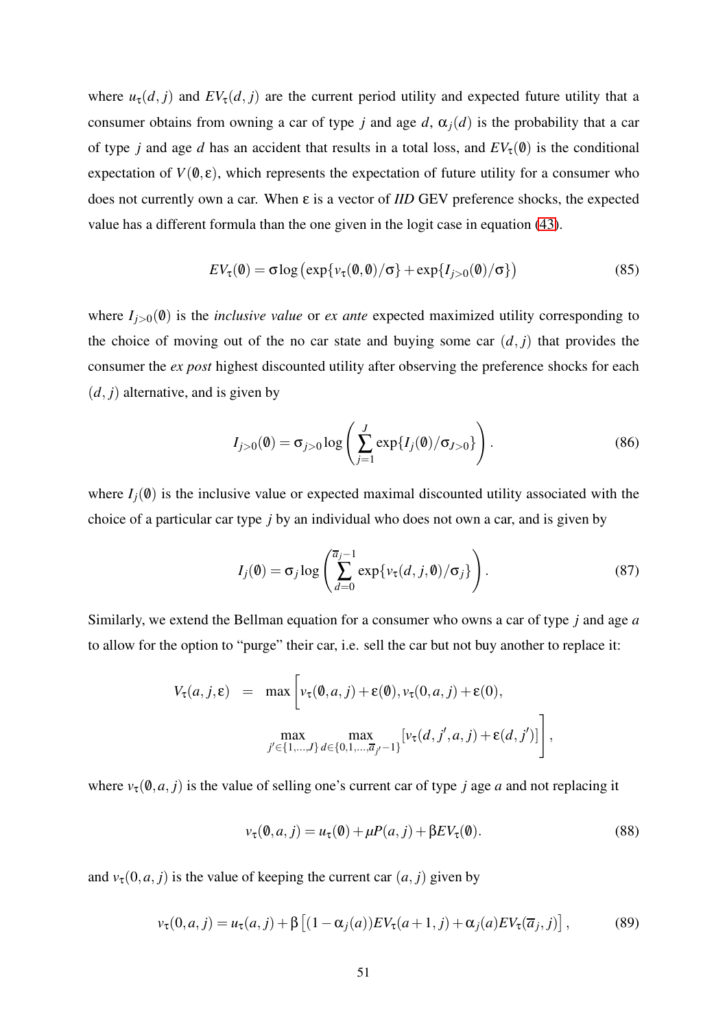where  $u_{\tau}(d, j)$  and  $EV_{\tau}(d, j)$  are the current period utility and expected future utility that a consumer obtains from owning a car of type *j* and age *d*,  $\alpha_i(d)$  is the probability that a car of type *j* and age *d* has an accident that results in a total loss, and  $EV_\tau(\theta)$  is the conditional expectation of  $V(\mathbf{0}, \varepsilon)$ , which represents the expectation of future utility for a consumer who does not currently own a car. When ε is a vector of *IID* GEV preference shocks, the expected value has a different formula than the one given in the logit case in equation [\(43\)](#page-30-0).

<span id="page-51-0"></span>
$$
EV_{\tau}(\mathbf{0}) = \sigma \log \left( \exp \{ v_{\tau}(\mathbf{0}, \mathbf{0}) / \sigma \} + \exp \{ I_{j>0}(\mathbf{0}) / \sigma \} \right) \tag{85}
$$

where  $I_{i>0}(\emptyset)$  is the *inclusive value* or *ex ante* expected maximized utility corresponding to the choice of moving out of the no car state and buying some car  $(d, j)$  that provides the consumer the *ex post* highest discounted utility after observing the preference shocks for each  $(d, j)$  alternative, and is given by

$$
I_{j>0}(0) = \sigma_{j>0} \log \left( \sum_{j=1}^{J} \exp\{I_j(0)/\sigma_{J>0}\} \right).
$$
 (86)

where  $I_i(0)$  is the inclusive value or expected maximal discounted utility associated with the choice of a particular car type *j* by an individual who does not own a car, and is given by

$$
I_j(\mathbf{0}) = \sigma_j \log \left( \sum_{d=0}^{\overline{a}_j - 1} \exp \{ v_\tau(d, j, \mathbf{0}) / \sigma_j \} \right). \tag{87}
$$

Similarly, we extend the Bellman equation for a consumer who owns a car of type *j* and age *a* to allow for the option to "purge" their car, i.e. sell the car but not buy another to replace it:

$$
V_{\tau}(a, j, \varepsilon) = \max \left[ v_{\tau}(\emptyset, a, j) + \varepsilon(\emptyset), v_{\tau}(0, a, j) + \varepsilon(0),
$$
  

$$
\max_{j' \in \{1, ..., J\}} \max_{d \in \{0, 1, ..., \overline{a}_{j'} - 1\}} [v_{\tau}(d, j', a, j) + \varepsilon(d, j')]\right],
$$

where  $v_{\tau}(\emptyset, a, j)$  is the value of selling one's current car of type *j* age *a* and not replacing it

$$
\nu_{\tau}(\mathbf{0}, a, j) = u_{\tau}(\mathbf{0}) + \mu P(a, j) + \beta E V_{\tau}(\mathbf{0}). \tag{88}
$$

and  $v_{\tau}(0, a, j)$  is the value of keeping the current car  $(a, j)$  given by

$$
v_{\tau}(0, a, j) = u_{\tau}(a, j) + \beta \left[ (1 - \alpha_j(a)) EV_{\tau}(a + 1, j) + \alpha_j(a) EV_{\tau}(\overline{a}_j, j) \right],
$$
(89)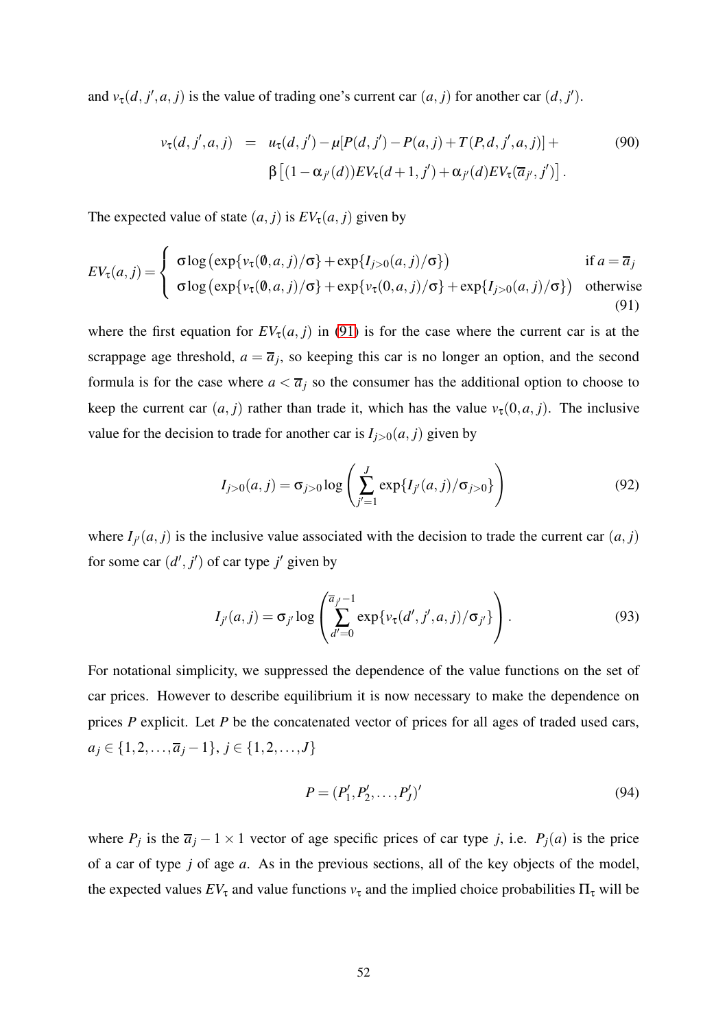and  $v_{\tau}(d, j', a, j)$  is the value of trading one's current car  $(a, j)$  for another car  $(d, j')$ .

<span id="page-52-1"></span>
$$
v_{\tau}(d, j', a, j) = u_{\tau}(d, j') - \mu[P(d, j') - P(a, j) + T(P, d, j', a, j)] +
$$
\n
$$
\beta \left[ (1 - \alpha_{j'}(d)) E V_{\tau}(d + 1, j') + \alpha_{j'}(d) E V_{\tau}(\overline{a}_{j'}, j') \right].
$$
\n(90)

The expected value of state  $(a, j)$  is  $EV_{\tau}(a, j)$  given by

<span id="page-52-0"></span>
$$
EV_{\tau}(a,j) = \begin{cases} \sigma \log (\exp\{v_{\tau}(\emptyset,a,j)/\sigma\} + \exp\{I_{j>0}(a,j)/\sigma\}) & \text{if } a = \overline{a}_j \\ \sigma \log (\exp\{v_{\tau}(\emptyset,a,j)/\sigma\} + \exp\{v_{\tau}(0,a,j)/\sigma\} + \exp\{I_{j>0}(a,j)/\sigma\}) & \text{otherwise} \end{cases}
$$
(91)

where the first equation for  $EV_{\tau}(a, j)$  in [\(91\)](#page-52-0) is for the case where the current car is at the scrappage age threshold,  $a = \overline{a}_j$ , so keeping this car is no longer an option, and the second formula is for the case where  $a < \overline{a_j}$  so the consumer has the additional option to choose to keep the current car  $(a, j)$  rather than trade it, which has the value  $v_\tau(0, a, j)$ . The inclusive value for the decision to trade for another car is  $I_{j>0}(a, j)$  given by

$$
I_{j>0}(a,j) = \sigma_{j>0} \log \left( \sum_{j'=1}^{J} \exp\{I_{j'}(a,j)/\sigma_{j>0}\} \right)
$$
 (92)

where  $I_{j}(a, j)$  is the inclusive value associated with the decision to trade the current car  $(a, j)$ for some car  $(d', j')$  of car type  $j'$  given by

$$
I_{j'}(a,j) = \sigma_{j'} \log \left( \sum_{d'=0}^{\overline{a}_{j'}-1} \exp \{ v_{\tau}(d',j',a,j) / \sigma_{j'} \} \right).
$$
 (93)

For notational simplicity, we suppressed the dependence of the value functions on the set of car prices. However to describe equilibrium it is now necessary to make the dependence on prices *P* explicit. Let *P* be the concatenated vector of prices for all ages of traded used cars, *a*<sup>*j*</sup> ∈ {1,2,..., $\overline{a}$ <sup>*j*</sup> −1}, *j* ∈ {1,2,...,*J*}

$$
P = (P'_1, P'_2, \dots, P'_J)'
$$
\n(94)

where  $P_j$  is the  $\overline{a}_j - 1 \times 1$  vector of age specific prices of car type *j*, i.e.  $P_j(a)$  is the price of a car of type *j* of age *a*. As in the previous sections, all of the key objects of the model, the expected values  $EV_{\tau}$  and value functions  $v_{\tau}$  and the implied choice probabilities  $\Pi_{\tau}$  will be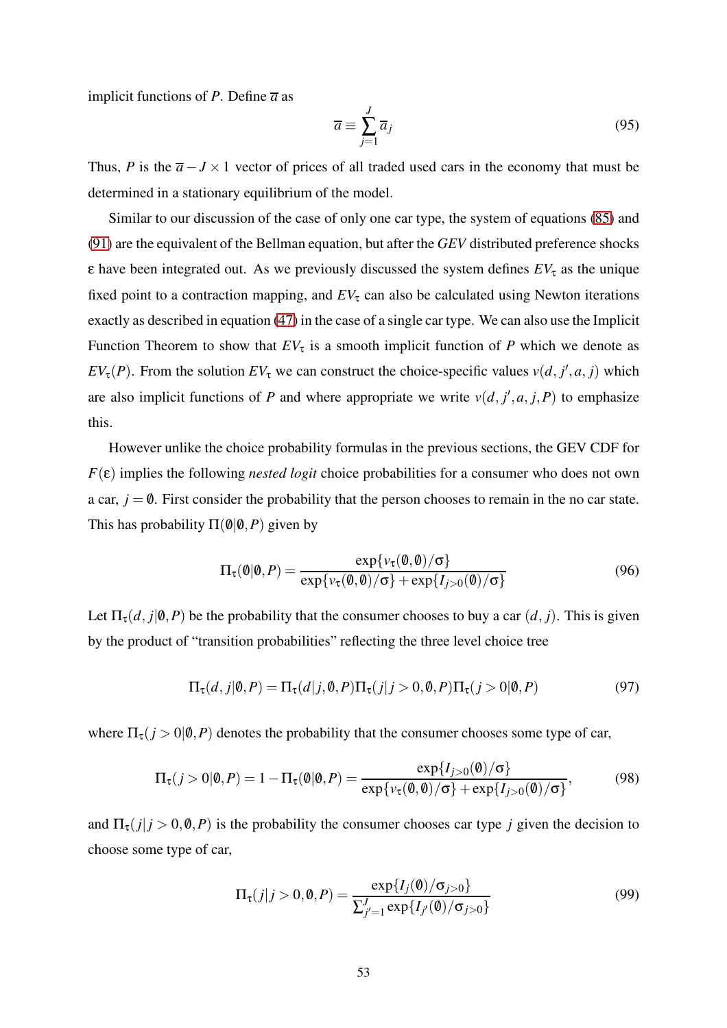implicit functions of *P*. Define  $\overline{a}$  as

$$
\overline{a} \equiv \sum_{j=1}^{J} \overline{a}_{j} \tag{95}
$$

Thus, *P* is the  $\overline{a}$  − *J* × 1 vector of prices of all traded used cars in the economy that must be determined in a stationary equilibrium of the model.

Similar to our discussion of the case of only one car type, the system of equations [\(85\)](#page-51-0) and [\(91\)](#page-52-0) are the equivalent of the Bellman equation, but after the *GEV* distributed preference shocks  $\epsilon$  have been integrated out. As we previously discussed the system defines  $EV_{\tau}$  as the unique fixed point to a contraction mapping, and  $EV_\tau$  can also be calculated using Newton iterations exactly as described in equation [\(47\)](#page-31-0) in the case of a single car type. We can also use the Implicit Function Theorem to show that  $EV_{\tau}$  is a smooth implicit function of *P* which we denote as *EV*<sub>τ</sub>(*P*). From the solution  $EV_{\tau}$  we can construct the choice-specific values  $v(d, j', a, j)$  which are also implicit functions of *P* and where appropriate we write  $v(d, j', a, j, P)$  to emphasize this.

However unlike the choice probability formulas in the previous sections, the GEV CDF for *F*(ε) implies the following *nested logit* choice probabilities for a consumer who does not own a car,  $j = 0$ . First consider the probability that the person chooses to remain in the no car state. This has probability  $\Pi(\emptyset|\emptyset, P)$  given by

$$
\Pi_{\tau}(\mathbf{0}|\mathbf{0}, P) = \frac{\exp\{v_{\tau}(\mathbf{0}, \mathbf{0})/\sigma\}}{\exp\{v_{\tau}(\mathbf{0}, \mathbf{0})/\sigma\} + \exp\{I_{j>0}(\mathbf{0})/\sigma\}}
$$
(96)

Let  $\Pi_{\tau}(d, j | \mathbf{0}, P)$  be the probability that the consumer chooses to buy a car  $(d, j)$ . This is given by the product of "transition probabilities" reflecting the three level choice tree

<span id="page-53-0"></span>
$$
\Pi_{\tau}(d,j|\mathbf{0},P) = \Pi_{\tau}(d|j,\mathbf{0},P)\Pi_{\tau}(j|j>0,\mathbf{0},P)\Pi_{\tau}(j>0|\mathbf{0},P) \tag{97}
$$

where  $\Pi_{\tau}(j > 0 | \emptyset, P)$  denotes the probability that the consumer chooses some type of car,

$$
\Pi_{\tau}(j>0|\mathbf{0},P) = 1 - \Pi_{\tau}(\mathbf{0}|\mathbf{0},P) = \frac{\exp\{I_{j>0}(\mathbf{0})/\sigma\}}{\exp\{\nu_{\tau}(\mathbf{0},\mathbf{0})/\sigma\} + \exp\{I_{j>0}(\mathbf{0})/\sigma\}},
$$
(98)

and  $\Pi_{\tau}(j | j > 0, \emptyset, P)$  is the probability the consumer chooses car type *j* given the decision to choose some type of car,

$$
\Pi_{\tau}(j|j>0,\emptyset,P) = \frac{\exp\{I_j(\emptyset)/\sigma_{j>0}\}}{\sum_{j'=1}^{J} \exp\{I_{j'}(\emptyset)/\sigma_{j>0}\}}
$$
(99)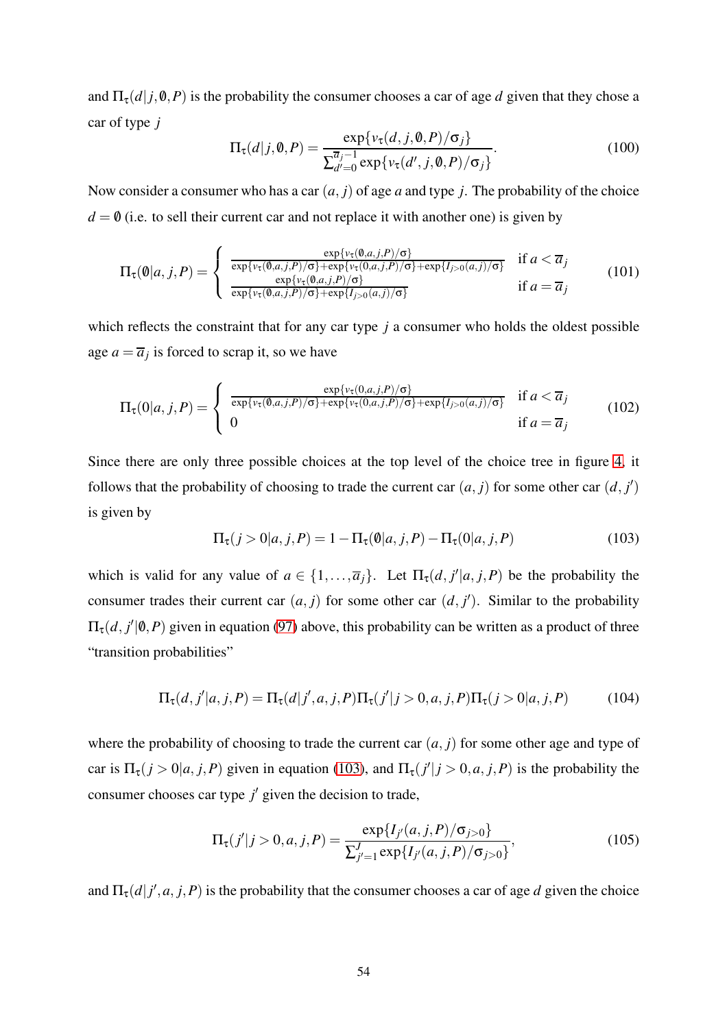and  $\Pi_{\tau}(d|j,0,P)$  is the probability the consumer chooses a car of age *d* given that they chose a car of type *j*

$$
\Pi_{\tau}(d|j,\mathbf{0},P) = \frac{\exp\{\nu_{\tau}(d,j,\mathbf{0},P)/\sigma_j\}}{\sum_{d'=0}^{\overline{a}_{j}-1} \exp\{\nu_{\tau}(d',j,\mathbf{0},P)/\sigma_j\}}.
$$
(100)

Now consider a consumer who has a car (*a*, *j*) of age *a* and type *j*. The probability of the choice  $d = 0$  (i.e. to sell their current car and not replace it with another one) is given by

$$
\Pi_{\tau}(\mathbf{0}|a,j,P) = \begin{cases}\n\frac{\exp\{v_{\tau}(\mathbf{0},a,j,P)/\sigma\}}{\exp\{v_{\tau}(\mathbf{0},a,j,P)/\sigma\} + \exp\{v_{\tau}(\mathbf{0},a,j,P)/\sigma\} + \exp\{I_{j>0}(a,j)/\sigma\}} & \text{if } a < \overline{a}_j \\
\frac{\exp\{v_{\tau}(\mathbf{0},a,j,P)/\sigma\}}{\exp\{v_{\tau}(\mathbf{0},a,j,P)/\sigma\} + \exp\{I_{j>0}(a,j)/\sigma\}} & \text{if } a = \overline{a}_j\n\end{cases}
$$
\n(101)

which reflects the constraint that for any car type *j* a consumer who holds the oldest possible age  $a = \overline{a}_j$  is forced to scrap it, so we have

$$
\Pi_{\tau}(0|a,j,P) = \begin{cases}\n\frac{\exp\{v_{\tau}(0,a,j,P)/\sigma\}}{\exp\{v_{\tau}(0,a,j,P)/\sigma\} + \exp\{v_{\tau}(0,a,j,P)/\sigma\} + \exp\{I_{j>0}(a,j)/\sigma\}} & \text{if } a < \overline{a}_j \\
0 & \text{if } a = \overline{a}_j\n\end{cases}
$$
\n(102)

Since there are only three possible choices at the top level of the choice tree in figure [4,](#page-50-0) it follows that the probability of choosing to trade the current car  $(a, j)$  for some other car  $(d, j')$ is given by

<span id="page-54-0"></span>
$$
\Pi_{\tau}(j > 0 | a, j, P) = 1 - \Pi_{\tau}(\mathbf{0} | a, j, P) - \Pi_{\tau}(0 | a, j, P)
$$
\n(103)

which is valid for any value of  $a \in \{1, \ldots, \overline{a}_j\}$ . Let  $\Pi_{\tau}(d, j'|a, j, P)$  be the probability the consumer trades their current car  $(a, j)$  for some other car  $(d, j')$ . Similar to the probability  $\Pi_{\tau}(d, j' | \emptyset, P)$  given in equation [\(97\)](#page-53-0) above, this probability can be written as a product of three "transition probabilities"

$$
\Pi_{\tau}(d, j'|a, j, P) = \Pi_{\tau}(d|j', a, j, P)\Pi_{\tau}(j'|j > 0, a, j, P)\Pi_{\tau}(j > 0|a, j, P)
$$
(104)

where the probability of choosing to trade the current car  $(a, j)$  for some other age and type of car is  $\Pi_{\tau}(j > 0 | a, j, P)$  given in equation [\(103\)](#page-54-0), and  $\Pi_{\tau}(j' | j > 0, a, j, P)$  is the probability the consumer chooses car type  $j'$  given the decision to trade,

$$
\Pi_{\tau}(j'|j>0,a,j,P) = \frac{\exp\{I_{j'}(a,j,P)/\sigma_{j>0}\}}{\sum_{j'=1}^{J} \exp\{I_{j'}(a,j,P)/\sigma_{j>0}\}},
$$
\n(105)

and  $\Pi_{\tau}(d|j',a,j,P)$  is the probability that the consumer chooses a car of age *d* given the choice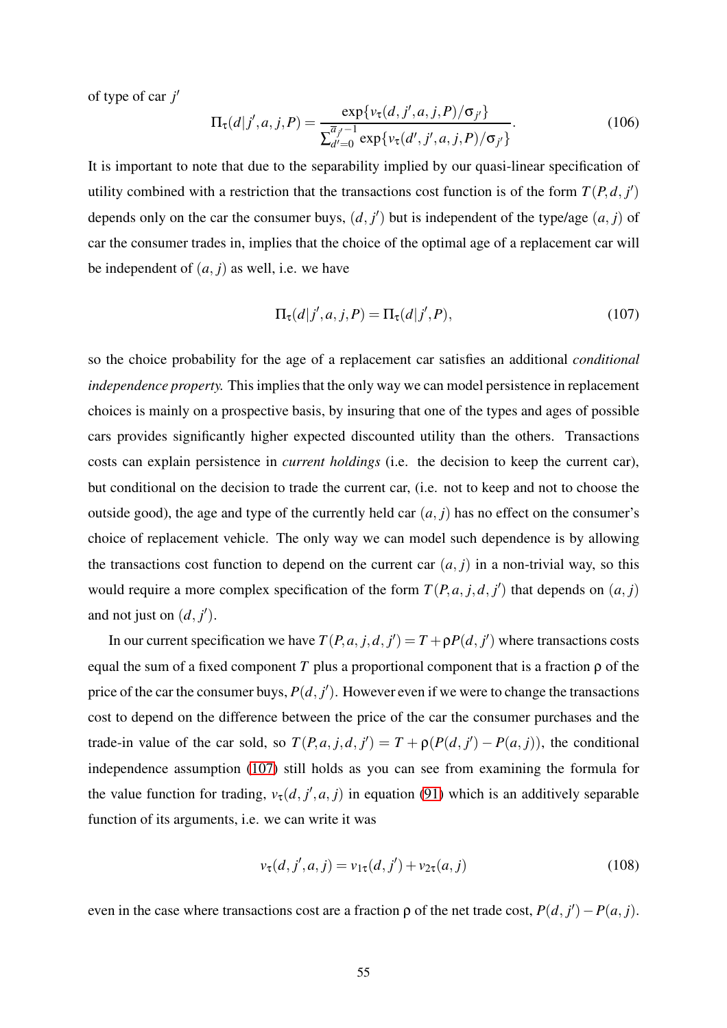of type of car *j* ′

$$
\Pi_{\tau}(d|j',a,j,P) = \frac{\exp\{v_{\tau}(d,j',a,j,P)/\sigma_{j'}\}}{\sum_{d'=0}^{\overline{a}_{j'}-1} \exp\{v_{\tau}(d',j',a,j,P)/\sigma_{j'}\}}.
$$
(106)

It is important to note that due to the separability implied by our quasi-linear specification of utility combined with a restriction that the transactions cost function is of the form  $T(P,d, j')$ depends only on the car the consumer buys,  $(d, j')$  but is independent of the type/age  $(a, j)$  of car the consumer trades in, implies that the choice of the optimal age of a replacement car will be independent of  $(a, j)$  as well, i.e. we have

<span id="page-55-0"></span>
$$
\Pi_{\tau}(d|j',a,j,P) = \Pi_{\tau}(d|j',P),\tag{107}
$$

so the choice probability for the age of a replacement car satisfies an additional *conditional independence property.* This implies that the only way we can model persistence in replacement choices is mainly on a prospective basis, by insuring that one of the types and ages of possible cars provides significantly higher expected discounted utility than the others. Transactions costs can explain persistence in *current holdings* (i.e. the decision to keep the current car), but conditional on the decision to trade the current car, (i.e. not to keep and not to choose the outside good), the age and type of the currently held car  $(a, j)$  has no effect on the consumer's choice of replacement vehicle. The only way we can model such dependence is by allowing the transactions cost function to depend on the current car  $(a, j)$  in a non-trivial way, so this would require a more complex specification of the form  $T(P, a, j, d, j')$  that depends on  $(a, j)$ and not just on  $(d, j')$ .

In our current specification we have  $T(P, a, j, d, j') = T + \rho P(d, j')$  where transactions costs equal the sum of a fixed component *T* plus a proportional component that is a fraction  $\rho$  of the price of the car the consumer buys,  $P(d, j')$ . However even if we were to change the transactions cost to depend on the difference between the price of the car the consumer purchases and the trade-in value of the car sold, so  $T(P, a, j, d, j') = T + \rho(P(d, j') - P(a, j))$ , the conditional independence assumption [\(107\)](#page-55-0) still holds as you can see from examining the formula for the value function for trading,  $v_{\tau}(d, j', a, j)$  in equation [\(91\)](#page-52-1) which is an additively separable function of its arguments, i.e. we can write it was

$$
\nu_{\tau}(d, j', a, j) = \nu_{1\tau}(d, j') + \nu_{2\tau}(a, j)
$$
\n(108)

even in the case where transactions cost are a fraction  $\rho$  of the net trade cost,  $P(d, j') - P(a, j)$ .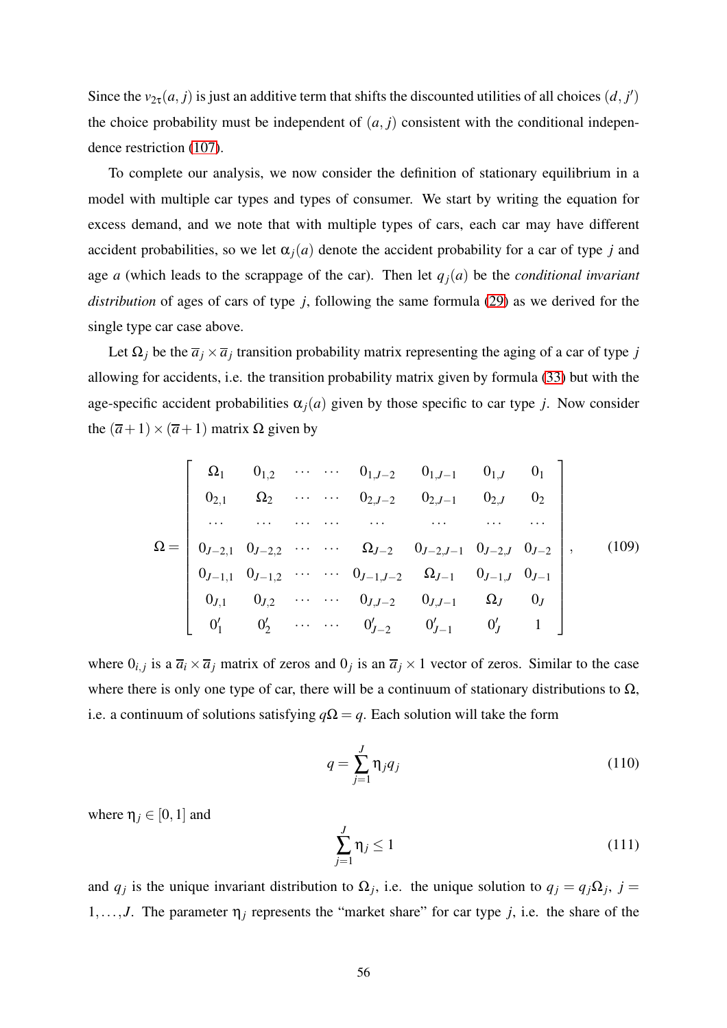Since the  $v_{2\tau}(a, j)$  is just an additive term that shifts the discounted utilities of all choices  $(d, j')$ the choice probability must be independent of  $(a, j)$  consistent with the conditional independence restriction [\(107\)](#page-55-0).

To complete our analysis, we now consider the definition of stationary equilibrium in a model with multiple car types and types of consumer. We start by writing the equation for excess demand, and we note that with multiple types of cars, each car may have different accident probabilities, so we let  $\alpha_i(a)$  denote the accident probability for a car of type *j* and age *a* (which leads to the scrappage of the car). Then let  $q_i(a)$  be the *conditional invariant distribution* of ages of cars of type *j*, following the same formula [\(29\)](#page-24-2) as we derived for the single type car case above.

Let  $\Omega_j$  be the  $\overline{a}_j \times \overline{a}_j$  transition probability matrix representing the aging of a car of type *j* allowing for accidents, i.e. the transition probability matrix given by formula [\(33\)](#page-25-0) but with the age-specific accident probabilities  $\alpha_i(a)$  given by those specific to car type *j*. Now consider the  $(\overline{a}+1) \times (\overline{a}+1)$  matrix  $\Omega$  given by

$$
\Omega = \begin{bmatrix}\n\Omega_1 & 0_{1,2} & \cdots & \cdots & 0_{1,J-2} & 0_{1,J-1} & 0_{1,J} & 0_1 \\
0_{2,1} & \Omega_2 & \cdots & \cdots & 0_{2,J-2} & 0_{2,J-1} & 0_{2,J} & 0_2 \\
\cdots & \cdots & \cdots & \cdots & \cdots & \cdots & \cdots \\
0_{J-2,1} & 0_{J-2,2} & \cdots & \Omega_{J-2} & 0_{J-2,J-1} & 0_{J-2,J} & 0_{J-2} \\
0_{J-1,1} & 0_{J-1,2} & \cdots & \cdots & 0_{J-1,J-2} & \Omega_{J-1} & 0_{J-1,J} & 0_{J-1} \\
0_{J,1} & 0_{J,2} & \cdots & \cdots & 0_{J,J-2} & 0_{J,J-1} & \Omega_{J} & 0_{J} \\
0'_{1} & 0'_{2} & \cdots & \cdots & 0'_{J-2} & 0'_{J-1} & 0'_{J} & 1\n\end{bmatrix},
$$
\n(109)

where  $0_{i,j}$  is a  $\overline{a_i} \times \overline{a_j}$  matrix of zeros and  $0_j$  is an  $\overline{a_j} \times 1$  vector of zeros. Similar to the case where there is only one type of car, there will be a continuum of stationary distributions to  $\Omega$ , i.e. a continuum of solutions satisfying  $q\Omega = q$ . Each solution will take the form

$$
q = \sum_{j=1}^{J} \eta_j q_j \tag{110}
$$

where  $\eta_i \in [0,1]$  and

$$
\sum_{j=1}^{J} \eta_j \le 1\tag{111}
$$

and  $q_j$  is the unique invariant distribution to  $\Omega_j$ , i.e. the unique solution to  $q_j = q_j \Omega_j$ ,  $j =$ 1,..., *J*. The parameter  $\eta_j$  represents the "market share" for car type *j*, i.e. the share of the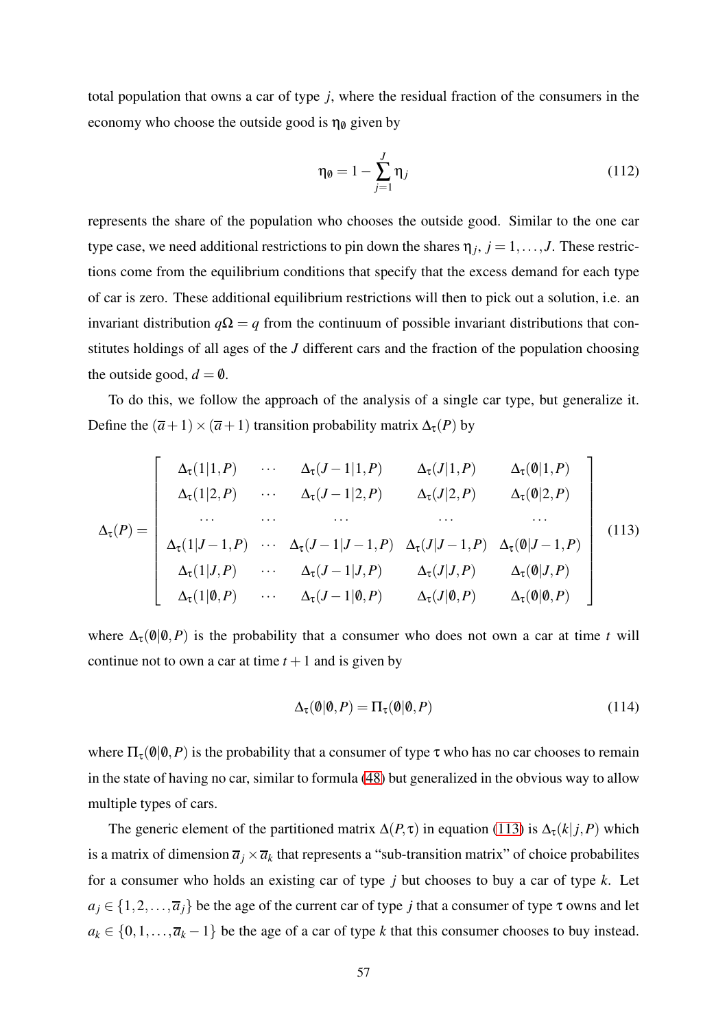total population that owns a car of type *j*, where the residual fraction of the consumers in the economy who choose the outside good is  $\eta_{\emptyset}$  given by

$$
\eta_{\emptyset} = 1 - \sum_{j=1}^{J} \eta_j \tag{112}
$$

represents the share of the population who chooses the outside good. Similar to the one car type case, we need additional restrictions to pin down the shares  $\eta_j$ ,  $j = 1, \ldots, J$ . These restrictions come from the equilibrium conditions that specify that the excess demand for each type of car is zero. These additional equilibrium restrictions will then to pick out a solution, i.e. an invariant distribution  $q\Omega = q$  from the continuum of possible invariant distributions that constitutes holdings of all ages of the *J* different cars and the fraction of the population choosing the outside good,  $d = \emptyset$ .

To do this, we follow the approach of the analysis of a single car type, but generalize it. Define the  $(\overline{a}+1) \times (\overline{a}+1)$  transition probability matrix  $\Delta_{\tau}(P)$  by

<span id="page-57-0"></span>
$$
\Delta_{\tau}(P) = \begin{bmatrix}\n\Delta_{\tau}(1|1, P) & \cdots & \Delta_{\tau}(J-1|1, P) & \Delta_{\tau}(J|1, P) & \Delta_{\tau}(\emptyset|1, P) \\
\Delta_{\tau}(1|2, P) & \cdots & \Delta_{\tau}(J-1|2, P) & \Delta_{\tau}(J|2, P) & \Delta_{\tau}(\emptyset|2, P) \\
\cdots & \cdots & \cdots & \cdots & \cdots \\
\Delta_{\tau}(1|J-1, P) & \cdots & \Delta_{\tau}(J-1|J-1, P) & \Delta_{\tau}(J|J-1, P) & \Delta_{\tau}(\emptyset|J-1, P) \\
\Delta_{\tau}(1|J, P) & \cdots & \Delta_{\tau}(J-1|J, P) & \Delta_{\tau}(J|J, P) & \Delta_{\tau}(\emptyset|J, P) \\
\Delta_{\tau}(1|\emptyset, P) & \cdots & \Delta_{\tau}(J-1|\emptyset, P) & \Delta_{\tau}(J|\emptyset, P) & \Delta_{\tau}(\emptyset|\emptyset, P)\n\end{bmatrix}
$$
\n(113)

where  $\Delta_{\tau}(\mathbf{0}|\mathbf{0},P)$  is the probability that a consumer who does not own a car at time *t* will continue not to own a car at time  $t + 1$  and is given by

$$
\Delta_{\tau}(\emptyset|\emptyset, P) = \Pi_{\tau}(\emptyset|\emptyset, P) \tag{114}
$$

where  $\Pi_{\tau}(\emptyset|\emptyset, P)$  is the probability that a consumer of type  $\tau$  who has no car chooses to remain in the state of having no car, similar to formula [\(48\)](#page-32-1) but generalized in the obvious way to allow multiple types of cars.

The generic element of the partitioned matrix  $\Delta(P, \tau)$  in equation [\(113\)](#page-57-0) is  $\Delta_{\tau}(k|j, P)$  which is a matrix of dimension  $\overline{a}_j\times \overline{a}_k$  that represents a "sub-transition matrix" of choice probabilites for a consumer who holds an existing car of type *j* but chooses to buy a car of type *k*. Let  $a_j \in \{1, 2, ..., \overline{a_j}\}\$ be the age of the current car of type *j* that a consumer of type  $\tau$  owns and let  $a_k \in \{0, 1, \ldots, \overline{a}_k - 1\}$  be the age of a car of type *k* that this consumer chooses to buy instead.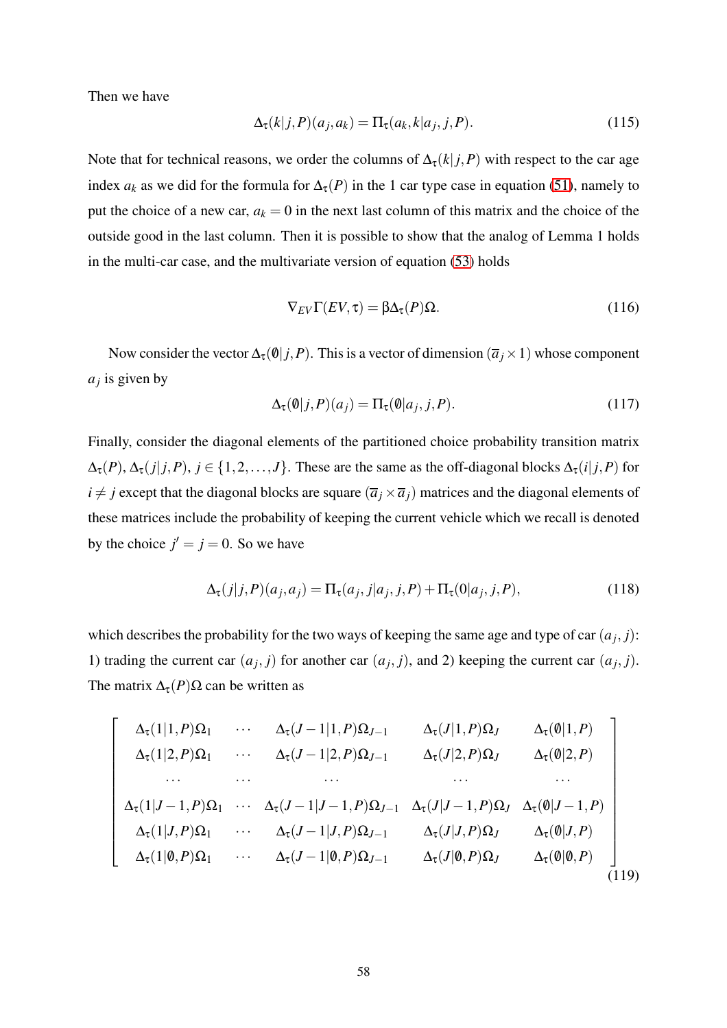Then we have

$$
\Delta_{\tau}(k|j,P)(a_j,a_k) = \Pi_{\tau}(a_k,k|a_j,j,P). \tag{115}
$$

Note that for technical reasons, we order the columns of  $\Delta_{\tau}(k|j, P)$  with respect to the car age index  $a_k$  as we did for the formula for  $\Delta_{\tau}(P)$  in the 1 car type case in equation [\(51\)](#page-32-0), namely to put the choice of a new car,  $a_k = 0$  in the next last column of this matrix and the choice of the outside good in the last column. Then it is possible to show that the analog of Lemma 1 holds in the multi-car case, and the multivariate version of equation [\(53\)](#page-33-1) holds

$$
\nabla_{EV}\Gamma(EV,\tau) = \beta \Delta_{\tau}(P)\Omega.
$$
\n(116)

Now consider the vector  $\Delta_{\tau}(\mathbf{0}|j, P)$ . This is a vector of dimension  $(\overline{a}_j \times 1)$  whose component *aj* is given by

$$
\Delta_{\tau}(\mathbf{0}|j, P)(a_j) = \Pi_{\tau}(\mathbf{0}|a_j, j, P). \tag{117}
$$

Finally, consider the diagonal elements of the partitioned choice probability transition matrix  $\Delta_{\tau}(P), \Delta_{\tau}(j|j, P), j \in \{1, 2, ..., J\}$ . These are the same as the off-diagonal blocks  $\Delta_{\tau}(i|j, P)$  for  $i \neq j$  except that the diagonal blocks are square  $(\overline{a}_j \times \overline{a}_j)$  matrices and the diagonal elements of these matrices include the probability of keeping the current vehicle which we recall is denoted by the choice  $j' = j = 0$ . So we have

$$
\Delta_{\tau}(j|j,P)(a_j,a_j) = \Pi_{\tau}(a_j,j|a_j,j,P) + \Pi_{\tau}(0|a_j,j,P),
$$
\n(118)

which describes the probability for the two ways of keeping the same age and type of car  $(a_j, j)$ : 1) trading the current car  $(a_j, j)$  for another car  $(a_j, j)$ , and 2) keeping the current car  $(a_j, j)$ . The matrix  $\Delta_{\tau}(P) \Omega$  can be written as

$$
\begin{bmatrix}\n\Delta_{\tau}(1|1, P)\Omega_{1} & \cdots & \Delta_{\tau}(J-1|1, P)\Omega_{J-1} & \Delta_{\tau}(J|1, P)\Omega_{J} & \Delta_{\tau}(\emptyset|1, P) \\
\Delta_{\tau}(1|2, P)\Omega_{1} & \cdots & \Delta_{\tau}(J-1|2, P)\Omega_{J-1} & \Delta_{\tau}(J|2, P)\Omega_{J} & \Delta_{\tau}(\emptyset|2, P) \\
\cdots & \cdots & \cdots & \cdots & \cdots \\
\Delta_{\tau}(1|J-1, P)\Omega_{1} & \cdots & \Delta_{\tau}(J-1|J-1, P)\Omega_{J-1} & \Delta_{\tau}(J|J-1, P)\Omega_{J} & \Delta_{\tau}(\emptyset|J-1, P) \\
\Delta_{\tau}(1|J, P)\Omega_{1} & \cdots & \Delta_{\tau}(J-1|J, P)\Omega_{J-1} & \Delta_{\tau}(J|J, P)\Omega_{J} & \Delta_{\tau}(\emptyset|J, P) \\
\Delta_{\tau}(1|\emptyset, P)\Omega_{1} & \cdots & \Delta_{\tau}(J-1|\emptyset, P)\Omega_{J-1} & \Delta_{\tau}(J|\emptyset, P)\Omega_{J} & \Delta_{\tau}(\emptyset|\emptyset, P)\n\end{bmatrix}
$$
\n(119)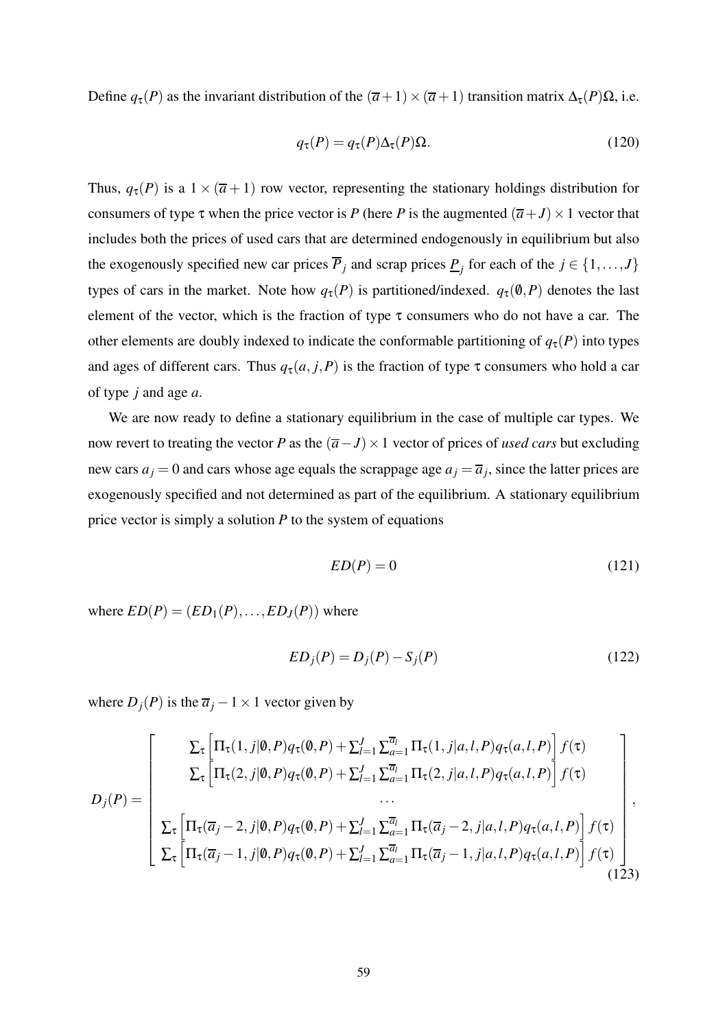Define  $q_τ(P)$  as the invariant distribution of the  $(ā+1) \times (ā+1)$  transition matrix  $Δτ(P)Ω$ , i.e.

<span id="page-59-0"></span>
$$
q_{\tau}(P) = q_{\tau}(P)\Delta_{\tau}(P)\Omega.
$$
 (120)

Thus,  $q_{\tau}(P)$  is a  $1 \times (\overline{a} + 1)$  row vector, representing the stationary holdings distribution for consumers of type  $\tau$  when the price vector is *P* (here *P* is the augmented  $(\overline{a}+J) \times 1$  vector that includes both the prices of used cars that are determined endogenously in equilibrium but also the exogenously specified new car prices  $\overline{P}_j$  and scrap prices  $\underline{P}_j$  for each of the  $j \in \{1, ..., J\}$ types of cars in the market. Note how  $q_{\tau}(P)$  is partitioned/indexed.  $q_{\tau}(0,P)$  denotes the last element of the vector, which is the fraction of type  $\tau$  consumers who do not have a car. The other elements are doubly indexed to indicate the conformable partitioning of  $q_{\tau}(P)$  into types and ages of different cars. Thus  $q_{\tau}(a, j, P)$  is the fraction of type  $\tau$  consumers who hold a car of type *j* and age *a*.

We are now ready to define a stationary equilibrium in the case of multiple car types. We now revert to treating the vector *P* as the  $(\overline{a}-J) \times 1$  vector of prices of *used cars* but excluding new cars  $a_j = 0$  and cars whose age equals the scrappage age  $a_j = \overline{a}_j$ , since the latter prices are exogenously specified and not determined as part of the equilibrium. A stationary equilibrium price vector is simply a solution *P* to the system of equations

$$
ED(P) = 0 \tag{121}
$$

where  $ED(P) = (ED_1(P), \ldots, ED_J(P))$  where

$$
ED_j(P) = D_j(P) - S_j(P)
$$
\n
$$
(122)
$$

where  $D_j(P)$  is the  $\overline{a}_j - 1 \times 1$  vector given by

$$
D_{j}(P) = \begin{bmatrix} \sum_{\tau} \left[ \Pi_{\tau}(1,j|\mathbf{0},P)q_{\tau}(\mathbf{0},P) + \sum_{l=1}^{J} \sum_{a=1}^{\overline{a}_{l}} \Pi_{\tau}(1,j|a,l,P)q_{\tau}(a,l,P) \right] f(\tau) \\ \sum_{\tau} \left[ \Pi_{\tau}(2,j|\mathbf{0},P)q_{\tau}(\mathbf{0},P) + \sum_{l=1}^{J} \sum_{a=1}^{\overline{a}_{l}} \Pi_{\tau}(2,j|a,l,P)q_{\tau}(a,l,P) \right] f(\tau) \\ \vdots \\ \sum_{\tau} \left[ \Pi_{\tau}(\overline{a}_{j}-2,j|\mathbf{0},P)q_{\tau}(\mathbf{0},P) + \sum_{l=1}^{J} \sum_{a=1}^{\overline{a}_{l}} \Pi_{\tau}(\overline{a}_{j}-2,j|a,l,P)q_{\tau}(a,l,P) \right] f(\tau) \\ \sum_{\tau} \left[ \Pi_{\tau}(\overline{a}_{j}-1,j|\mathbf{0},P)q_{\tau}(\mathbf{0},P) + \sum_{l=1}^{J} \sum_{a=1}^{\overline{a}_{l}} \Pi_{\tau}(\overline{a}_{j}-1,j|a,l,P)q_{\tau}(a,l,P) \right] f(\tau) \end{bmatrix}, \tag{123}
$$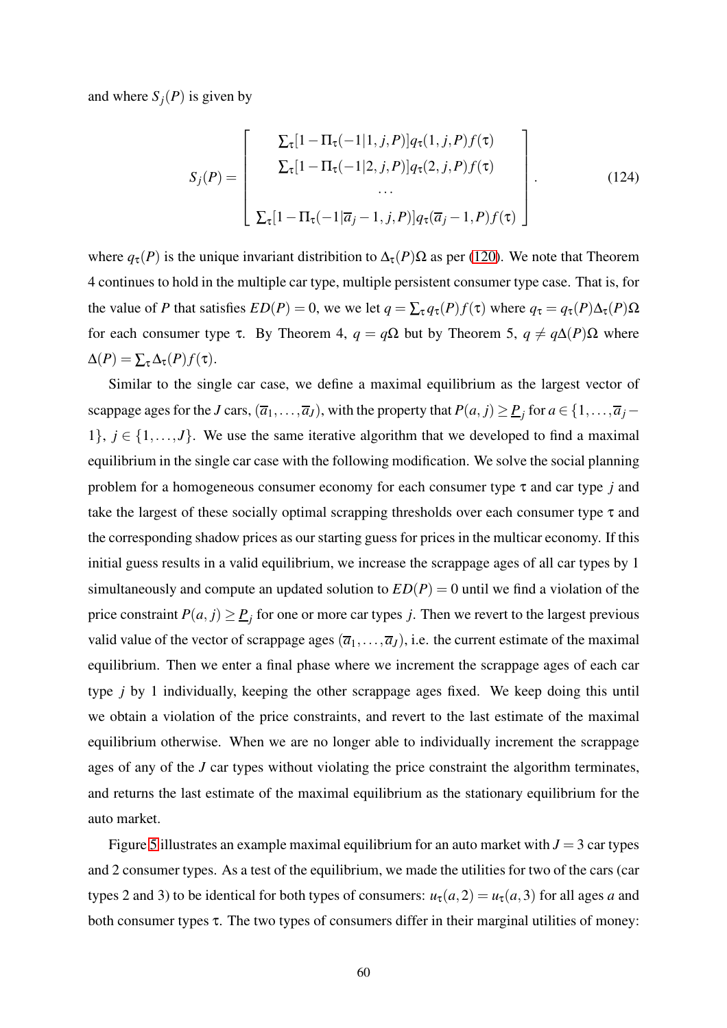and where  $S_i(P)$  is given by

$$
S_j(P) = \begin{bmatrix} \sum_{\tau} [1 - \Pi_{\tau}(-1|1, j, P)] q_{\tau}(1, j, P) f(\tau) \\ \sum_{\tau} [1 - \Pi_{\tau}(-1|2, j, P)] q_{\tau}(2, j, P) f(\tau) \\ \dots \\ \sum_{\tau} [1 - \Pi_{\tau}(-1|\overline{a}_j - 1, j, P)] q_{\tau}(\overline{a}_j - 1, P) f(\tau) \end{bmatrix} .
$$
(124)

where  $q_{\tau}(P)$  is the unique invariant distribition to  $\Delta_{\tau}(P)\Omega$  as per [\(120\)](#page-59-0). We note that Theorem 4 continues to hold in the multiple car type, multiple persistent consumer type case. That is, for the value of *P* that satisfies  $ED(P) = 0$ , we we let  $q = \sum_{\tau} q_{\tau}(P) f(\tau)$  where  $q_{\tau} = q_{\tau}(P) \Delta_{\tau}(P) \Omega$ for each consumer type  $\tau$ . By Theorem 4,  $q = q\Omega$  but by Theorem 5,  $q \neq q\Delta(P)\Omega$  where  $\Delta(P) = \sum_{\tau} \Delta_{\tau}(P) f(\tau).$ 

Similar to the single car case, we define a maximal equilibrium as the largest vector of scappage ages for the *J* cars,  $(\overline{a}_1,\ldots,\overline{a}_J)$ , with the property that  $P(a, j) \ge \underline{P}_j$  for  $a \in \{1,\ldots,\overline{a}_j-\}$ 1},  $j \in \{1, ..., J\}$ . We use the same iterative algorithm that we developed to find a maximal equilibrium in the single car case with the following modification. We solve the social planning problem for a homogeneous consumer economy for each consumer type τ and car type *j* and take the largest of these socially optimal scrapping thresholds over each consumer type τ and the corresponding shadow prices as our starting guess for prices in the multicar economy. If this initial guess results in a valid equilibrium, we increase the scrappage ages of all car types by 1 simultaneously and compute an updated solution to  $ED(P) = 0$  until we find a violation of the price constraint  $P(a, j) \ge \underline{P}_j$  for one or more car types *j*. Then we revert to the largest previous valid value of the vector of scrappage ages  $(\overline{a}_1, \ldots, \overline{a}_J)$ , i.e. the current estimate of the maximal equilibrium. Then we enter a final phase where we increment the scrappage ages of each car type *j* by 1 individually, keeping the other scrappage ages fixed. We keep doing this until we obtain a violation of the price constraints, and revert to the last estimate of the maximal equilibrium otherwise. When we are no longer able to individually increment the scrappage ages of any of the *J* car types without violating the price constraint the algorithm terminates, and returns the last estimate of the maximal equilibrium as the stationary equilibrium for the auto market.

Figure [5](#page-61-0) illustrates an example maximal equilibrium for an auto market with  $J = 3$  car types and 2 consumer types. As a test of the equilibrium, we made the utilities for two of the cars (car types 2 and 3) to be identical for both types of consumers:  $u_{\tau}(a,2) = u_{\tau}(a,3)$  for all ages *a* and both consumer types  $\tau$ . The two types of consumers differ in their marginal utilities of money: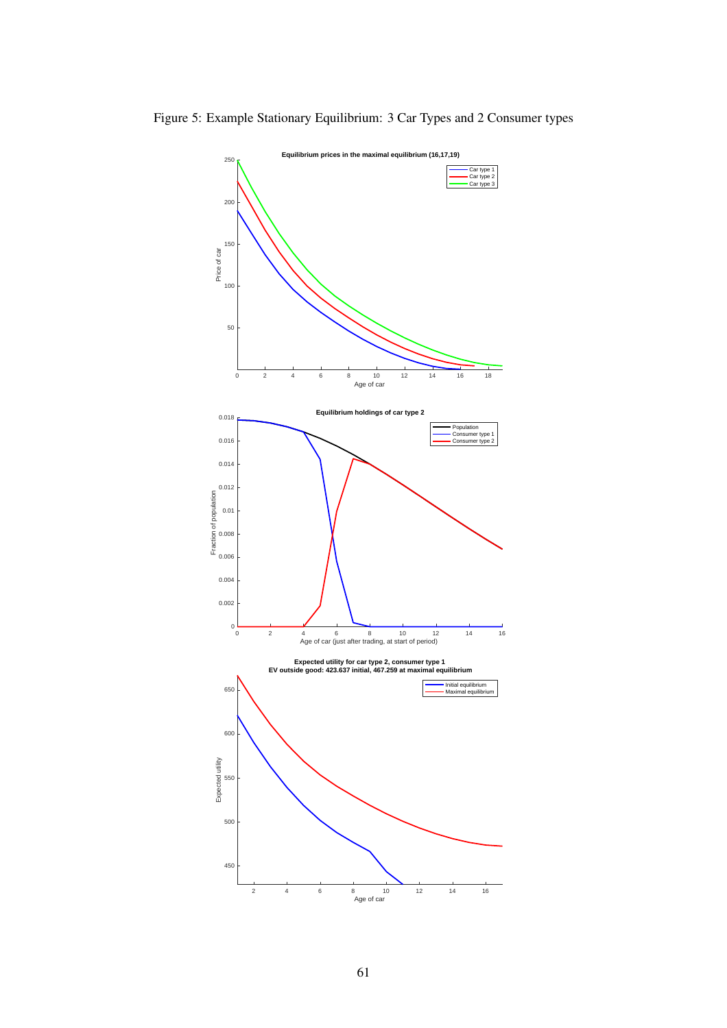<span id="page-61-0"></span>

Figure 5: Example Stationary Equilibrium: 3 Car Types and 2 Consumer types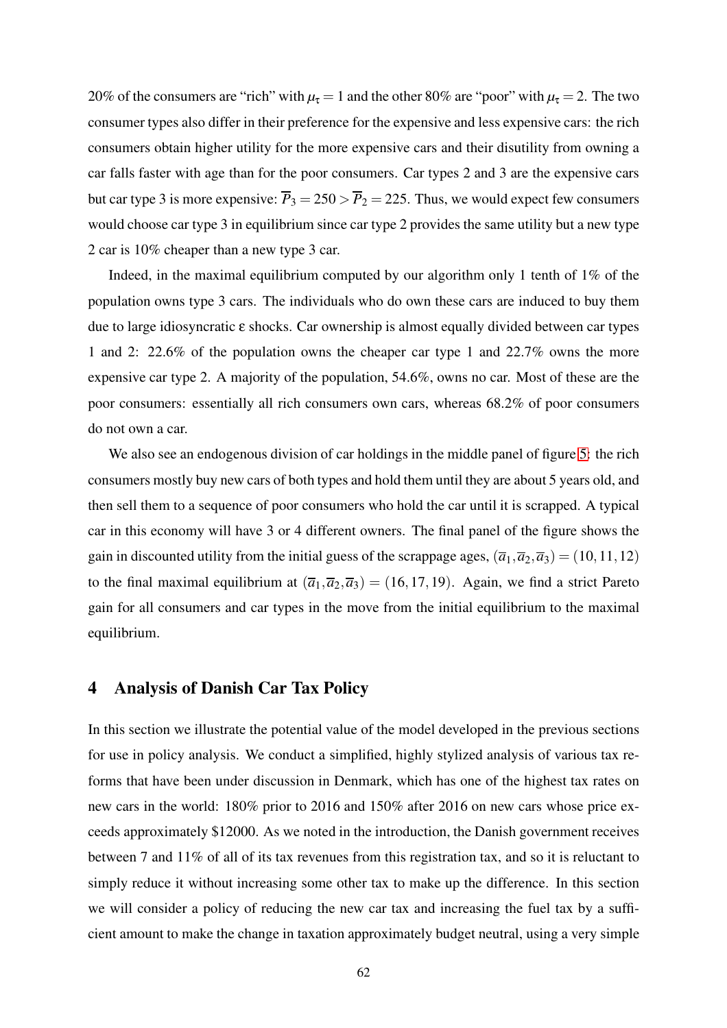20% of the consumers are "rich" with  $\mu_{\tau} = 1$  and the other 80% are "poor" with  $\mu_{\tau} = 2$ . The two consumer types also differ in their preference for the expensive and less expensive cars: the rich consumers obtain higher utility for the more expensive cars and their disutility from owning a car falls faster with age than for the poor consumers. Car types 2 and 3 are the expensive cars but car type 3 is more expensive:  $\overline{P}_3 = 250 > \overline{P}_2 = 225$ . Thus, we would expect few consumers would choose car type 3 in equilibrium since car type 2 provides the same utility but a new type 2 car is 10% cheaper than a new type 3 car.

Indeed, in the maximal equilibrium computed by our algorithm only 1 tenth of 1% of the population owns type 3 cars. The individuals who do own these cars are induced to buy them due to large idiosyncratic ε shocks. Car ownership is almost equally divided between car types 1 and 2: 22.6% of the population owns the cheaper car type 1 and 22.7% owns the more expensive car type 2. A majority of the population, 54.6%, owns no car. Most of these are the poor consumers: essentially all rich consumers own cars, whereas 68.2% of poor consumers do not own a car.

We also see an endogenous division of car holdings in the middle panel of figure [5:](#page-61-0) the rich consumers mostly buy new cars of both types and hold them until they are about 5 years old, and then sell them to a sequence of poor consumers who hold the car until it is scrapped. A typical car in this economy will have 3 or 4 different owners. The final panel of the figure shows the gain in discounted utility from the initial guess of the scrappage ages,  $(\overline{a}_1, \overline{a}_2, \overline{a}_3) = (10, 11, 12)$ to the final maximal equilibrium at  $(\overline{a}_1, \overline{a}_2, \overline{a}_3) = (16, 17, 19)$ . Again, we find a strict Pareto gain for all consumers and car types in the move from the initial equilibrium to the maximal equilibrium.

### 4 Analysis of Danish Car Tax Policy

In this section we illustrate the potential value of the model developed in the previous sections for use in policy analysis. We conduct a simplified, highly stylized analysis of various tax reforms that have been under discussion in Denmark, which has one of the highest tax rates on new cars in the world: 180% prior to 2016 and 150% after 2016 on new cars whose price exceeds approximately \$12000. As we noted in the introduction, the Danish government receives between 7 and 11% of all of its tax revenues from this registration tax, and so it is reluctant to simply reduce it without increasing some other tax to make up the difference. In this section we will consider a policy of reducing the new car tax and increasing the fuel tax by a sufficient amount to make the change in taxation approximately budget neutral, using a very simple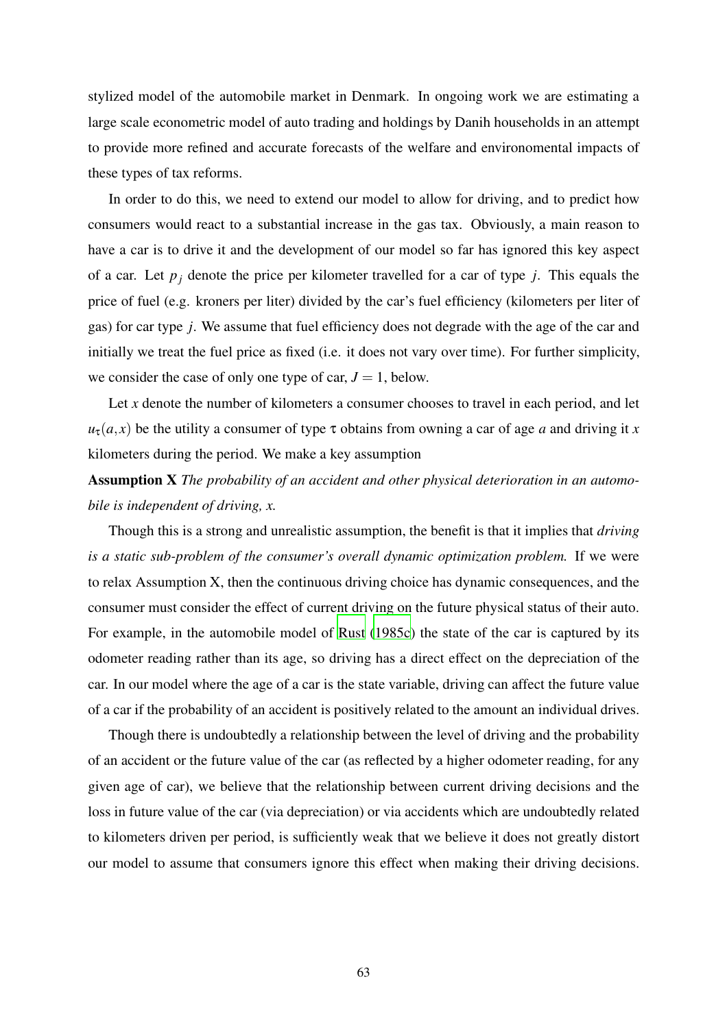stylized model of the automobile market in Denmark. In ongoing work we are estimating a large scale econometric model of auto trading and holdings by Danih households in an attempt to provide more refined and accurate forecasts of the welfare and environomental impacts of these types of tax reforms.

In order to do this, we need to extend our model to allow for driving, and to predict how consumers would react to a substantial increase in the gas tax. Obviously, a main reason to have a car is to drive it and the development of our model so far has ignored this key aspect of a car. Let *p<sup>j</sup>* denote the price per kilometer travelled for a car of type *j*. This equals the price of fuel (e.g. kroners per liter) divided by the car's fuel efficiency (kilometers per liter of gas) for car type *j*. We assume that fuel efficiency does not degrade with the age of the car and initially we treat the fuel price as fixed (i.e. it does not vary over time). For further simplicity, we consider the case of only one type of car,  $J = 1$ , below.

Let *x* denote the number of kilometers a consumer chooses to travel in each period, and let  $u_{\tau}(a, x)$  be the utility a consumer of type  $\tau$  obtains from owning a car of age *a* and driving it *x* kilometers during the period. We make a key assumption

# Assumption X *The probability of an accident and other physical deterioration in an automobile is independent of driving, x.*

Though this is a strong and unrealistic assumption, the benefit is that it implies that *driving is a static sub-problem of the consumer's overall dynamic optimization problem.* If we were to relax Assumption X, then the continuous driving choice has dynamic consequences, and the consumer must consider the effect of current driving on the future physical status of their auto. For example, in the automobile model of [Rust](#page-82-1) [\(1985c](#page-82-1)) the state of the car is captured by its odometer reading rather than its age, so driving has a direct effect on the depreciation of the car. In our model where the age of a car is the state variable, driving can affect the future value of a car if the probability of an accident is positively related to the amount an individual drives.

Though there is undoubtedly a relationship between the level of driving and the probability of an accident or the future value of the car (as reflected by a higher odometer reading, for any given age of car), we believe that the relationship between current driving decisions and the loss in future value of the car (via depreciation) or via accidents which are undoubtedly related to kilometers driven per period, is sufficiently weak that we believe it does not greatly distort our model to assume that consumers ignore this effect when making their driving decisions.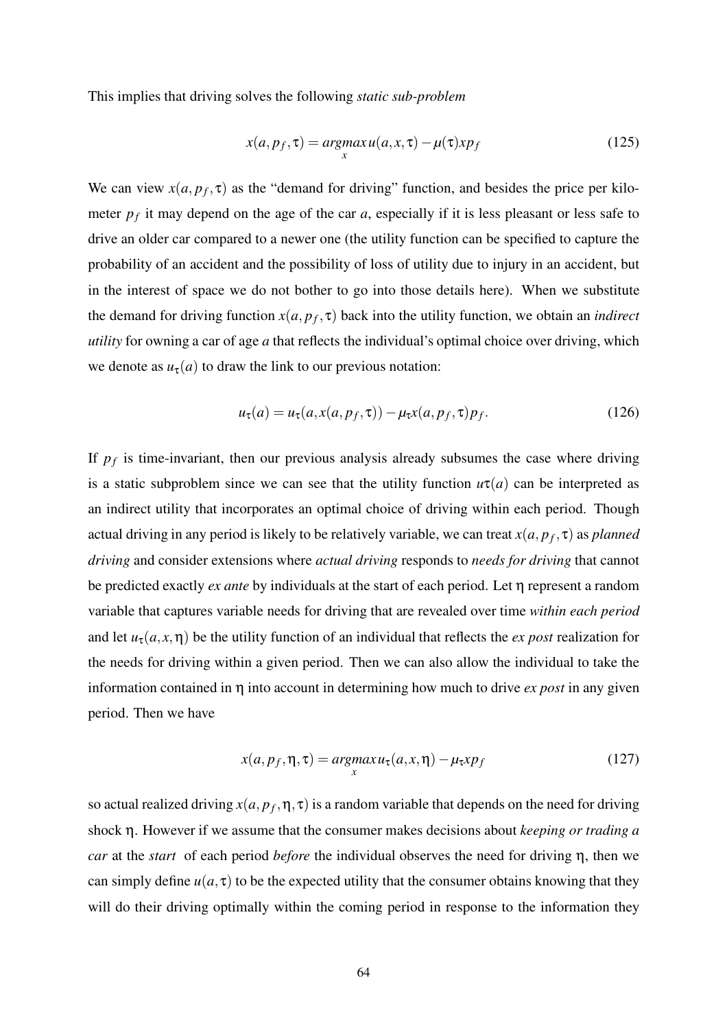This implies that driving solves the following *static sub-problem*

$$
x(a, p_f, \tau) = \underset{x}{argmax} u(a, x, \tau) - \mu(\tau) x p_f \tag{125}
$$

We can view  $x(a, p_f, \tau)$  as the "demand for driving" function, and besides the price per kilometer  $p_f$  it may depend on the age of the car  $a$ , especially if it is less pleasant or less safe to drive an older car compared to a newer one (the utility function can be specified to capture the probability of an accident and the possibility of loss of utility due to injury in an accident, but in the interest of space we do not bother to go into those details here). When we substitute the demand for driving function  $x(a, p_f, \tau)$  back into the utility function, we obtain an *indirect utility* for owning a car of age *a* that reflects the individual's optimal choice over driving, which we denote as  $u_{\tau}(a)$  to draw the link to our previous notation:

$$
u_{\tau}(a) = u_{\tau}(a, x(a, p_f, \tau)) - \mu_{\tau}x(a, p_f, \tau)p_f.
$$
 (126)

If  $p_f$  is time-invariant, then our previous analysis already subsumes the case where driving is a static subproblem since we can see that the utility function  $u\tau(a)$  can be interpreted as an indirect utility that incorporates an optimal choice of driving within each period. Though actual driving in any period is likely to be relatively variable, we can treat  $x(a, p_f, \tau)$  as  $planned$ *driving* and consider extensions where *actual driving* responds to *needs for driving* that cannot be predicted exactly *ex ante* by individuals at the start of each period. Let η represent a random variable that captures variable needs for driving that are revealed over time *within each period* and let  $u_{\tau}(a, x, \eta)$  be the utility function of an individual that reflects the *ex post* realization for the needs for driving within a given period. Then we can also allow the individual to take the information contained in η into account in determining how much to drive *ex post* in any given period. Then we have

$$
x(a, p_f, \eta, \tau) = \underset{x}{\operatorname{argmax}} u_{\tau}(a, x, \eta) - \mu_{\tau} x p_f \tag{127}
$$

so actual realized driving  $x(a, p_f, \eta, \tau)$  is a random variable that depends on the need for driving shock η. However if we assume that the consumer makes decisions about *keeping or trading a car* at the *start* of each period *before* the individual observes the need for driving η, then we can simply define  $u(a, \tau)$  to be the expected utility that the consumer obtains knowing that they will do their driving optimally within the coming period in response to the information they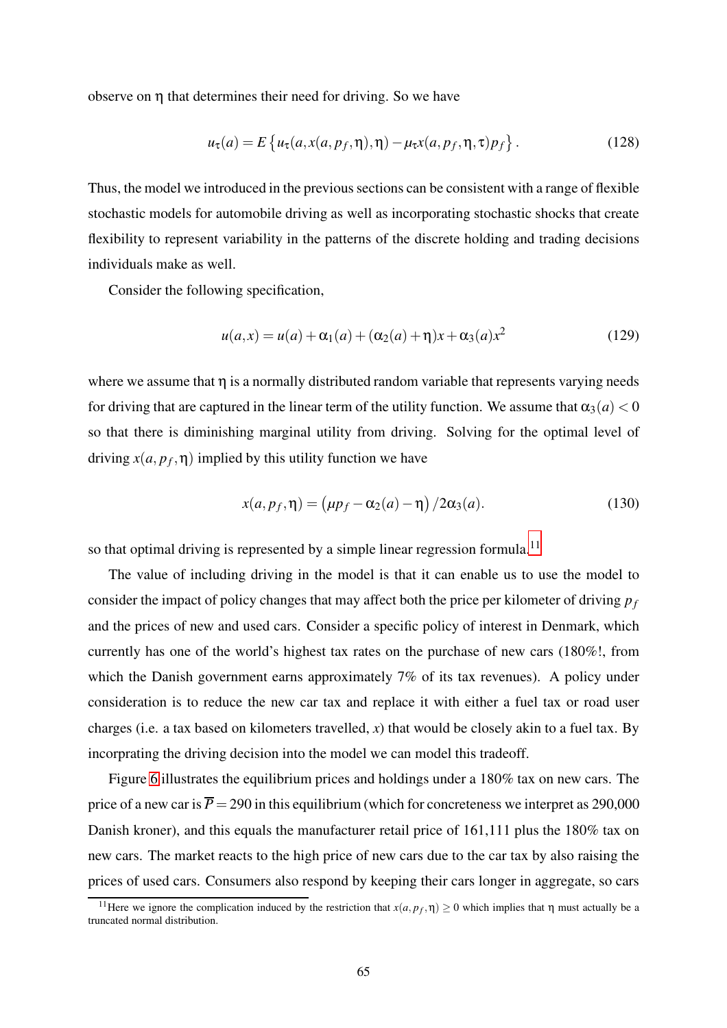observe on  $η$  that determines their need for driving. So we have

$$
u_{\tau}(a) = E\left\{u_{\tau}(a, x(a, p_f, \eta), \eta) - \mu_{\tau}x(a, p_f, \eta, \tau)p_f\right\}.
$$
 (128)

Thus, the model we introduced in the previous sections can be consistent with a range of flexible stochastic models for automobile driving as well as incorporating stochastic shocks that create flexibility to represent variability in the patterns of the discrete holding and trading decisions individuals make as well.

Consider the following specification,

<span id="page-65-0"></span>
$$
u(a,x) = u(a) + \alpha_1(a) + (\alpha_2(a) + \eta)x + \alpha_3(a)x^2
$$
 (129)

where we assume that  $\eta$  is a normally distributed random variable that represents varying needs for driving that are captured in the linear term of the utility function. We assume that  $\alpha_3(a) < 0$ so that there is diminishing marginal utility from driving. Solving for the optimal level of driving  $x(a, p_f, \eta)$  implied by this utility function we have

<span id="page-65-1"></span>
$$
x(a, p_f, \eta) = (\mu p_f - \alpha_2(a) - \eta) / 2\alpha_3(a). \tag{130}
$$

so that optimal driving is represented by a simple linear regression formula.<sup>11</sup>

The value of including driving in the model is that it can enable us to use the model to consider the impact of policy changes that may affect both the price per kilometer of driving *p<sup>f</sup>* and the prices of new and used cars. Consider a specific policy of interest in Denmark, which currently has one of the world's highest tax rates on the purchase of new cars (180%!, from which the Danish government earns approximately 7% of its tax revenues). A policy under consideration is to reduce the new car tax and replace it with either a fuel tax or road user charges (i.e. a tax based on kilometers travelled, *x*) that would be closely akin to a fuel tax. By incorprating the driving decision into the model we can model this tradeoff.

Figure [6](#page-66-0) illustrates the equilibrium prices and holdings under a 180% tax on new cars. The price of a new car is  $\bar{P} = 290$  in this equilibrium (which for concreteness we interpret as 290,000 Danish kroner), and this equals the manufacturer retail price of 161,111 plus the 180% tax on new cars. The market reacts to the high price of new cars due to the car tax by also raising the prices of used cars. Consumers also respond by keeping their cars longer in aggregate, so cars

<sup>&</sup>lt;sup>11</sup>Here we ignore the complication induced by the restriction that  $x(a, p_f, \eta) \ge 0$  which implies that  $\eta$  must actually be a truncated normal distribution.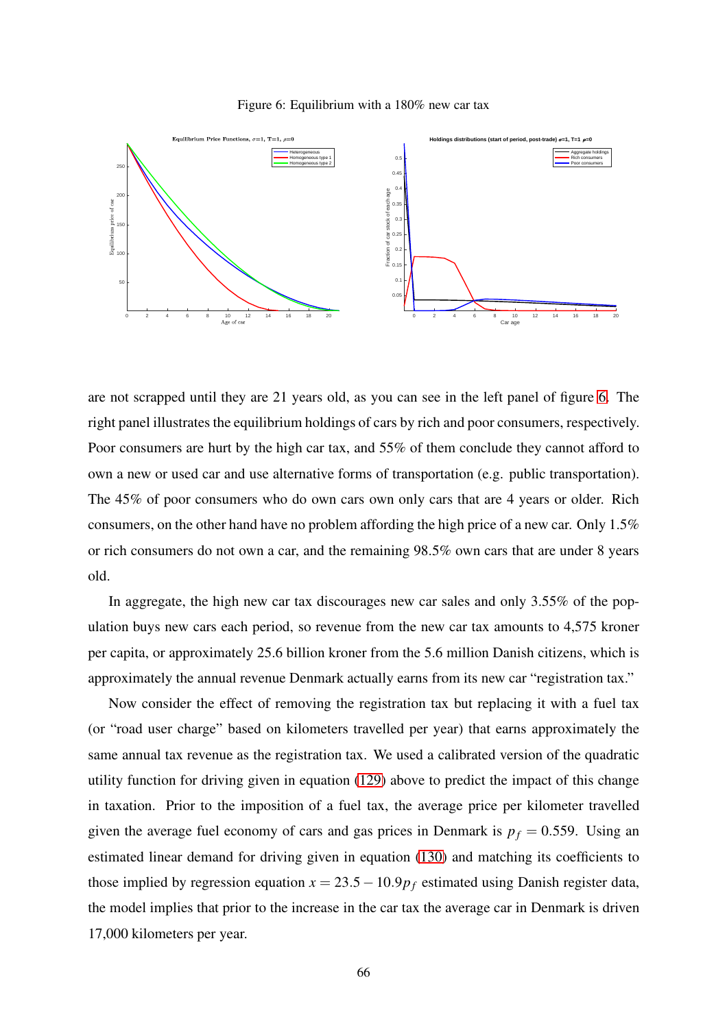<span id="page-66-0"></span>Figure 6: Equilibrium with a 180% new car tax



are not scrapped until they are 21 years old, as you can see in the left panel of figure [6.](#page-66-0) The right panel illustrates the equilibrium holdings of cars by rich and poor consumers, respectively. Poor consumers are hurt by the high car tax, and 55% of them conclude they cannot afford to own a new or used car and use alternative forms of transportation (e.g. public transportation). The 45% of poor consumers who do own cars own only cars that are 4 years or older. Rich consumers, on the other hand have no problem affording the high price of a new car. Only 1.5% or rich consumers do not own a car, and the remaining 98.5% own cars that are under 8 years old.

In aggregate, the high new car tax discourages new car sales and only 3.55% of the population buys new cars each period, so revenue from the new car tax amounts to 4,575 kroner per capita, or approximately 25.6 billion kroner from the 5.6 million Danish citizens, which is approximately the annual revenue Denmark actually earns from its new car "registration tax."

Now consider the effect of removing the registration tax but replacing it with a fuel tax (or "road user charge" based on kilometers travelled per year) that earns approximately the same annual tax revenue as the registration tax. We used a calibrated version of the quadratic utility function for driving given in equation [\(129\)](#page-65-0) above to predict the impact of this change in taxation. Prior to the imposition of a fuel tax, the average price per kilometer travelled given the average fuel economy of cars and gas prices in Denmark is  $p_f = 0.559$ . Using an estimated linear demand for driving given in equation [\(130\)](#page-65-1) and matching its coefficients to those implied by regression equation  $x = 23.5 - 10.9p_f$  estimated using Danish register data, the model implies that prior to the increase in the car tax the average car in Denmark is driven 17,000 kilometers per year.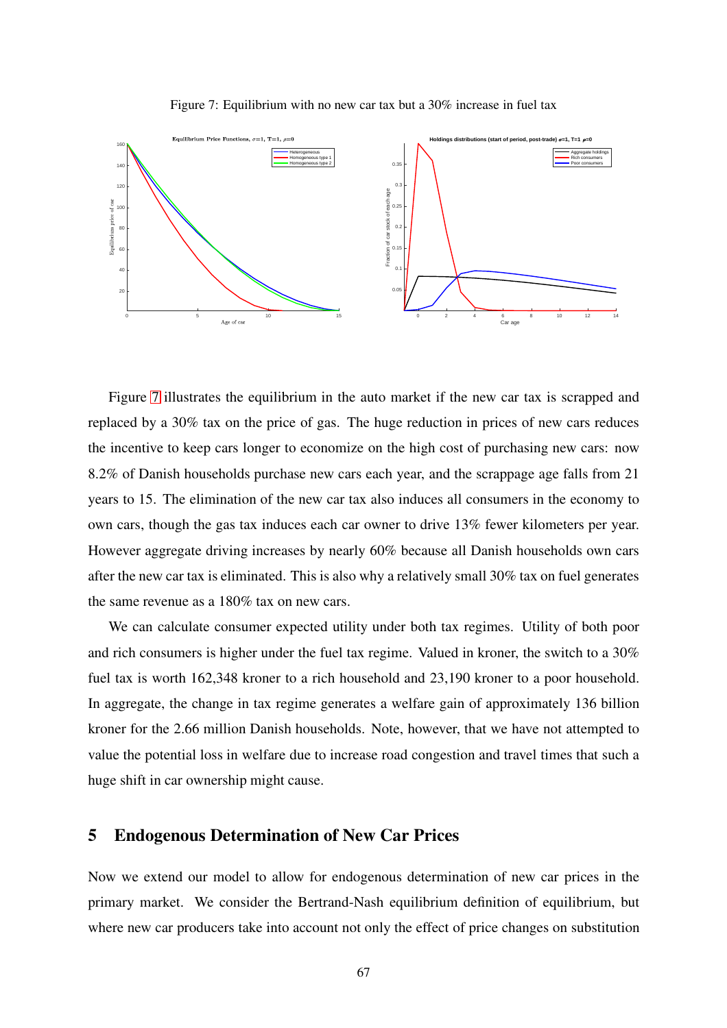<span id="page-67-1"></span>Figure 7: Equilibrium with no new car tax but a 30% increase in fuel tax



Figure [7](#page-67-1) illustrates the equilibrium in the auto market if the new car tax is scrapped and replaced by a 30% tax on the price of gas. The huge reduction in prices of new cars reduces the incentive to keep cars longer to economize on the high cost of purchasing new cars: now 8.2% of Danish households purchase new cars each year, and the scrappage age falls from 21 years to 15. The elimination of the new car tax also induces all consumers in the economy to own cars, though the gas tax induces each car owner to drive 13% fewer kilometers per year. However aggregate driving increases by nearly 60% because all Danish households own cars after the new car tax is eliminated. This is also why a relatively small 30% tax on fuel generates the same revenue as a 180% tax on new cars.

We can calculate consumer expected utility under both tax regimes. Utility of both poor and rich consumers is higher under the fuel tax regime. Valued in kroner, the switch to a 30% fuel tax is worth 162,348 kroner to a rich household and 23,190 kroner to a poor household. In aggregate, the change in tax regime generates a welfare gain of approximately 136 billion kroner for the 2.66 million Danish households. Note, however, that we have not attempted to value the potential loss in welfare due to increase road congestion and travel times that such a huge shift in car ownership might cause.

## <span id="page-67-0"></span>5 Endogenous Determination of New Car Prices

Now we extend our model to allow for endogenous determination of new car prices in the primary market. We consider the Bertrand-Nash equilibrium definition of equilibrium, but where new car producers take into account not only the effect of price changes on substitution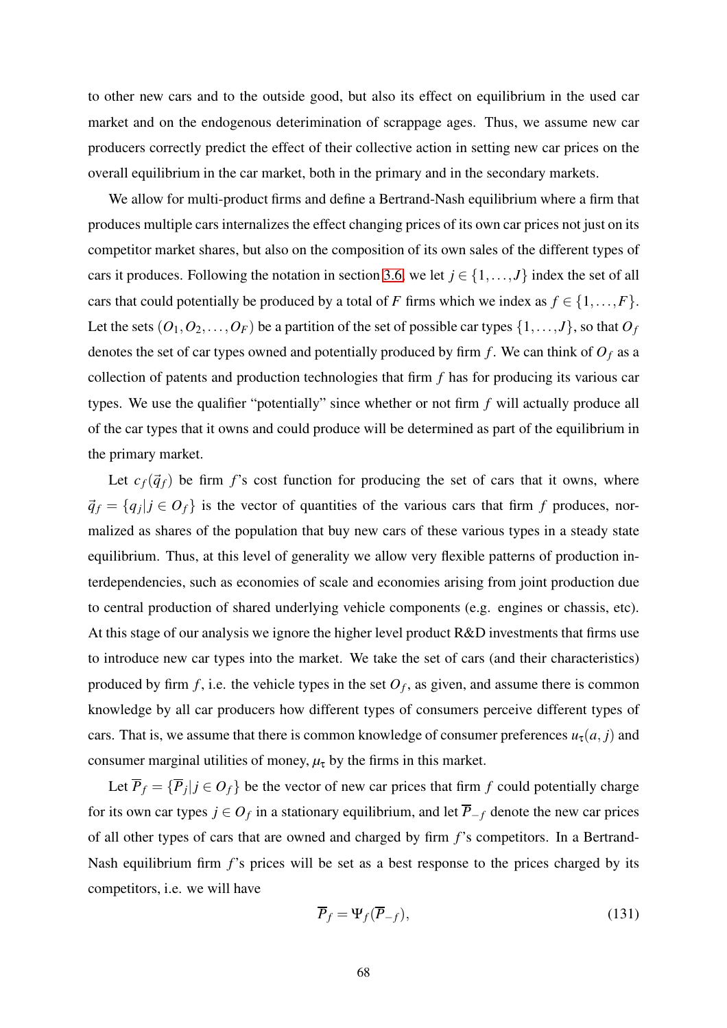to other new cars and to the outside good, but also its effect on equilibrium in the used car market and on the endogenous deterimination of scrappage ages. Thus, we assume new car producers correctly predict the effect of their collective action in setting new car prices on the overall equilibrium in the car market, both in the primary and in the secondary markets.

We allow for multi-product firms and define a Bertrand-Nash equilibrium where a firm that produces multiple cars internalizes the effect changing prices of its own car prices not just on its competitor market shares, but also on the composition of its own sales of the different types of cars it produces. Following the notation in section [3.6,](#page-47-0) we let  $j \in \{1, ..., J\}$  index the set of all cars that could potentially be produced by a total of *F* firms which we index as  $f \in \{1, ..., F\}$ . Let the sets  $(O_1, O_2, \ldots, O_F)$  be a partition of the set of possible car types  $\{1, \ldots, J\}$ , so that  $O_f$ denotes the set of car types owned and potentially produced by firm  $f$ . We can think of  $O_f$  as a collection of patents and production technologies that firm *f* has for producing its various car types. We use the qualifier "potentially" since whether or not firm *f* will actually produce all of the car types that it owns and could produce will be determined as part of the equilibrium in the primary market.

Let  $c_f(\vec{q}_f)$  be firm *f*'s cost function for producing the set of cars that it owns, where  $\vec{q}_f = \{q_j | j \in O_f\}$  is the vector of quantities of the various cars that firm f produces, normalized as shares of the population that buy new cars of these various types in a steady state equilibrium. Thus, at this level of generality we allow very flexible patterns of production interdependencies, such as economies of scale and economies arising from joint production due to central production of shared underlying vehicle components (e.g. engines or chassis, etc). At this stage of our analysis we ignore the higher level product R&D investments that firms use to introduce new car types into the market. We take the set of cars (and their characteristics) produced by firm  $f$ , i.e. the vehicle types in the set  $O_f$ , as given, and assume there is common knowledge by all car producers how different types of consumers perceive different types of cars. That is, we assume that there is common knowledge of consumer preferences  $u_{\tau}(a, j)$  and consumer marginal utilities of money,  $\mu_{\tau}$  by the firms in this market.

Let  $\overline{P}_f = \{ \overline{P}_j | j \in O_f \}$  be the vector of new car prices that firm f could potentially charge for its own car types  $j \in O_f$  in a stationary equilibrium, and let  $\overline{P}_{-f}$  denote the new car prices of all other types of cars that are owned and charged by firm *f*'s competitors. In a Bertrand-Nash equilibrium firm *f*'s prices will be set as a best response to the prices charged by its competitors, i.e. we will have

$$
\overline{P}_f = \Psi_f(\overline{P}_{-f}),\tag{131}
$$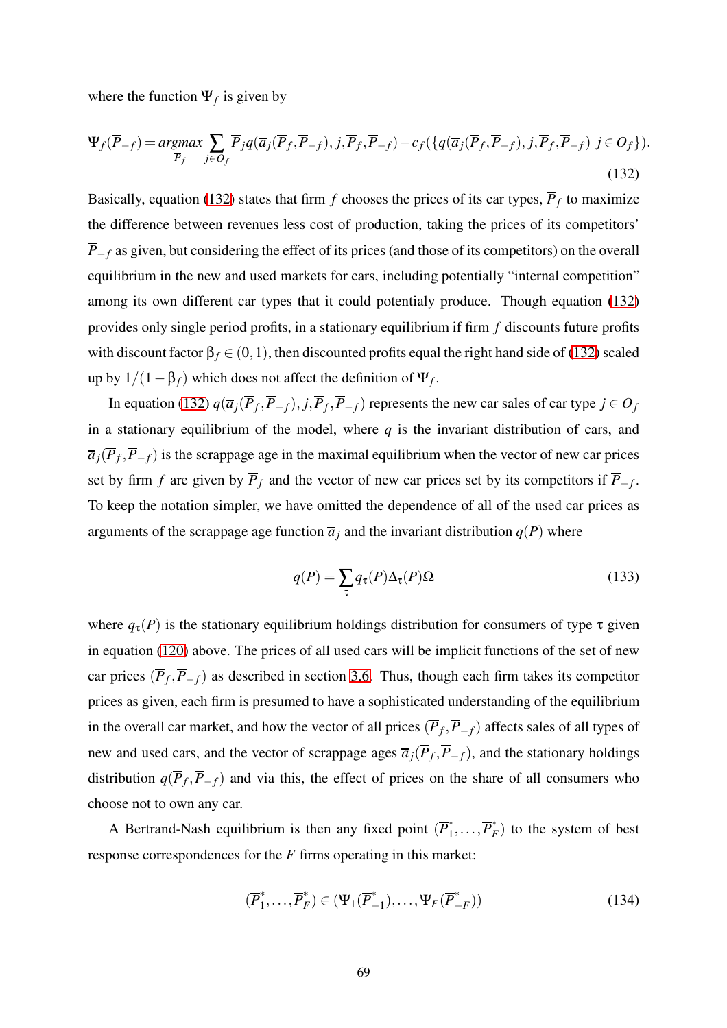where the function  $\Psi_f$  is given by

<span id="page-69-0"></span>
$$
\Psi_f(\overline{P}_{-f}) = \underset{\overline{P}_f}{\operatorname{argmax}} \sum_{j \in O_f} \overline{P}_j q(\overline{a}_j(\overline{P}_f, \overline{P}_{-f}), j, \overline{P}_f, \overline{P}_{-f}) - c_f(\{q(\overline{a}_j(\overline{P}_f, \overline{P}_{-f}), j, \overline{P}_f, \overline{P}_{-f}) | j \in O_f\}).
$$
\n(132)

Basically, equation [\(132\)](#page-69-0) states that firm  $f$  chooses the prices of its car types,  $\overline{P}_f$  to maximize the difference between revenues less cost of production, taking the prices of its competitors'  $\overline{P}_{-f}$  as given, but considering the effect of its prices (and those of its competitors) on the overall equilibrium in the new and used markets for cars, including potentially "internal competition" among its own different car types that it could potentialy produce. Though equation [\(132\)](#page-69-0) provides only single period profits, in a stationary equilibrium if firm *f* discounts future profits with discount factor  $\beta_f \in (0,1)$ , then discounted profits equal the right hand side of [\(132\)](#page-69-0) scaled up by  $1/(1 - \beta_f)$  which does not affect the definition of  $\Psi_f$ .

In equation [\(132\)](#page-69-0)  $q(\overline{a}_j(\overline{P}_f, \overline{P}_{-f}), j, \overline{P}_f, \overline{P}_{-f})$  represents the new car sales of car type  $j \in O_f$ in a stationary equilibrium of the model, where  $q$  is the invariant distribution of cars, and  $\overline{a}_j(\overline{P}_f, \overline{P}_{-f})$  is the scrappage age in the maximal equilibrium when the vector of new car prices set by firm *f* are given by  $\overline{P}_f$  and the vector of new car prices set by its competitors if  $\overline{P}_{-f}$ . To keep the notation simpler, we have omitted the dependence of all of the used car prices as arguments of the scrappage age function  $\overline{a}_i$  and the invariant distribution  $q(P)$  where

$$
q(P) = \sum_{\tau} q_{\tau}(P) \Delta_{\tau}(P) \Omega \tag{133}
$$

where  $q_{\tau}(P)$  is the stationary equilibrium holdings distribution for consumers of type  $\tau$  given in equation [\(120\)](#page-59-0) above. The prices of all used cars will be implicit functions of the set of new car prices  $(\overline{P}_f, \overline{P}_{-f})$  as described in section [3.6.](#page-47-0) Thus, though each firm takes its competitor prices as given, each firm is presumed to have a sophisticated understanding of the equilibrium in the overall car market, and how the vector of all prices  $(\overline{P}_f, \overline{P}_{-f})$  affects sales of all types of new and used cars, and the vector of scrappage ages  $\overline{a}_j(\overline{P}_f, \overline{P}_{-f})$ , and the stationary holdings distribution  $q(\overline{P}_f, \overline{P}_{-f})$  and via this, the effect of prices on the share of all consumers who choose not to own any car.

A Bertrand-Nash equilibrium is then any fixed point  $(\overline{P}_1^*)$  $\frac{1}{1}, \ldots, \overline{P}_F^*$  $\binom{F}{F}$  to the system of best response correspondences for the *F* firms operating in this market:

$$
(\overline{P}_1^*, \ldots, \overline{P}_F^*) \in (\Psi_1(\overline{P}_{-1}^*), \ldots, \Psi_F(\overline{P}_{-F}^*))
$$
\n(134)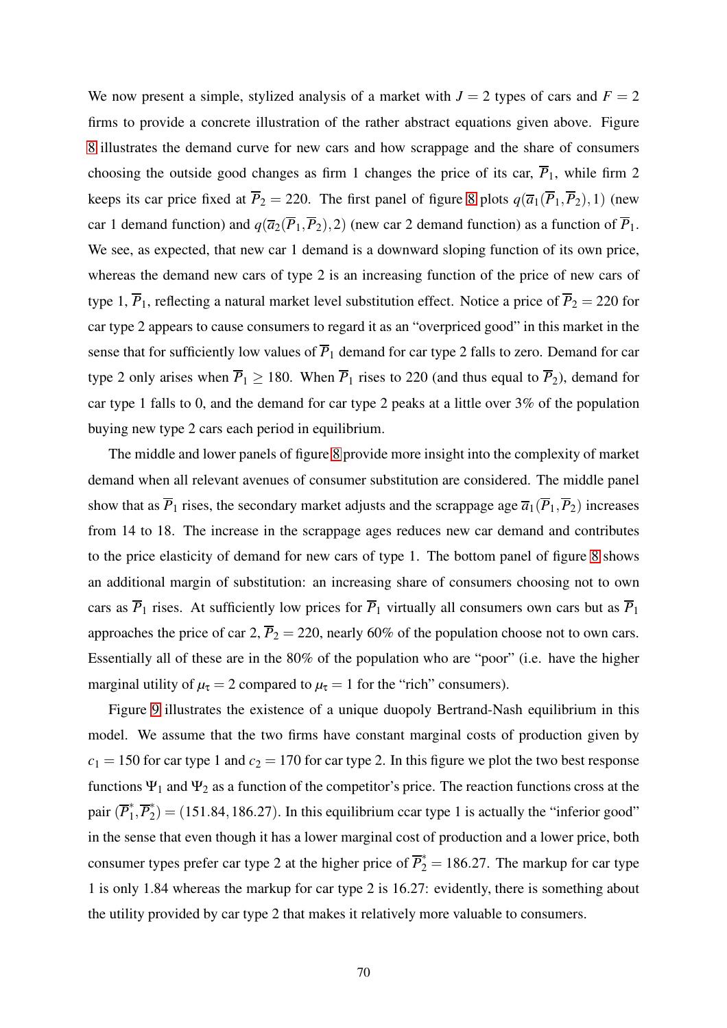We now present a simple, stylized analysis of a market with  $J = 2$  types of cars and  $F = 2$ firms to provide a concrete illustration of the rather abstract equations given above. Figure [8](#page-71-0) illustrates the demand curve for new cars and how scrappage and the share of consumers choosing the outside good changes as firm 1 changes the price of its car,  $\overline{P}_1$ , while firm 2 keeps its car price fixed at  $\overline{P}_2 = 220$ . The first panel of figure [8](#page-71-0) plots  $q(\overline{a}_1(\overline{P}_1, \overline{P}_2), 1)$  (new car 1 demand function) and  $q(\overline{a_2}(\overline{P}_1, \overline{P}_2), 2)$  (new car 2 demand function) as a function of  $\overline{P}_1$ . We see, as expected, that new car 1 demand is a downward sloping function of its own price, whereas the demand new cars of type 2 is an increasing function of the price of new cars of type 1,  $\overline{P}_1$ , reflecting a natural market level substitution effect. Notice a price of  $\overline{P}_2 = 220$  for car type 2 appears to cause consumers to regard it as an "overpriced good" in this market in the sense that for sufficiently low values of  $\overline{P}_1$  demand for car type 2 falls to zero. Demand for car type 2 only arises when  $\overline{P}_1 \ge 180$ . When  $\overline{P}_1$  rises to 220 (and thus equal to  $\overline{P}_2$ ), demand for car type 1 falls to 0, and the demand for car type 2 peaks at a little over 3% of the population buying new type 2 cars each period in equilibrium.

The middle and lower panels of figure [8](#page-71-0) provide more insight into the complexity of market demand when all relevant avenues of consumer substitution are considered. The middle panel show that as  $\overline{P}_1$  rises, the secondary market adjusts and the scrappage age  $\overline{a}_1(\overline{P}_1,\overline{P}_2)$  increases from 14 to 18. The increase in the scrappage ages reduces new car demand and contributes to the price elasticity of demand for new cars of type 1. The bottom panel of figure [8](#page-71-0) shows an additional margin of substitution: an increasing share of consumers choosing not to own cars as  $\overline{P}_1$  rises. At sufficiently low prices for  $\overline{P}_1$  virtually all consumers own cars but as  $\overline{P}_1$ approaches the price of car 2,  $\overline{P}_2 = 220$ , nearly 60% of the population choose not to own cars. Essentially all of these are in the 80% of the population who are "poor" (i.e. have the higher marginal utility of  $\mu_{\tau} = 2$  compared to  $\mu_{\tau} = 1$  for the "rich" consumers).

Figure [9](#page-72-0) illustrates the existence of a unique duopoly Bertrand-Nash equilibrium in this model. We assume that the two firms have constant marginal costs of production given by  $c_1 = 150$  for car type 1 and  $c_2 = 170$  for car type 2. In this figure we plot the two best response functions  $\Psi_1$  and  $\Psi_2$  as a function of the competitor's price. The reaction functions cross at the pair (*P* ∗  $\overline{P}_1^*, \overline{P}_2^*$  $\hat{L}_2^{\uparrow}$  = (151.84, 186.27). In this equilibrium ccar type 1 is actually the "inferior good" in the sense that even though it has a lower marginal cost of production and a lower price, both consumer types prefer car type 2 at the higher price of  $\overline{P}_2^* = 186.27$ . The markup for car type 1 is only 1.84 whereas the markup for car type 2 is 16.27: evidently, there is something about the utility provided by car type 2 that makes it relatively more valuable to consumers.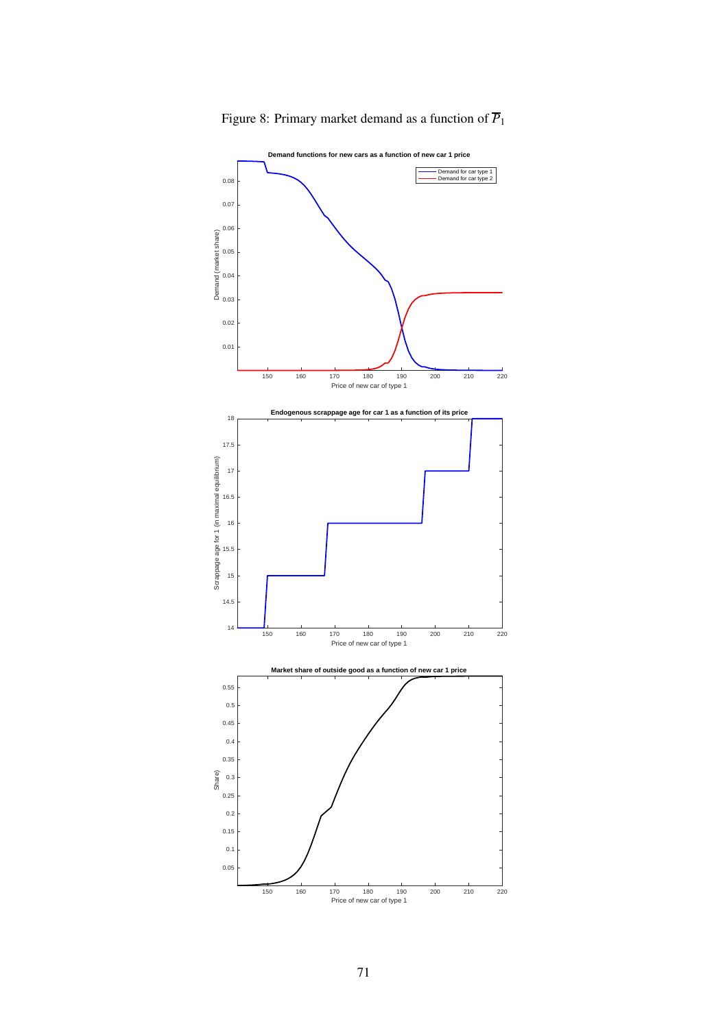

<span id="page-71-0"></span>Figure 8: Primary market demand as a function of  $\overline{P}_1$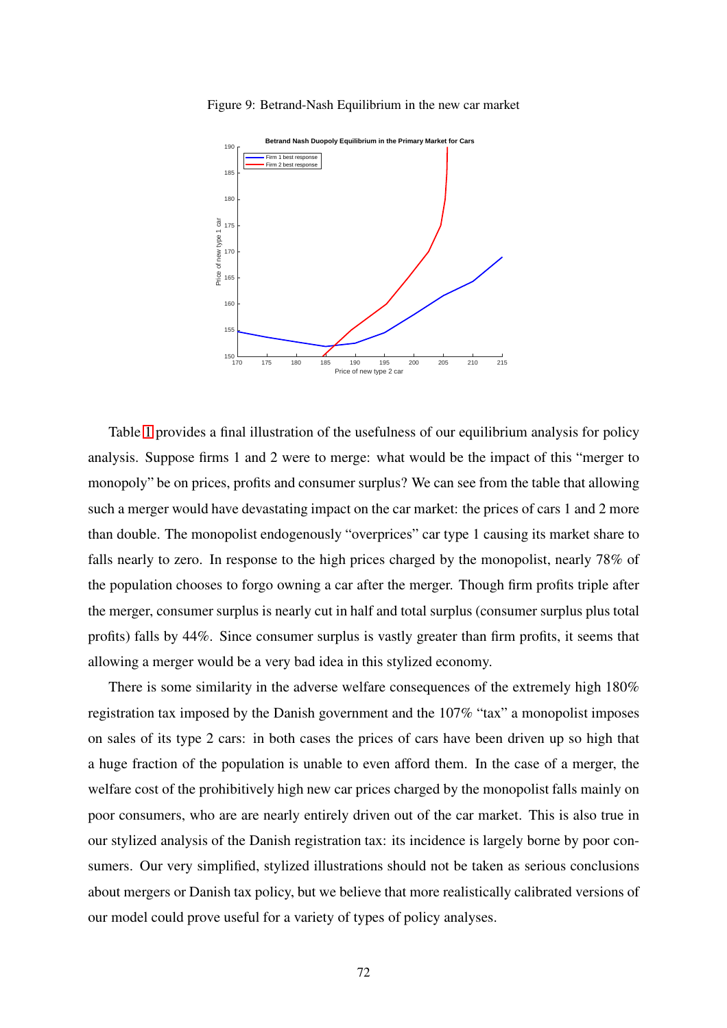

Figure 9: Betrand-Nash Equilibrium in the new car market

Table [1](#page-73-0) provides a final illustration of the usefulness of our equilibrium analysis for policy analysis. Suppose firms 1 and 2 were to merge: what would be the impact of this "merger to monopoly" be on prices, profits and consumer surplus? We can see from the table that allowing such a merger would have devastating impact on the car market: the prices of cars 1 and 2 more than double. The monopolist endogenously "overprices" car type 1 causing its market share to falls nearly to zero. In response to the high prices charged by the monopolist, nearly 78% of the population chooses to forgo owning a car after the merger. Though firm profits triple after the merger, consumer surplus is nearly cut in half and total surplus (consumer surplus plus total profits) falls by 44%. Since consumer surplus is vastly greater than firm profits, it seems that allowing a merger would be a very bad idea in this stylized economy.

There is some similarity in the adverse welfare consequences of the extremely high 180% registration tax imposed by the Danish government and the 107% "tax" a monopolist imposes on sales of its type 2 cars: in both cases the prices of cars have been driven up so high that a huge fraction of the population is unable to even afford them. In the case of a merger, the welfare cost of the prohibitively high new car prices charged by the monopolist falls mainly on poor consumers, who are are nearly entirely driven out of the car market. This is also true in our stylized analysis of the Danish registration tax: its incidence is largely borne by poor consumers. Our very simplified, stylized illustrations should not be taken as serious conclusions about mergers or Danish tax policy, but we believe that more realistically calibrated versions of our model could prove useful for a variety of types of policy analyses.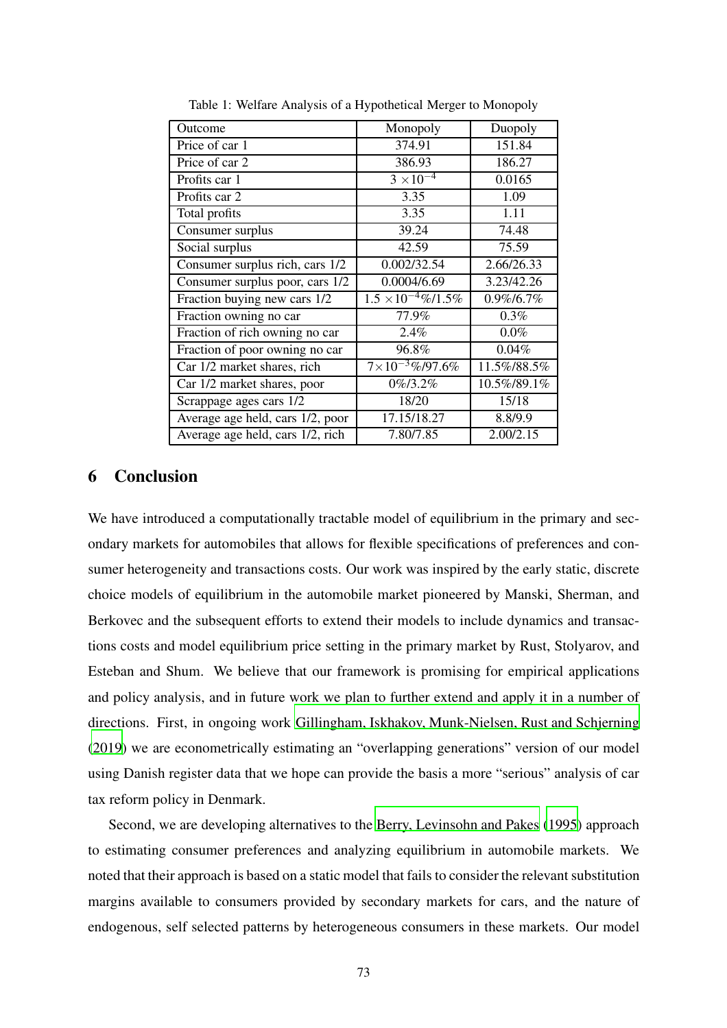| Outcome                          | Monopoly                         | Duopoly     |
|----------------------------------|----------------------------------|-------------|
| Price of car 1                   | 374.91                           | 151.84      |
| Price of car 2                   | 386.93                           | 186.27      |
| Profits car 1                    | $3 \times 10^{-4}$               | 0.0165      |
| Profits car 2                    | 3.35                             | 1.09        |
| Total profits                    | 3.35                             | 1.11        |
| Consumer surplus                 | 39.24                            | 74.48       |
| Social surplus                   | 42.59                            | 75.59       |
| Consumer surplus rich, cars 1/2  | 0.002/32.54                      | 2.66/26.33  |
| Consumer surplus poor, cars 1/2  | 0.0004/6.69                      | 3.23/42.26  |
| Fraction buying new cars 1/2     | $1.5 \times 10^{-4} \% / 1.5 \%$ | 0.9%/6.7%   |
| Fraction owning no car           | 77.9%                            | 0.3%        |
| Fraction of rich owning no car   | 2.4%                             | $0.0\%$     |
| Fraction of poor owning no car   | 96.8%                            | 0.04%       |
| Car 1/2 market shares, rich      | $7\times10^{-3}\%$ /97.6%        | 11.5%/88.5% |
| Car 1/2 market shares, poor      | $0\%/3.2\%$                      | 10.5%/89.1% |
| Scrappage ages cars 1/2          | 18/20                            | 15/18       |
| Average age held, cars 1/2, poor | 17.15/18.27                      | 8.8/9.9     |
| Average age held, cars 1/2, rich | 7.80/7.85                        | 2.00/2.15   |

<span id="page-73-0"></span>Table 1: Welfare Analysis of a Hypothetical Merger to Monopoly

## 6 Conclusion

We have introduced a computationally tractable model of equilibrium in the primary and secondary markets for automobiles that allows for flexible specifications of preferences and consumer heterogeneity and transactions costs. Our work was inspired by the early static, discrete choice models of equilibrium in the automobile market pioneered by Manski, Sherman, and Berkovec and the subsequent efforts to extend their models to include dynamics and transactions costs and model equilibrium price setting in the primary market by Rust, Stolyarov, and Esteban and Shum. We believe that our framework is promising for empirical applications and policy analysis, and in future work we plan to further extend and apply it in a number of directions. First, in ongoing work [Gillingham, Iskhakov, Munk-Nielsen, Rust and Schjerning](#page-81-0) [\(2019\)](#page-81-0) we are econometrically estimating an "overlapping generations" version of our model using Danish register data that we hope can provide the basis a more "serious" analysis of car tax reform policy in Denmark.

Second, we are developing alternatives to the [Berry, Levinsohn and Pakes](#page-81-1) [\(1995\)](#page-81-1) approach to estimating consumer preferences and analyzing equilibrium in automobile markets. We noted that their approach is based on a static model that fails to consider the relevant substitution margins available to consumers provided by secondary markets for cars, and the nature of endogenous, self selected patterns by heterogeneous consumers in these markets. Our model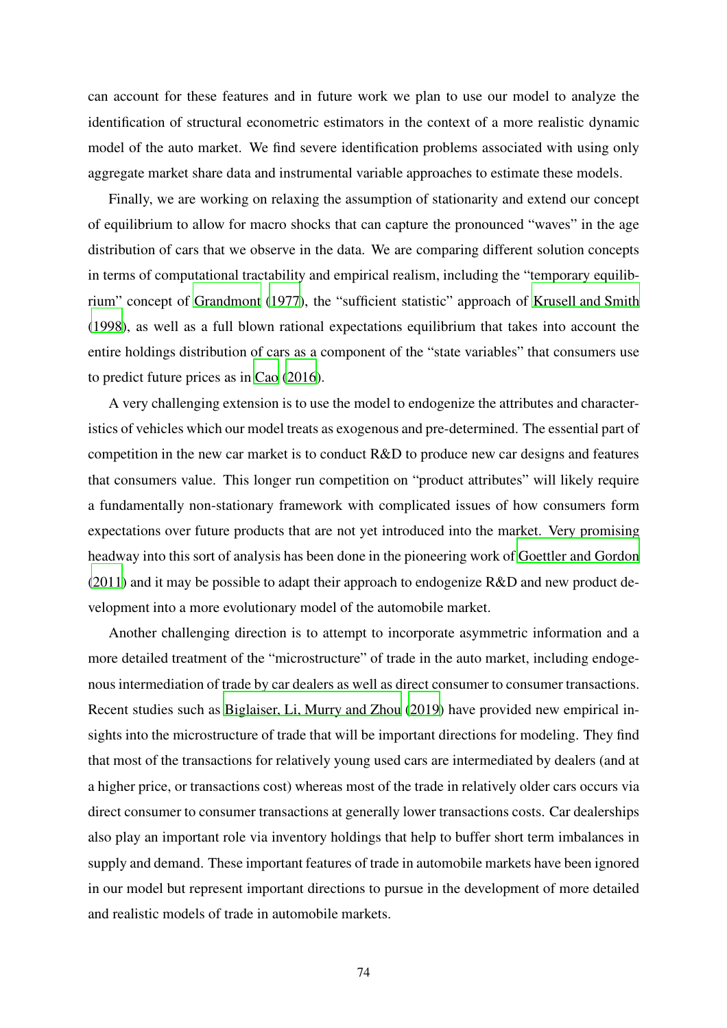can account for these features and in future work we plan to use our model to analyze the identification of structural econometric estimators in the context of a more realistic dynamic model of the auto market. We find severe identification problems associated with using only aggregate market share data and instrumental variable approaches to estimate these models.

Finally, we are working on relaxing the assumption of stationarity and extend our concept of equilibrium to allow for macro shocks that can capture the pronounced "waves" in the age distribution of cars that we observe in the data. We are comparing different solution concepts in terms of computational tractability and empirical realism, including the "temporary equilibrium" concept of [Grandmont \(1977](#page-81-2)), the "sufficient statistic" approach of [Krusell and Smith](#page-82-0) [\(1998\)](#page-82-0), as well as a full blown rational expectations equilibrium that takes into account the entire holdings distribution of cars as a component of the "state variables" that consumers use to predict future prices as in [Cao](#page-81-3) [\(2016\)](#page-81-3).

A very challenging extension is to use the model to endogenize the attributes and characteristics of vehicles which our model treats as exogenous and pre-determined. The essential part of competition in the new car market is to conduct R&D to produce new car designs and features that consumers value. This longer run competition on "product attributes" will likely require a fundamentally non-stationary framework with complicated issues of how consumers form expectations over future products that are not yet introduced into the market. Very promising headway into this sort of analysis has been done in the pioneering work of [Goettler and Gordon](#page-81-4) [\(2011\)](#page-81-4) and it may be possible to adapt their approach to endogenize R&D and new product development into a more evolutionary model of the automobile market.

Another challenging direction is to attempt to incorporate asymmetric information and a more detailed treatment of the "microstructure" of trade in the auto market, including endogenous intermediation of trade by car dealers as well as direct consumer to consumer transactions. Recent studies such as [Biglaiser, Li, Murry and Zhou](#page-81-5) [\(2019\)](#page-81-5) have provided new empirical insights into the microstructure of trade that will be important directions for modeling. They find that most of the transactions for relatively young used cars are intermediated by dealers (and at a higher price, or transactions cost) whereas most of the trade in relatively older cars occurs via direct consumer to consumer transactions at generally lower transactions costs. Car dealerships also play an important role via inventory holdings that help to buffer short term imbalances in supply and demand. These important features of trade in automobile markets have been ignored in our model but represent important directions to pursue in the development of more detailed and realistic models of trade in automobile markets.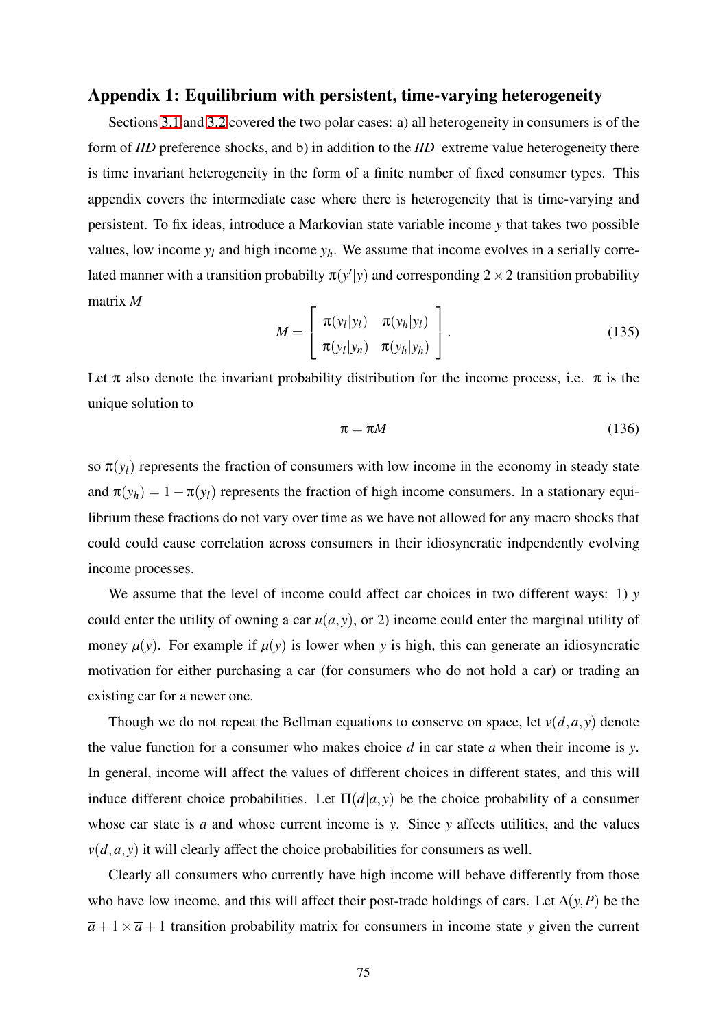## Appendix 1: Equilibrium with persistent, time-varying heterogeneity

Sections [3.1](#page-13-0) and [3.2](#page-22-0) covered the two polar cases: a) all heterogeneity in consumers is of the form of *IID* preference shocks, and b) in addition to the *IID* extreme value heterogeneity there is time invariant heterogeneity in the form of a finite number of fixed consumer types. This appendix covers the intermediate case where there is heterogeneity that is time-varying and persistent. To fix ideas, introduce a Markovian state variable income *y* that takes two possible values, low income  $y_l$  and high income  $y_h$ . We assume that income evolves in a serially correlated manner with a transition probabilty  $\pi(y'|y)$  and corresponding  $2 \times 2$  transition probability matrix *M*

$$
M = \left[\begin{array}{cc} \pi(y_l|y_l) & \pi(y_h|y_l) \\ \pi(y_l|y_n) & \pi(y_h|y_h) \end{array}\right].
$$
 (135)

Let  $\pi$  also denote the invariant probability distribution for the income process, i.e.  $\pi$  is the unique solution to

$$
\pi = \pi M \tag{136}
$$

so  $\pi(y_l)$  represents the fraction of consumers with low income in the economy in steady state and  $\pi(y_h) = 1 - \pi(y_l)$  represents the fraction of high income consumers. In a stationary equilibrium these fractions do not vary over time as we have not allowed for any macro shocks that could could cause correlation across consumers in their idiosyncratic indpendently evolving income processes.

We assume that the level of income could affect car choices in two different ways: 1) *y* could enter the utility of owning a car  $u(a, y)$ , or 2) income could enter the marginal utility of money  $\mu(y)$ . For example if  $\mu(y)$  is lower when y is high, this can generate an idiosyncratic motivation for either purchasing a car (for consumers who do not hold a car) or trading an existing car for a newer one.

Though we do not repeat the Bellman equations to conserve on space, let  $v(d, a, y)$  denote the value function for a consumer who makes choice *d* in car state *a* when their income is *y*. In general, income will affect the values of different choices in different states, and this will induce different choice probabilities. Let  $\Pi(d|a, y)$  be the choice probability of a consumer whose car state is *a* and whose current income is *y*. Since *y* affects utilities, and the values  $v(d, a, y)$  it will clearly affect the choice probabilities for consumers as well.

Clearly all consumers who currently have high income will behave differently from those who have low income, and this will affect their post-trade holdings of cars. Let  $\Delta(y, P)$  be the  $\overline{a}$  + 1 ×  $\overline{a}$  + 1 transition probability matrix for consumers in income state *y* given the current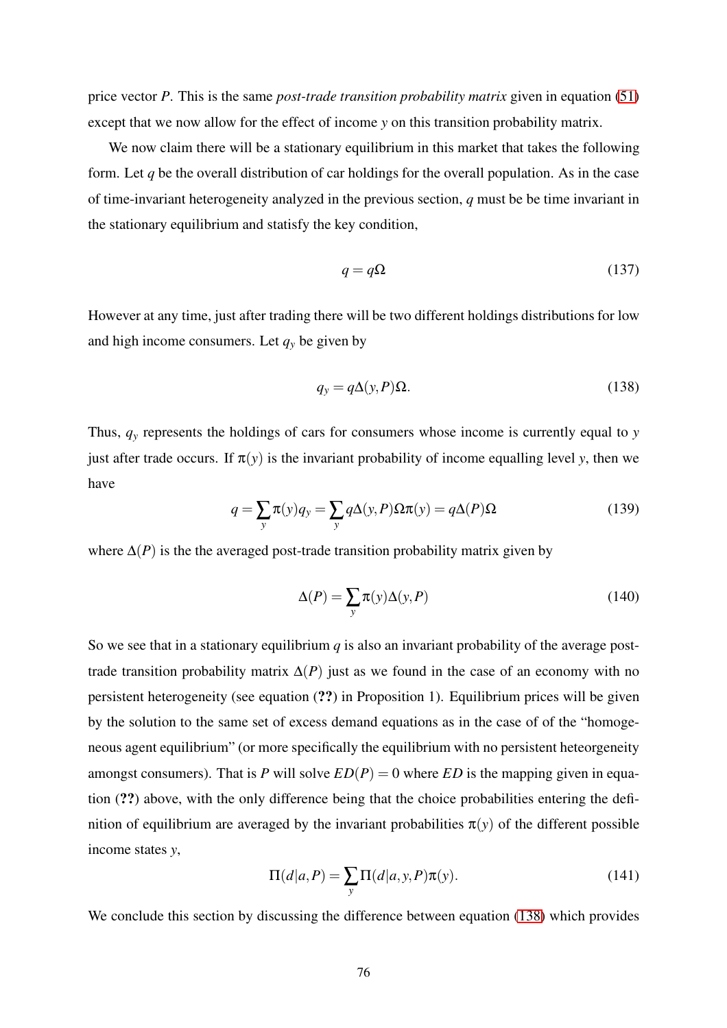price vector *P*. This is the same *post-trade transition probability matrix* given in equation [\(51\)](#page-32-0) except that we now allow for the effect of income *y* on this transition probability matrix.

We now claim there will be a stationary equilibrium in this market that takes the following form. Let *q* be the overall distribution of car holdings for the overall population. As in the case of time-invariant heterogeneity analyzed in the previous section, *q* must be be time invariant in the stationary equilibrium and statisfy the key condition,

$$
q = q\Omega \tag{137}
$$

However at any time, just after trading there will be two different holdings distributions for low and high income consumers. Let  $q<sub>y</sub>$  be given by

<span id="page-76-0"></span>
$$
q_{y} = q\Delta(y, P)\Omega.
$$
 (138)

Thus,  $q<sub>y</sub>$  represents the holdings of cars for consumers whose income is currently equal to *y* just after trade occurs. If  $\pi(y)$  is the invariant probability of income equalling level *y*, then we have

$$
q = \sum_{y} \pi(y) q_y = \sum_{y} q \Delta(y, P) \Omega \pi(y) = q \Delta(P) \Omega \tag{139}
$$

where  $\Delta(P)$  is the the averaged post-trade transition probability matrix given by

$$
\Delta(P) = \sum_{y} \pi(y) \Delta(y, P) \tag{140}
$$

So we see that in a stationary equilibrium  $q$  is also an invariant probability of the average posttrade transition probability matrix  $\Delta(P)$  just as we found in the case of an economy with no persistent heterogeneity (see equation (??) in Proposition 1). Equilibrium prices will be given by the solution to the same set of excess demand equations as in the case of of the "homogeneous agent equilibrium" (or more specifically the equilibrium with no persistent heteorgeneity amongst consumers). That is *P* will solve  $ED(P) = 0$  where  $ED$  is the mapping given in equation (??) above, with the only difference being that the choice probabilities entering the definition of equilibrium are averaged by the invariant probabilities  $\pi(y)$  of the different possible income states *y*,

$$
\Pi(d|a,P) = \sum_{y} \Pi(d|a,y,P)\pi(y).
$$
\n(141)

We conclude this section by discussing the difference between equation [\(138\)](#page-76-0) which provides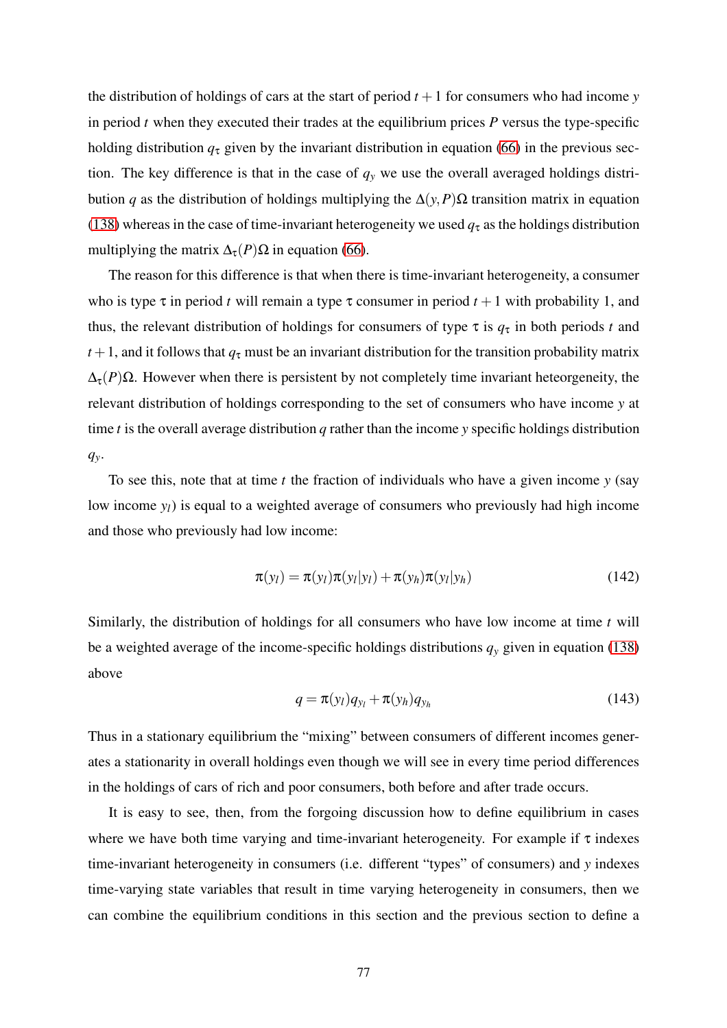the distribution of holdings of cars at the start of period  $t + 1$  for consumers who had income *y* in period  $t$  when they executed their trades at the equilibrium prices  $P$  versus the type-specific holding distribution  $q<sub>\tau</sub>$  given by the invariant distribution in equation [\(66\)](#page-41-0) in the previous section. The key difference is that in the case of  $q<sub>y</sub>$  we use the overall averaged holdings distribution *q* as the distribution of holdings multiplying the ∆(*y*,*P*)Ω transition matrix in equation [\(138\)](#page-76-0) whereas in the case of time-invariant heterogeneity we used  $q<sub>\tau</sub>$  as the holdings distribution multiplying the matrix  $\Delta_{\tau}(P)\Omega$  in equation [\(66\)](#page-41-0).

The reason for this difference is that when there is time-invariant heterogeneity, a consumer who is type  $\tau$  in period *t* will remain a type  $\tau$  consumer in period  $t + 1$  with probability 1, and thus, the relevant distribution of holdings for consumers of type  $\tau$  is  $q_{\tau}$  in both periods *t* and  $t+1$ , and it follows that  $q<sub>\tau</sub>$  must be an invariant distribution for the transition probability matrix  $\Delta_{\tau}(P)$ Ω. However when there is persistent by not completely time invariant heteorgeneity, the relevant distribution of holdings corresponding to the set of consumers who have income *y* at time *t* is the overall average distribution *q* rather than the income *y* specific holdings distribution *qy*.

To see this, note that at time *t* the fraction of individuals who have a given income *y* (say low income *yl*) is equal to a weighted average of consumers who previously had high income and those who previously had low income:

$$
\pi(y_l) = \pi(y_l)\pi(y_l|y_l) + \pi(y_h)\pi(y_l|y_h)
$$
\n(142)

Similarly, the distribution of holdings for all consumers who have low income at time *t* will be a weighted average of the income-specific holdings distributions  $q<sub>y</sub>$  given in equation [\(138\)](#page-76-0) above

$$
q = \pi(y_l)q_{y_l} + \pi(y_h)q_{y_h}
$$
\n(143)

Thus in a stationary equilibrium the "mixing" between consumers of different incomes generates a stationarity in overall holdings even though we will see in every time period differences in the holdings of cars of rich and poor consumers, both before and after trade occurs.

It is easy to see, then, from the forgoing discussion how to define equilibrium in cases where we have both time varying and time-invariant heterogeneity. For example if  $\tau$  indexes time-invariant heterogeneity in consumers (i.e. different "types" of consumers) and *y* indexes time-varying state variables that result in time varying heterogeneity in consumers, then we can combine the equilibrium conditions in this section and the previous section to define a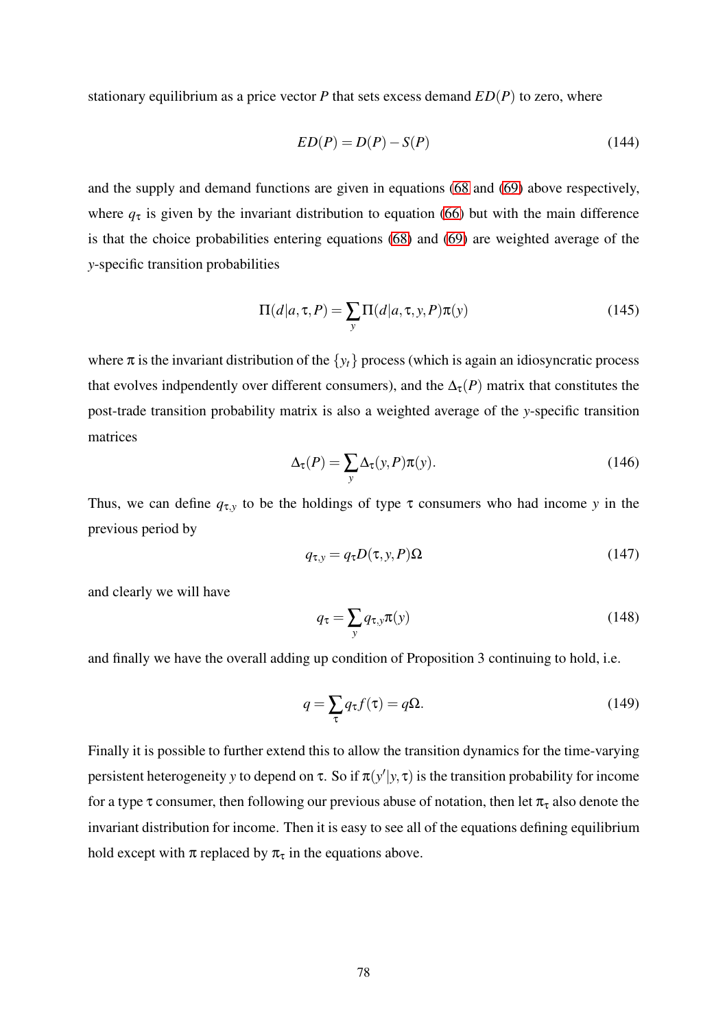stationary equilibrium as a price vector *P* that sets excess demand *ED*(*P*) to zero, where

$$
ED(P) = D(P) - S(P) \tag{144}
$$

and the supply and demand functions are given in equations [\(68](#page-41-1) and [\(69\)](#page-42-0) above respectively, where  $q<sub>\tau</sub>$  is given by the invariant distribution to equation [\(66\)](#page-41-0) but with the main difference is that the choice probabilities entering equations [\(68\)](#page-41-1) and [\(69\)](#page-42-0) are weighted average of the *y*-specific transition probabilities

$$
\Pi(d|a,\tau,P) = \sum_{y} \Pi(d|a,\tau,y,P)\pi(y)
$$
\n(145)

where  $\pi$  is the invariant distribution of the  $\{y_t\}$  process (which is again an idiosyncratic process that evolves indpendently over different consumers), and the  $\Delta_{\tau}(P)$  matrix that constitutes the post-trade transition probability matrix is also a weighted average of the *y*-specific transition matrices

$$
\Delta_{\tau}(P) = \sum_{y} \Delta_{\tau}(y, P)\pi(y). \tag{146}
$$

Thus, we can define  $q_{\tau,y}$  to be the holdings of type  $\tau$  consumers who had income *y* in the previous period by

$$
q_{\tau,y} = q_{\tau} D(\tau, y, P) \Omega \tag{147}
$$

and clearly we will have

$$
q_{\tau} = \sum_{y} q_{\tau, y} \pi(y) \tag{148}
$$

and finally we have the overall adding up condition of Proposition 3 continuing to hold, i.e.

$$
q = \sum_{\tau} q_{\tau} f(\tau) = q\Omega.
$$
 (149)

Finally it is possible to further extend this to allow the transition dynamics for the time-varying persistent heterogeneity *y* to depend on  $\tau$ . So if  $\pi(y'|y, \tau)$  is the transition probability for income for a type  $\tau$  consumer, then following our previous abuse of notation, then let  $\pi_{\tau}$  also denote the invariant distribution for income. Then it is easy to see all of the equations defining equilibrium hold except with  $\pi$  replaced by  $\pi_{\tau}$  in the equations above.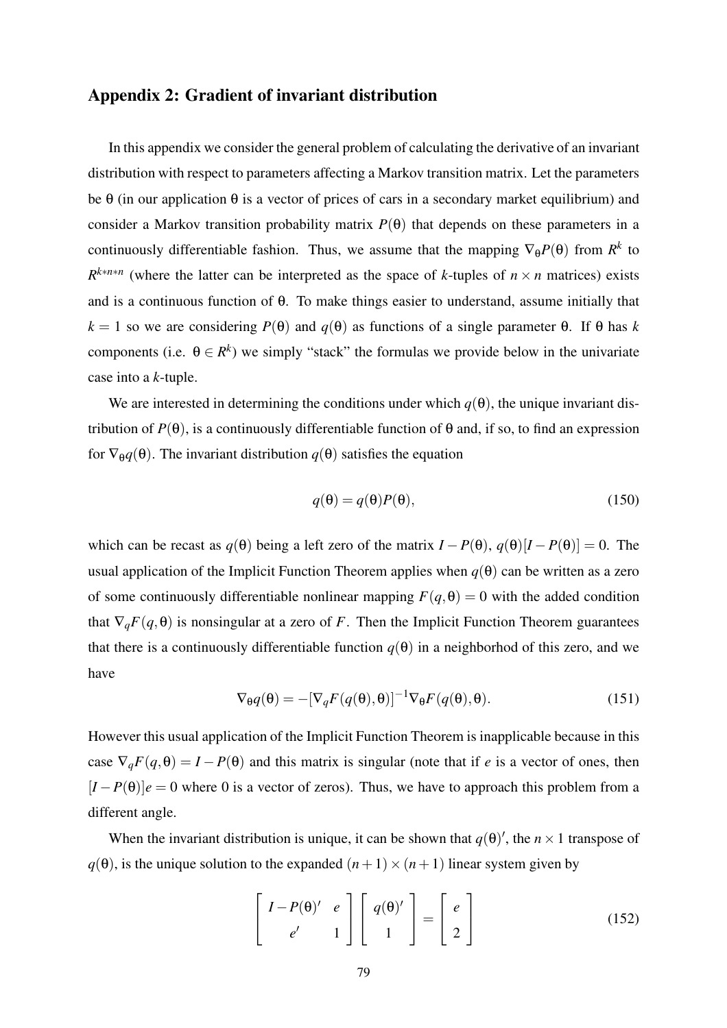## Appendix 2: Gradient of invariant distribution

In this appendix we consider the general problem of calculating the derivative of an invariant distribution with respect to parameters affecting a Markov transition matrix. Let the parameters be  $\theta$  (in our application  $\theta$  is a vector of prices of cars in a secondary market equilibrium) and consider a Markov transition probability matrix  $P(\theta)$  that depends on these parameters in a continuously differentiable fashion. Thus, we assume that the mapping  $\nabla_{\theta}P(\theta)$  from  $R^k$  to  $R^{k*n*n}$  (where the latter can be interpreted as the space of *k*-tuples of  $n \times n$  matrices) exists and is a continuous function of θ. To make things easier to understand, assume initially that *k* = 1 so we are considering *P*(θ) and *q*(θ) as functions of a single parameter θ. If θ has *k* components (i.e.  $\theta \in \mathbb{R}^k$ ) we simply "stack" the formulas we provide below in the univariate case into a *k*-tuple.

We are interested in determining the conditions under which  $q(\theta)$ , the unique invariant distribution of *P*(θ), is a continuously differentiable function of θ and, if so, to find an expression for  $\nabla_{\theta}q(\theta)$ . The invariant distribution  $q(\theta)$  satisfies the equation

$$
q(\theta) = q(\theta)P(\theta),\tag{150}
$$

which can be recast as  $q(\theta)$  being a left zero of the matrix  $I - P(\theta)$ ,  $q(\theta)[I - P(\theta)] = 0$ . The usual application of the Implicit Function Theorem applies when  $q(\theta)$  can be written as a zero of some continuously differentiable nonlinear mapping  $F(q, \theta) = 0$  with the added condition that  $\nabla_q F(q, \theta)$  is nonsingular at a zero of *F*. Then the Implicit Function Theorem guarantees that there is a continuously differentiable function  $q(\theta)$  in a neighborhod of this zero, and we have

$$
\nabla_{\theta} q(\theta) = -[\nabla_q F(q(\theta), \theta)]^{-1} \nabla_{\theta} F(q(\theta), \theta).
$$
 (151)

However this usual application of the Implicit Function Theorem is inapplicable because in this case  $\nabla_q F(q, \theta) = I - P(\theta)$  and this matrix is singular (note that if *e* is a vector of ones, then  $[I - P(\theta)]e = 0$  where 0 is a vector of zeros). Thus, we have to approach this problem from a different angle.

When the invariant distribution is unique, it can be shown that  $q(\theta)'$ , the  $n \times 1$  transpose of  $q(\theta)$ , is the unique solution to the expanded  $(n+1) \times (n+1)$  linear system given by

<span id="page-79-0"></span>
$$
\begin{bmatrix} I - P(\theta)' & e \\ e' & 1 \end{bmatrix} \begin{bmatrix} q(\theta)' \\ 1 \end{bmatrix} = \begin{bmatrix} e \\ 2 \end{bmatrix}
$$
 (152)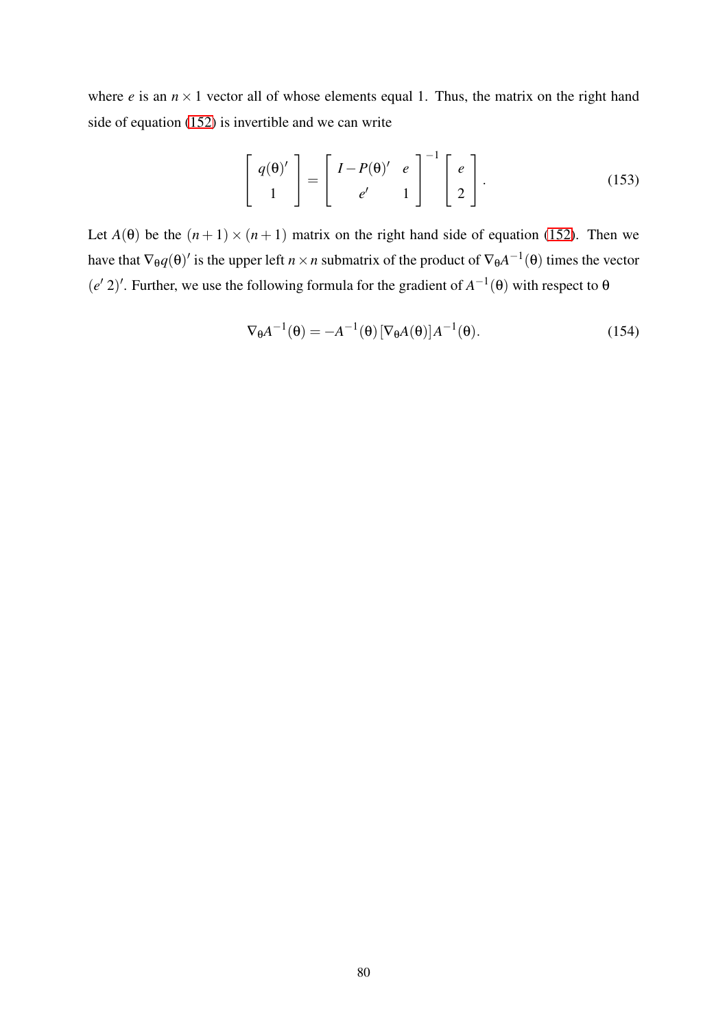where  $e$  is an  $n \times 1$  vector all of whose elements equal 1. Thus, the matrix on the right hand side of equation [\(152\)](#page-79-0) is invertible and we can write

$$
\begin{bmatrix} q(\theta)' \\ 1 \end{bmatrix} = \begin{bmatrix} I - P(\theta)' & e \\ e' & 1 \end{bmatrix}^{-1} \begin{bmatrix} e \\ 2 \end{bmatrix}.
$$
 (153)

Let  $A(\theta)$  be the  $(n+1) \times (n+1)$  matrix on the right hand side of equation [\(152\)](#page-79-0). Then we have that  $\nabla_{\theta}q(\theta)'$  is the upper left  $n \times n$  submatrix of the product of  $\nabla_{\theta}A^{-1}(\theta)$  times the vector  $(e' 2)'$ . Further, we use the following formula for the gradient of  $A^{-1}(\theta)$  with respect to  $\theta$ 

$$
\nabla_{\theta} A^{-1}(\theta) = -A^{-1}(\theta) \left[ \nabla_{\theta} A(\theta) \right] A^{-1}(\theta). \tag{154}
$$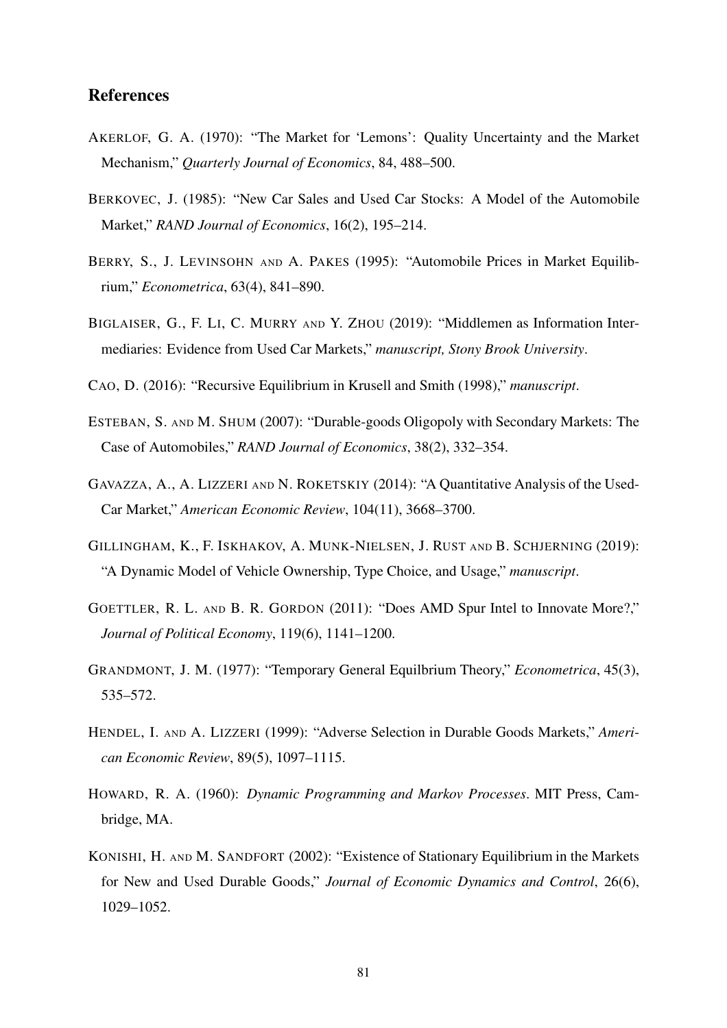## References

- AKERLOF, G. A. (1970): "The Market for 'Lemons': Quality Uncertainty and the Market Mechanism," *Quarterly Journal of Economics*, 84, 488–500.
- BERKOVEC, J. (1985): "New Car Sales and Used Car Stocks: A Model of the Automobile Market," *RAND Journal of Economics*, 16(2), 195–214.
- <span id="page-81-1"></span>BERRY, S., J. LEVINSOHN AND A. PAKES (1995): "Automobile Prices in Market Equilibrium," *Econometrica*, 63(4), 841–890.
- <span id="page-81-5"></span>BIGLAISER, G., F. LI, C. MURRY AND Y. ZHOU (2019): "Middlemen as Information Intermediaries: Evidence from Used Car Markets," *manuscript, Stony Brook University*.
- <span id="page-81-3"></span>CAO, D. (2016): "Recursive Equilibrium in Krusell and Smith (1998)," *manuscript*.
- ESTEBAN, S. AND M. SHUM (2007): "Durable-goods Oligopoly with Secondary Markets: The Case of Automobiles," *RAND Journal of Economics*, 38(2), 332–354.
- GAVAZZA, A., A. LIZZERI AND N. ROKETSKIY (2014): "A Quantitative Analysis of the Used-Car Market," *American Economic Review*, 104(11), 3668–3700.
- <span id="page-81-0"></span>GILLINGHAM, K., F. ISKHAKOV, A. MUNK-NIELSEN, J. RUST AND B. SCHJERNING (2019): "A Dynamic Model of Vehicle Ownership, Type Choice, and Usage," *manuscript*.
- <span id="page-81-4"></span>GOETTLER, R. L. AND B. R. GORDON (2011): "Does AMD Spur Intel to Innovate More?," *Journal of Political Economy*, 119(6), 1141–1200.
- <span id="page-81-2"></span>GRANDMONT, J. M. (1977): "Temporary General Equilbrium Theory," *Econometrica*, 45(3), 535–572.
- HENDEL, I. AND A. LIZZERI (1999): "Adverse Selection in Durable Goods Markets," *American Economic Review*, 89(5), 1097–1115.
- HOWARD, R. A. (1960): *Dynamic Programming and Markov Processes*. MIT Press, Cambridge, MA.
- KONISHI, H. AND M. SANDFORT (2002): "Existence of Stationary Equilibrium in the Markets for New and Used Durable Goods," *Journal of Economic Dynamics and Control*, 26(6), 1029–1052.